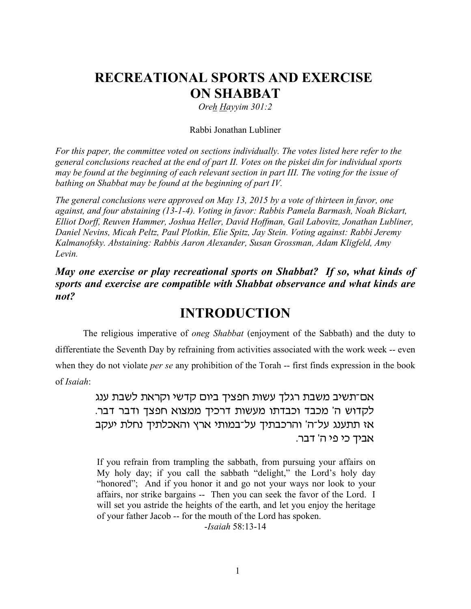# **RECREATIONAL SPORTS AND EXERCISE ON SHABBAT**

*Oreh Hayyim 301:2*

#### Rabbi Jonathan Lubliner

*For this paper, the committee voted on sections individually. The votes listed here refer to the general conclusions reached at the end of part II. Votes on the piskei din for individual sports may be found at the beginning of each relevant section in part III. The voting for the issue of bathing on Shabbat may be found at the beginning of part IV.*

*The general conclusions were approved on May 13, 2015 by a vote of thirteen in favor, one against, and four abstaining (13-1-4). Voting in favor: Rabbis Pamela Barmash, Noah Bickart, Elliot Dorff, Reuven Hammer, Joshua Heller, David Hoffman, Gail Labovitz, Jonathan Lubliner, Daniel Nevins, Micah Peltz, Paul Plotkin, Elie Spitz, Jay Stein. Voting against: Rabbi Jeremy Kalmanofsky. Abstaining: Rabbis Aaron Alexander, Susan Grossman, Adam Kligfeld, Amy Levin.*

*May one exercise or play recreational sports on Shabbat? If so, what kinds of sports and exercise are compatible with Shabbat observance and what kinds are not?*

## **INTRODUCTION**

The religious imperative of *oneg Shabbat* (enjoyment of the Sabbath) and the duty to differentiate the Seventh Day by refraining from activities associated with the work week -- even when they do not violate *per se* any prohibition of the Torah -- first finds expression in the book of *Isaiah*:

> אם־תשיב משבת רגלך עשות חפציך ביום קדשי וקראת לשבת ענג לקדוש ה' מכבד וכבדתו מעשות דרכיך ממצוא חפצך ודבר דבר. אז תתענג על־ה' והרכבתיך על־במותי ארץ והאכלתיך נחלת יעקב אביך כי פי ה' דבר.

> If you refrain from trampling the sabbath, from pursuing your affairs on My holy day; if you call the sabbath "delight," the Lord's holy day "honored"; And if you honor it and go not your ways nor look to your affairs, nor strike bargains -- Then you can seek the favor of the Lord. I will set you astride the heights of the earth, and let you enjoy the heritage of your father Jacob -- for the mouth of the Lord has spoken.

> > -*Isaiah* 58:13-14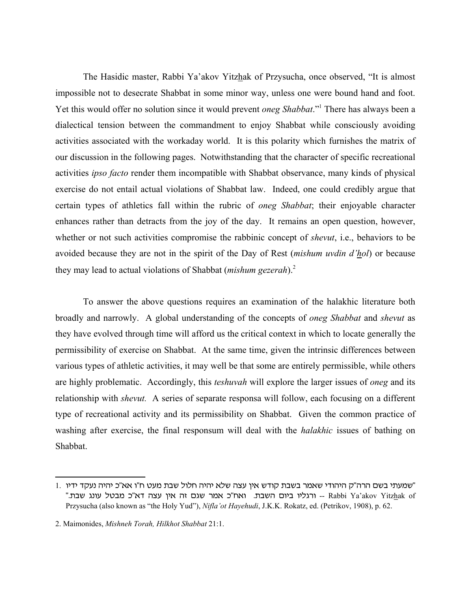The Hasidic master, Rabbi Ya'akov Yitzhak of Przysucha, once observed, "It is almost impossible not to desecrate Shabbat in some minor way, unless one were bound hand and foot. Yet this would offer no solution since it would prevent *oneg Shabbat*."<sup>1</sup> There has always been a dialectical tension between the commandment to enjoy Shabbat while consciously avoiding activities associated with the workaday world. It is this polarity which furnishes the matrix of our discussion in the following pages. Notwithstanding that the character of specific recreational activities *ipso facto* render them incompatible with Shabbat observance, many kinds of physical exercise do not entail actual violations of Shabbat law. Indeed, one could credibly argue that certain types of athletics fall within the rubric of *oneg Shabbat*; their enjoyable character enhances rather than detracts from the joy of the day. It remains an open question, however, whether or not such activities compromise the rabbinic concept of *shevut*, i.e., behaviors to be avoided because they are not in the spirit of the Day of Rest (*mishum uvdin d'hol*) or because they may lead to actual violations of Shabbat (*mishum gezerah*).<sup>2</sup>

To answer the above questions requires an examination of the halakhic literature both broadly and narrowly. A global understanding of the concepts of *oneg Shabbat* and *shevut* as they have evolved through time will afford us the critical context in which to locate generally the permissibility of exercise on Shabbat. At the same time, given the intrinsic differences between various types of athletic activities, it may well be that some are entirely permissible, while others are highly problematic. Accordingly, this *teshuvah* will explore the larger issues of *oneg* and its relationship with *shevut.* A series of separate responsa will follow, each focusing on a different type of recreational activity and its permissibility on Shabbat. Given the common practice of washing after exercise, the final responsum will deal with the *halakhic* issues of bathing on Shabbat.

 $1$ . שמעתי בשם הרה"ק היהודי שאמר בשבת קודש אין עצה שלא יהיה חלול שבת מעט ח"ו אא"כ יהיה נעקד ידיו" "- ורגליו ביום השבת. ואח"כ אמר שגם זה אין עצה דא"כ מבטל עונג שבת. "Rabbi Ya'akov Yitzhak of Przysucha (also known as "the Holy Yud"), *Nifla'ot Hayehudi*, J.K.K. Rokatz, ed. (Petrikov, 1908), p. 62.

<sup>2.</sup> Maimonides, *Mishneh Torah, Hilkhot Shabbat* 21:1.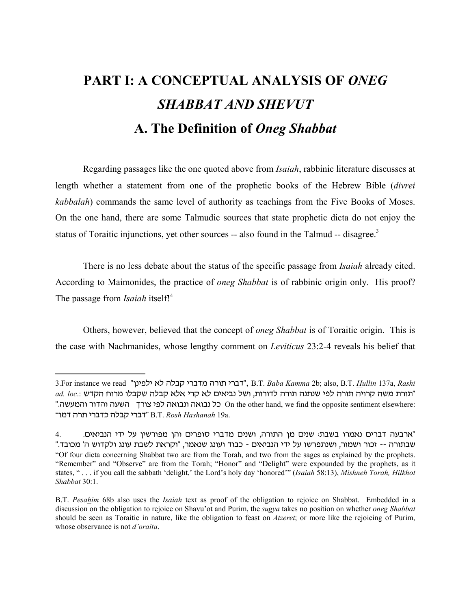# **PART I: A CONCEPTUAL ANALYSIS OF** *ONEG SHABBAT AND SHEVUT* **A. The Definition of** *Oneg Shabbat*

Regarding passages like the one quoted above from *Isaiah*, rabbinic literature discusses at length whether a statement from one of the prophetic books of the Hebrew Bible (*divrei kabbalah*) commands the same level of authority as teachings from the Five Books of Moses. On the one hand, there are some Talmudic sources that state prophetic dicta do not enjoy the status of Toraitic injunctions, yet other sources -- also found in the Talmud -- disagree.<sup>3</sup>

There is no less debate about the status of the specific passage from *Isaiah* already cited. According to Maimonides, the practice of *oneg Shabbat* is of rabbinic origin only. His proof? The passage from *Isaiah* itself!<sup>4</sup>

Others, however, believed that the concept of *oneg Shabbat* is of Toraitic origin. This is the case with Nachmanides, whose lengthy comment on *Leviticus* 23:2-4 reveals his belief that

<sup>3.</sup>For instance we read "דברי תורה מדברי קבלה לא ילפינן", B.T. *Baba Kamma 2*b; also, B.T. *Hullin* 137a, Rashi  $ad.$  loc.: בתורת משה קרויה תורה לפי שנתנה תורה לדורות, ושל נביאים לא קרי אלא קבלה שקבלו מרוח הקדש", ad. loc ". On the other hand, we find the opposite sentiment elsewhere: כל נבואה ונבואה לפי צורך השעה והדור והמעשה "uns vr, hrcsf vkce hrcs" B.T. *Rosh Hashanah* 19a.

<sup>4. &</sup>lt;sup>"</sup>ארבעה דברים נאמרו בשבת: שנים מן התורה, ושנים מדברי סופרים והן מפורשין על ידי הנביאים. "שבתורה -- זכור ושמור, ושנתפרשו על ידי הנביאים - כבוד ועונג שנאמר, "וקראת לשבת עונג ולקדוש ה' מכובד. "Of four dicta concerning Shabbat two are from the Torah, and two from the sages as explained by the prophets. "Remember" and "Observe" are from the Torah; "Honor" and "Delight" were expounded by the prophets, as it states, " . . . if you call the sabbath 'delight,' the Lord's holy day 'honored'" (*Isaiah* 58:13), *Mishneh Torah, Hilkhot Shabbat* 30:1.

B.T. *Pesahim* 68b also uses the *Isaiah* text as proof of the obligation to rejoice on Shabbat. Embedded in a discussion on the obligation to rejoice on Shavu'ot and Purim, the *sugya* takes no position on whether *oneg Shabbat* should be seen as Toraitic in nature, like the obligation to feast on *Atzeret*; or more like the rejoicing of Purim, whose observance is not *d'oraita*.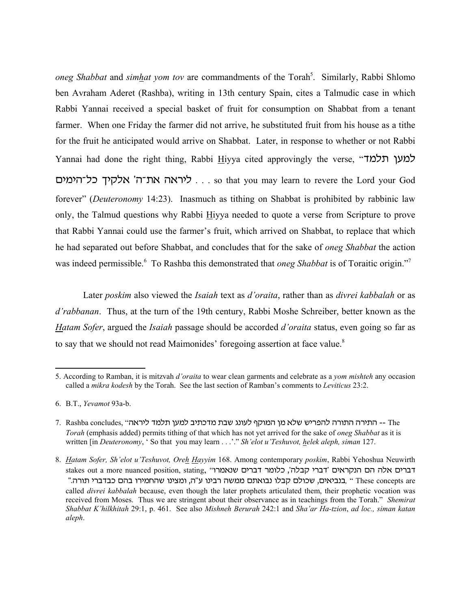*oneg Shabbat* and *simhat yom tov* are commandments of the Torah<sup>5</sup>. Similarly, Rabbi Shlomo ben Avraham Aderet (Rashba), writing in 13th century Spain, cites a Talmudic case in which Rabbi Yannai received a special basket of fruit for consumption on Shabbat from a tenant farmer. When one Friday the farmer did not arrive, he substituted fruit from his house as a tithe for the fruit he anticipated would arrive on Shabbat. Later, in response to whether or not Rabbi Yannai had done the right thing, Rabbi Hiyya cited approvingly the verse, "למען תלמד ס . . . ליראה את־ה' אלקיך כל־הימים. . so that you may learn to revere the Lord your God forever" (*Deuteronomy* 14:23). Inasmuch as tithing on Shabbat is prohibited by rabbinic law only, the Talmud questions why Rabbi Hiyya needed to quote a verse from Scripture to prove that Rabbi Yannai could use the farmer's fruit, which arrived on Shabbat, to replace that which he had separated out before Shabbat, and concludes that for the sake of *oneg Shabbat* the action was indeed permissible.<sup>6</sup> To Rashba this demonstrated that *oneg Shabbat* is of Toraitic origin."<sup>7</sup>

Later *poskim* also viewed the *Isaiah* text as *d'oraita*, rather than as *divrei kabbalah* or as *d'rabbanan*. Thus, at the turn of the 19th century, Rabbi Moshe Schreiber, better known as the *Hatam Sofer*, argued the *Isaiah* passage should be accorded *d'oraita* status, even going so far as to say that we should not read Maimonides' foregoing assertion at face value.<sup>8</sup>

<sup>5.</sup> According to Ramban, it is mitzvah *d'oraita* to wear clean garments and celebrate as a *yom mishteh* any occasion called a *mikra kodesh* by the Torah. See the last section of Ramban's comments to *Leviticus* 23:2.

<sup>6.</sup> B.T., *Yevamot* 93a-b.

<sup>7.</sup> Rashba concludes, "יהתירה התורה להפריש שלא מן המוקף לעונג שבת מדכתיב למען תלמד ליראה *Torah* (emphasis added) permits tithing of that which has not yet arrived for the sake of *oneg Shabbat* as it is written [in *Deuteronomy*, ' So that you may learn . . .'." *Sh'elot u'Teshuvot, helek aleph, siman* 127.

<sup>8.</sup> *Hatam Sofer, Sh'elot u'Teshuvot, Oreh Hayyim* 168. Among contemporary *poskim*, Rabbi Yehoshua Neuwirth stakes out a more nuanced position, stating, "וברים אלה הם הנקראים 'דברי קבלה', כלומר דברים שנאמרו " (בניאים, שהחמירו בהם כבדברי תורה. "Arcsch urho בנביאים, שכולם קבלו נבואתם מגודה. "Arcsch are " Curch, " בנביאים called *divrei kabbalah* because, even though the later prophets articulated them, their prophetic vocation was received from Moses. Thus we are stringent about their observance as in teachings from the Torah." *Shemirat Shabbat K'hilkhitah* 29:1, p. 461. See also *Mishneh Berurah* 242:1 and *Sha'ar Ha-tzion*, *ad loc., siman katan aleph*.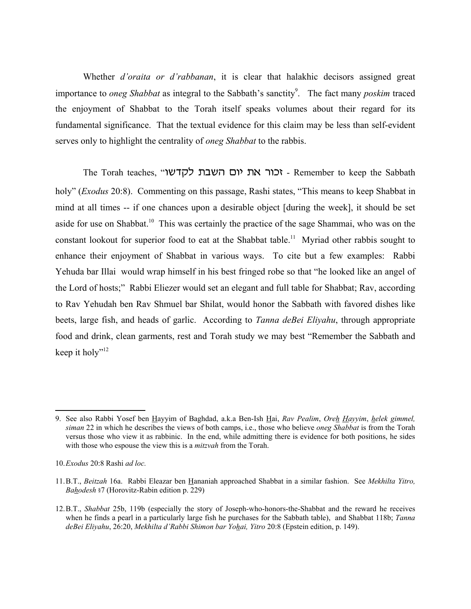Whether *d'oraita or d'rabbanan*, it is clear that halakhic decisors assigned great importance to *oneg Shabbat* as integral to the Sabbath's sanctity<sup>9</sup>. The fact many *poskim* traced the enjoyment of Shabbat to the Torah itself speaks volumes about their regard for its fundamental significance. That the textual evidence for this claim may be less than self-evident serves only to highlight the centrality of *oneg Shabbat* to the rabbis.

The Torah teaches, "רור את יום השבת לקדשו $\cdot$  - Remember to keep the Sabbath holy" (*Exodus* 20:8). Commenting on this passage, Rashi states, "This means to keep Shabbat in mind at all times -- if one chances upon a desirable object [during the week], it should be set aside for use on Shabbat.<sup>10</sup> This was certainly the practice of the sage Shammai, who was on the constant lookout for superior food to eat at the Shabbat table.<sup>11</sup> Myriad other rabbis sought to enhance their enjoyment of Shabbat in various ways. To cite but a few examples: Rabbi Yehuda bar Illai would wrap himself in his best fringed robe so that "he looked like an angel of the Lord of hosts;" Rabbi Eliezer would set an elegant and full table for Shabbat; Rav, according to Rav Yehudah ben Rav Shmuel bar Shilat, would honor the Sabbath with favored dishes like beets, large fish, and heads of garlic. According to *Tanna deBei Eliyahu*, through appropriate food and drink, clean garments, rest and Torah study we may best "Remember the Sabbath and keep it holy"<sup>12</sup>

<sup>9.</sup> See also Rabbi Yosef ben Hayyim of Baghdad, a.k.a Ben-Ish Hai, *Rav Pealim*, *Oreh Hayyim*, *helek gimmel, siman* 22 in which he describes the views of both camps, i.e., those who believe *oneg Shabbat* is from the Torah versus those who view it as rabbinic. In the end, while admitting there is evidence for both positions, he sides with those who espouse the view this is a *mitzvah* from the Torah.

<sup>10.</sup>*Exodus* 20:8 Rashi *ad loc.*

<sup>11.</sup>B.T., *Beitzah* 16a. Rabbi Eleazar ben Hananiah approached Shabbat in a similar fashion. See *Mekhilta Yitro, Bahodesh* §7 (Horovitz-Rabin edition p. 229)

<sup>12.</sup>B.T., *Shabbat* 25b, 119b (especially the story of Joseph-who-honors-the-Shabbat and the reward he receives when he finds a pearl in a particularly large fish he purchases for the Sabbath table), and Shabbat 118b; *Tanna deBei Eliyahu*, 26:20, *Mekhilta d'Rabbi Shimon bar Yohai, Yitro* 20:8 (Epstein edition, p. 149).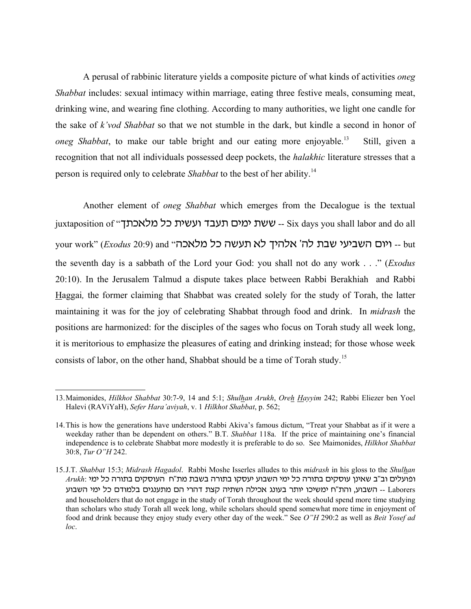A perusal of rabbinic literature yields a composite picture of what kinds of activities *oneg Shabbat* includes: sexual intimacy within marriage, eating three festive meals, consuming meat, drinking wine, and wearing fine clothing. According to many authorities, we light one candle for the sake of *k'vod Shabbat* so that we not stumble in the dark, but kindle a second in honor of *oneg Shabbat*, to make our table bright and our eating more enjoyable.<sup>13</sup> Still, given a recognition that not all individuals possessed deep pockets, the *halakhic* literature stresses that a person is required only to celebrate *Shabbat* to the best of her ability.<sup>14</sup>

Another element of *oneg Shabbat* which emerges from the Decalogue is the textual juxtaposition of "הוגעבד ועשית כל מלאכתך - Six days you shall labor and do all your work" (*Exodus* 20:9) and "יום השביעי שבת לה' אלהיך לא תעשה כל מלאכה. the seventh day is a sabbath of the Lord your God: you shall not do any work . . ." (*Exodus* 20:10). In the Jerusalem Talmud a dispute takes place between Rabbi Berakhiah and Rabbi Haggai*,* the former claiming that Shabbat was created solely for the study of Torah, the latter maintaining it was for the joy of celebrating Shabbat through food and drink. In *midrash* the positions are harmonized: for the disciples of the sages who focus on Torah study all week long, it is meritorious to emphasize the pleasures of eating and drinking instead; for those whose week consists of labor, on the other hand, Shabbat should be a time of Torah study.<sup>15</sup>

<sup>13.</sup>Maimonides, *Hilkhot Shabbat* 30:7-9, 14 and 5:1; *Shulhan Arukh*, *Oreh Hayyim* 242; Rabbi Eliezer ben Yoel Halevi (RAViYaH), *Sefer Hara'aviyah*, v. 1 *Hilkhot Shabbat*, p. 562;

<sup>14.</sup>This is how the generations have understood Rabbi Akiva's famous dictum, "Treat your Shabbat as if it were a weekday rather than be dependent on others." B.T. *Shabbat* 118a. If the price of maintaining one's financial independence is to celebrate Shabbat more modestly it is preferable to do so. See Maimonides, *Hilkhot Shabbat* 30:8, *Tur O"H* 242.

<sup>15.</sup>J.T. *Shabbat* 15:3; *Midrash Hagadol*. Rabbi Moshe Isserles alludes to this *midrash* in his gloss to the *Shulhan*  $\it Arukh$ : הועלים וב"ב שאינן עוסקים בתורה כל ימי השבוע יעסקו בתורה בשבת מת"ח העוסקים בתורה כל ימי Laborers -- השבוע, והת"ח ימשיכו יותר בעונג אכילה ושתיה קצת דהרי הם מתענגים בלמודם כל ימי השבוע and householders that do not engage in the study of Torah throughout the week should spend more time studying than scholars who study Torah all week long, while scholars should spend somewhat more time in enjoyment of food and drink because they enjoy study every other day of the week." See *O"H* 290:2 as well as *Beit Yosef ad loc*.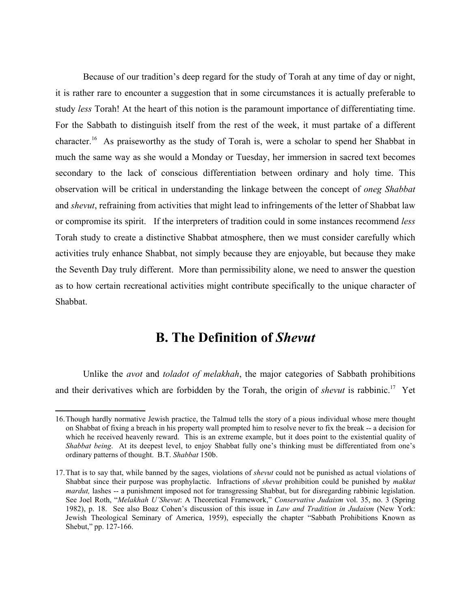Because of our tradition's deep regard for the study of Torah at any time of day or night, it is rather rare to encounter a suggestion that in some circumstances it is actually preferable to study *less* Torah! At the heart of this notion is the paramount importance of differentiating time. For the Sabbath to distinguish itself from the rest of the week, it must partake of a different character.<sup>16</sup> As praiseworthy as the study of Torah is, were a scholar to spend her Shabbat in much the same way as she would a Monday or Tuesday, her immersion in sacred text becomes secondary to the lack of conscious differentiation between ordinary and holy time. This observation will be critical in understanding the linkage between the concept of *oneg Shabbat* and *shevut*, refraining from activities that might lead to infringements of the letter of Shabbat law or compromise its spirit. If the interpreters of tradition could in some instances recommend *less* Torah study to create a distinctive Shabbat atmosphere, then we must consider carefully which activities truly enhance Shabbat, not simply because they are enjoyable, but because they make the Seventh Day truly different. More than permissibility alone, we need to answer the question as to how certain recreational activities might contribute specifically to the unique character of Shabbat.

## **B. The Definition of** *Shevut*

Unlike the *avot* and *toladot of melakhah*, the major categories of Sabbath prohibitions and their derivatives which are forbidden by the Torah, the origin of *shevut* is rabbinic.<sup>17</sup> Yet

<sup>16.</sup>Though hardly normative Jewish practice, the Talmud tells the story of a pious individual whose mere thought on Shabbat of fixing a breach in his property wall prompted him to resolve never to fix the break -- a decision for which he received heavenly reward. This is an extreme example, but it does point to the existential quality of *Shabbat being*. At its deepest level, to enjoy Shabbat fully one's thinking must be differentiated from one's ordinary patterns of thought. B.T. *Shabbat* 150b.

<sup>17.</sup>That is to say that, while banned by the sages, violations of *shevut* could not be punished as actual violations of Shabbat since their purpose was prophylactic. Infractions of *shevut* prohibition could be punished by *makkat mardut*, lashes -- a punishment imposed not for transgressing Shabbat, but for disregarding rabbinic legislation. See Joel Roth, "*Melakhah U'Shevut*: A Theoretical Framework," *Conservative Judaism* vol. 35, no. 3 (Spring 1982), p. 18. See also Boaz Cohen's discussion of this issue in *Law and Tradition in Judaism* (New York: Jewish Theological Seminary of America, 1959), especially the chapter "Sabbath Prohibitions Known as Shebut," pp. 127-166.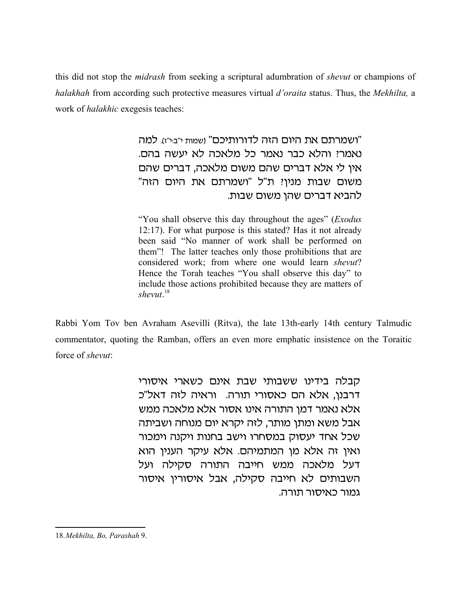this did not stop the *midrash* from seeking a scriptural adumbration of *shevut* or champions of *halakhah* from according such protective measures virtual *d'oraita* status. Thus, the *Mekhilta,* a work of *halakhic* exegesis teaches:

> ישמרתם את היום הזה לדורותיכם" ושמות י"ב:י"ז). למה" נאמרי והלא כבר נאמר כל מלאכה לא יעשה בהם. אין לי אלא דברים שהם משום מלאכה, דברים שהם "משום שבות מנין? ת"ל "ושמרתם את היום הזה להביא דברים שהן משום שבות.

> "You shall observe this day throughout the ages" (*Exodus* 12:17). For what purpose is this stated? Has it not already been said "No manner of work shall be performed on them"! The latter teaches only those prohibitions that are considered work; from where one would learn *shevut*? Hence the Torah teaches "You shall observe this day" to include those actions prohibited because they are matters of *shevut*. 18

Rabbi Yom Tov ben Avraham Asevilli (Ritva), the late 13th-early 14th century Talmudic commentator, quoting the Ramban, offers an even more emphatic insistence on the Toraitic force of *shevut*:

> קבלה בידינו ששבותי שבת אינם כשארי איסורי דרבנו, אלא הם כאסורי תורה. וראיה לזה דאל"כ אלא נאמר דמן התורה אינו אסור אלא מלאכה ממש אבל משא ומתן מותר, לזה יקרא יום מנוחה ושביתה שכל אחד יעסוק במסחרו וישב בחנות ויקנה וימכור ואין זה אלא מן המתמיהם. אלא עיקר הענין הוא דעל מלאכה ממש חייבה התורה סקילה ועל השבותים לא חייבה סקילה, אבל איסורין איסור גמור כאיסור תורה.

18.*Mekhilta, Bo, Parashah* 9.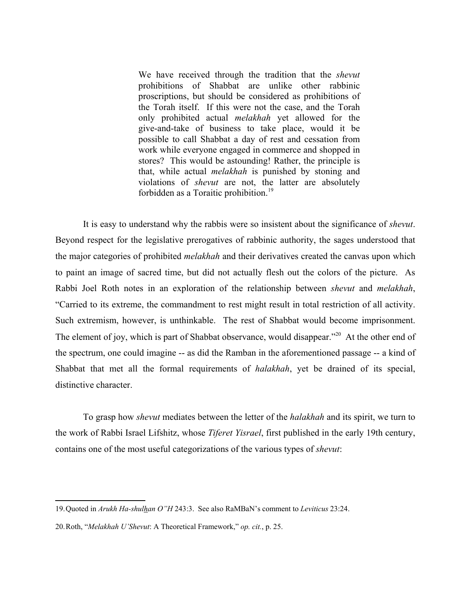We have received through the tradition that the *shevut* prohibitions of Shabbat are unlike other rabbinic proscriptions, but should be considered as prohibitions of the Torah itself. If this were not the case, and the Torah only prohibited actual *melakhah* yet allowed for the give-and-take of business to take place, would it be possible to call Shabbat a day of rest and cessation from work while everyone engaged in commerce and shopped in stores? This would be astounding! Rather, the principle is that, while actual *melakhah* is punished by stoning and violations of *shevut* are not, the latter are absolutely forbidden as a Toraitic prohibition.<sup>19</sup>

It is easy to understand why the rabbis were so insistent about the significance of *shevut*. Beyond respect for the legislative prerogatives of rabbinic authority, the sages understood that the major categories of prohibited *melakhah* and their derivatives created the canvas upon which to paint an image of sacred time, but did not actually flesh out the colors of the picture. As Rabbi Joel Roth notes in an exploration of the relationship between *shevut* and *melakhah*, "Carried to its extreme, the commandment to rest might result in total restriction of all activity. Such extremism, however, is unthinkable. The rest of Shabbat would become imprisonment. The element of joy, which is part of Shabbat observance, would disappear.<sup>220</sup> At the other end of the spectrum, one could imagine -- as did the Ramban in the aforementioned passage -- a kind of Shabbat that met all the formal requirements of *halakhah*, yet be drained of its special, distinctive character.

To grasp how *shevut* mediates between the letter of the *halakhah* and its spirit, we turn to the work of Rabbi Israel Lifshitz, whose *Tiferet Yisrael*, first published in the early 19th century, contains one of the most useful categorizations of the various types of *shevut*:

<sup>19.</sup>Quoted in *Arukh Ha-shulhan O"H* 243:3. See also RaMBaN's comment to *Leviticus* 23:24.

<sup>20.</sup>Roth, "*Melakhah U'Shevut*: A Theoretical Framework," *op. cit.*, p. 25.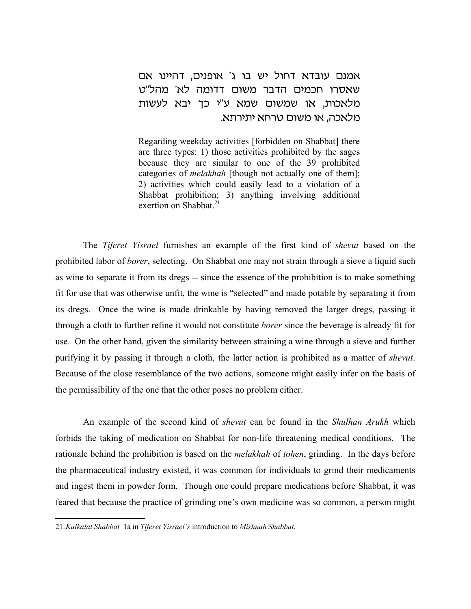### אמנם עובדא דחול יש בו ג' אופנים, דהיינו אם שאסרו חכמים הדבר משום דדומה לא' מהל"ט מלאכות, או שמשום שמא ע"י כך יבא לעשות מלאכה, או משום טרחא יתירתא.

Regarding weekday activities [forbidden on Shabbat] there are three types: 1) those activities prohibited by the sages because they are similar to one of the 39 prohibited categories of *melakhah* [though not actually one of them]; 2) activities which could easily lead to a violation of a Shabbat prohibition; 3) anything involving additional exertion on Shabbat $^{21}$ 

The *Tiferet Yisrael* furnishes an example of the first kind of *shevut* based on the prohibited labor of *borer*, selecting. On Shabbat one may not strain through a sieve a liquid such as wine to separate it from its dregs -- since the essence of the prohibition is to make something fit for use that was otherwise unfit, the wine is "selected" and made potable by separating it from its dregs. Once the wine is made drinkable by having removed the larger dregs, passing it through a cloth to further refine it would not constitute *borer* since the beverage is already fit for use. On the other hand, given the similarity between straining a wine through a sieve and further purifying it by passing it through a cloth, the latter action is prohibited as a matter of *shevut*. Because of the close resemblance of the two actions, someone might easily infer on the basis of the permissibility of the one that the other poses no problem either.

An example of the second kind of *shevut* can be found in the *Shulhan Arukh* which forbids the taking of medication on Shabbat for non-life threatening medical conditions. The rationale behind the prohibition is based on the *melakhah* of *tohen*, grinding. In the days before the pharmaceutical industry existed, it was common for individuals to grind their medicaments and ingest them in powder form. Though one could prepare medications before Shabbat, it was feared that because the practice of grinding one's own medicine was so common, a person might

<sup>21.</sup>*Kalkalat Shabbat* 1a in *Tiferet Yisrael's* introduction to *Mishnah Shabbat*.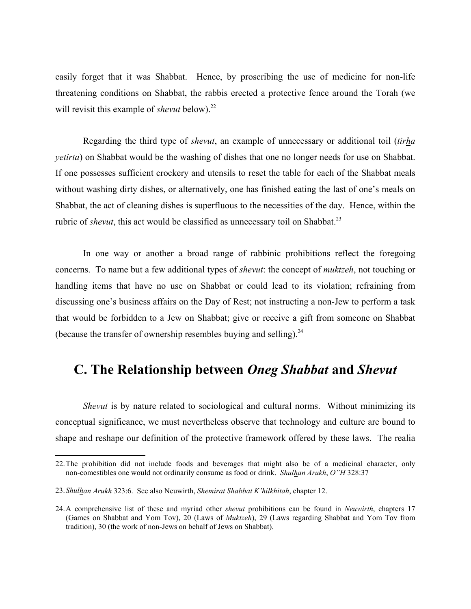easily forget that it was Shabbat. Hence, by proscribing the use of medicine for non-life threatening conditions on Shabbat, the rabbis erected a protective fence around the Torah (we will revisit this example of *shevut* below).<sup>22</sup>

Regarding the third type of *shevut*, an example of unnecessary or additional toil (*tirha yetirta*) on Shabbat would be the washing of dishes that one no longer needs for use on Shabbat. If one possesses sufficient crockery and utensils to reset the table for each of the Shabbat meals without washing dirty dishes, or alternatively, one has finished eating the last of one's meals on Shabbat, the act of cleaning dishes is superfluous to the necessities of the day. Hence, within the rubric of *shevut*, this act would be classified as unnecessary toil on Shabbat.<sup>23</sup>

In one way or another a broad range of rabbinic prohibitions reflect the foregoing concerns. To name but a few additional types of *shevut*: the concept of *muktzeh*, not touching or handling items that have no use on Shabbat or could lead to its violation; refraining from discussing one's business affairs on the Day of Rest; not instructing a non-Jew to perform a task that would be forbidden to a Jew on Shabbat; give or receive a gift from someone on Shabbat (because the transfer of ownership resembles buying and selling). $^{24}$ 

## **C. The Relationship between** *Oneg Shabbat* **and** *Shevut*

*Shevut* is by nature related to sociological and cultural norms. Without minimizing its conceptual significance, we must nevertheless observe that technology and culture are bound to shape and reshape our definition of the protective framework offered by these laws. The realia

<sup>22.</sup>The prohibition did not include foods and beverages that might also be of a medicinal character, only non-comestibles one would not ordinarily consume as food or drink. *Shulhan Arukh*, *O"H* 328:37

<sup>23.</sup>*Shulhan Arukh* 323:6. See also Neuwirth, *Shemirat Shabbat K'hilkhitah*, chapter 12.

<sup>24.</sup>A comprehensive list of these and myriad other *shevut* prohibitions can be found in *Neuwirth*, chapters 17 (Games on Shabbat and Yom Tov), 20 (Laws of *Muktzeh*), 29 (Laws regarding Shabbat and Yom Tov from tradition), 30 (the work of non-Jews on behalf of Jews on Shabbat).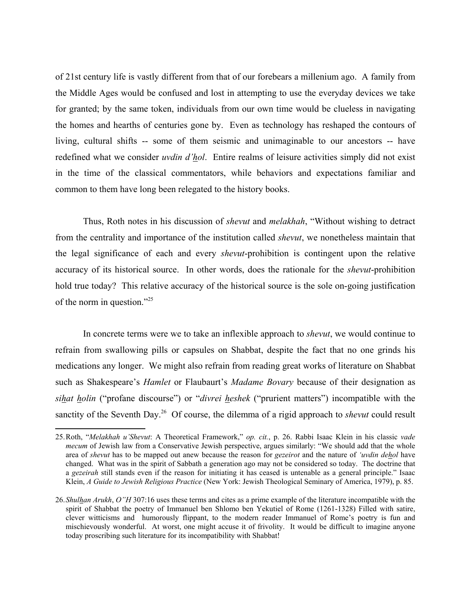of 21st century life is vastly different from that of our forebears a millenium ago. A family from the Middle Ages would be confused and lost in attempting to use the everyday devices we take for granted; by the same token, individuals from our own time would be clueless in navigating the homes and hearths of centuries gone by. Even as technology has reshaped the contours of living, cultural shifts -- some of them seismic and unimaginable to our ancestors -- have redefined what we consider *uvdin d'hol*. Entire realms of leisure activities simply did not exist in the time of the classical commentators, while behaviors and expectations familiar and common to them have long been relegated to the history books.

Thus, Roth notes in his discussion of *shevut* and *melakhah*, "Without wishing to detract from the centrality and importance of the institution called *shevut*, we nonetheless maintain that the legal significance of each and every *shevut*-prohibition is contingent upon the relative accuracy of its historical source. In other words, does the rationale for the *shevut*-prohibition hold true today? This relative accuracy of the historical source is the sole on-going justification of the norm in question."<sup>25</sup>

In concrete terms were we to take an inflexible approach to *shevut*, we would continue to refrain from swallowing pills or capsules on Shabbat, despite the fact that no one grinds his medications any longer. We might also refrain from reading great works of literature on Shabbat such as Shakespeare's *Hamlet* or Flaubaurt's *Madame Bovary* because of their designation as *sihat holin* ("profane discourse") or "*divrei heshek* ("prurient matters") incompatible with the sanctity of the Seventh Day.<sup>26</sup> Of course, the dilemma of a rigid approach to *shevut* could result

<sup>25.</sup>Roth, "*Melakhah u'Shevut*: A Theoretical Framework," *op. cit.*, p. 26. Rabbi Isaac Klein in his classic *vade mecum* of Jewish law from a Conservative Jewish perspective, argues similarly: "We should add that the whole area of *shevut* has to be mapped out anew because the reason for *gezeirot* and the nature of *'uvdin dehol* have changed. What was in the spirit of Sabbath a generation ago may not be considered so today. The doctrine that a *gezeirah* still stands even if the reason for initiating it has ceased is untenable as a general principle." Isaac Klein, *A Guide to Jewish Religious Practice* (New York: Jewish Theological Seminary of America, 1979), p. 85.

<sup>26.</sup>*Shulhan Arukh*, *O"H* 307:16 uses these terms and cites as a prime example of the literature incompatible with the spirit of Shabbat the poetry of Immanuel ben Shlomo ben Yekutiel of Rome (1261-1328) Filled with satire, clever witticisms and humorously flippant, to the modern reader Immanuel of Rome's poetry is fun and mischievously wonderful. At worst, one might accuse it of frivolity. It would be difficult to imagine anyone today proscribing such literature for its incompatibility with Shabbat!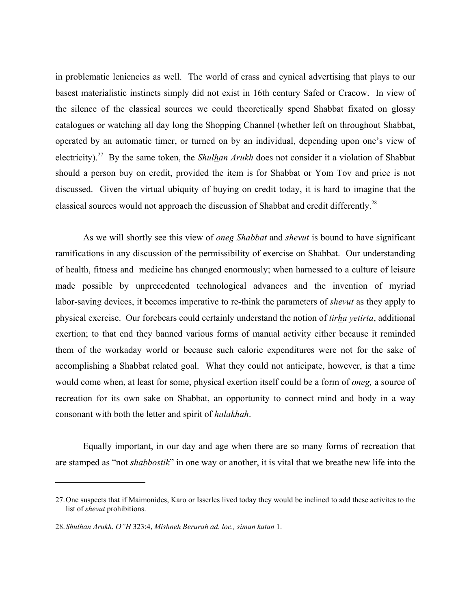in problematic leniencies as well. The world of crass and cynical advertising that plays to our basest materialistic instincts simply did not exist in 16th century Safed or Cracow. In view of the silence of the classical sources we could theoretically spend Shabbat fixated on glossy catalogues or watching all day long the Shopping Channel (whether left on throughout Shabbat, operated by an automatic timer, or turned on by an individual, depending upon one's view of electricity).27 By the same token, the *Shulhan Arukh* does not consider it a violation of Shabbat should a person buy on credit, provided the item is for Shabbat or Yom Tov and price is not discussed. Given the virtual ubiquity of buying on credit today, it is hard to imagine that the classical sources would not approach the discussion of Shabbat and credit differently.<sup>28</sup>

As we will shortly see this view of *oneg Shabbat* and *shevut* is bound to have significant ramifications in any discussion of the permissibility of exercise on Shabbat. Our understanding of health, fitness and medicine has changed enormously; when harnessed to a culture of leisure made possible by unprecedented technological advances and the invention of myriad labor-saving devices, it becomes imperative to re-think the parameters of *shevut* as they apply to physical exercise. Our forebears could certainly understand the notion of *tirha yetirta*, additional exertion; to that end they banned various forms of manual activity either because it reminded them of the workaday world or because such caloric expenditures were not for the sake of accomplishing a Shabbat related goal. What they could not anticipate, however, is that a time would come when, at least for some, physical exertion itself could be a form of *oneg,* a source of recreation for its own sake on Shabbat, an opportunity to connect mind and body in a way consonant with both the letter and spirit of *halakhah*.

Equally important, in our day and age when there are so many forms of recreation that are stamped as "not *shabbostik*" in one way or another, it is vital that we breathe new life into the

<sup>27.</sup>One suspects that if Maimonides, Karo or Isserles lived today they would be inclined to add these activites to the list of *shevut* prohibitions.

<sup>28.</sup>*Shulhan Arukh*, *O"H* 323:4, *Mishneh Berurah ad. loc., siman katan* 1.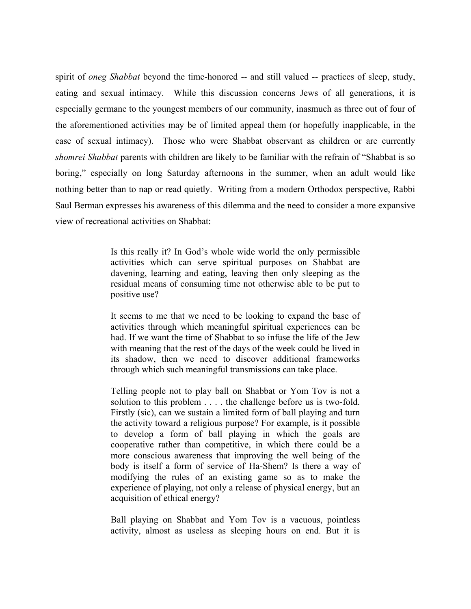spirit of *oneg Shabbat* beyond the time-honored -- and still valued -- practices of sleep, study, eating and sexual intimacy. While this discussion concerns Jews of all generations, it is especially germane to the youngest members of our community, inasmuch as three out of four of the aforementioned activities may be of limited appeal them (or hopefully inapplicable, in the case of sexual intimacy). Those who were Shabbat observant as children or are currently *shomrei Shabbat* parents with children are likely to be familiar with the refrain of "Shabbat is so boring," especially on long Saturday afternoons in the summer, when an adult would like nothing better than to nap or read quietly. Writing from a modern Orthodox perspective, Rabbi Saul Berman expresses his awareness of this dilemma and the need to consider a more expansive view of recreational activities on Shabbat:

> Is this really it? In God's whole wide world the only permissible activities which can serve spiritual purposes on Shabbat are davening, learning and eating, leaving then only sleeping as the residual means of consuming time not otherwise able to be put to positive use?

> It seems to me that we need to be looking to expand the base of activities through which meaningful spiritual experiences can be had. If we want the time of Shabbat to so infuse the life of the Jew with meaning that the rest of the days of the week could be lived in its shadow, then we need to discover additional frameworks through which such meaningful transmissions can take place.

> Telling people not to play ball on Shabbat or Yom Tov is not a solution to this problem . . . . the challenge before us is two-fold. Firstly (sic), can we sustain a limited form of ball playing and turn the activity toward a religious purpose? For example, is it possible to develop a form of ball playing in which the goals are cooperative rather than competitive, in which there could be a more conscious awareness that improving the well being of the body is itself a form of service of Ha-Shem? Is there a way of modifying the rules of an existing game so as to make the experience of playing, not only a release of physical energy, but an acquisition of ethical energy?

> Ball playing on Shabbat and Yom Tov is a vacuous, pointless activity, almost as useless as sleeping hours on end. But it is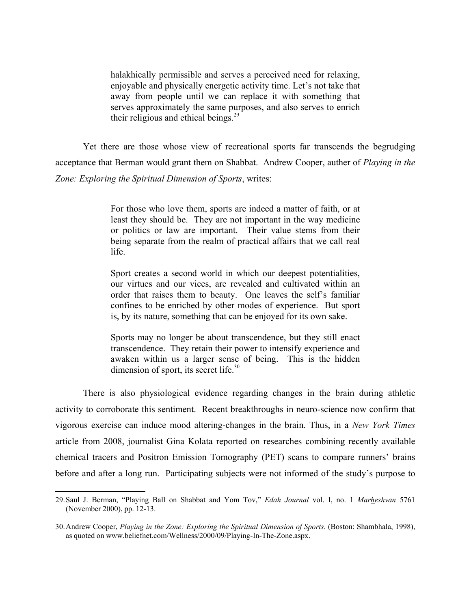halakhically permissible and serves a perceived need for relaxing, enjoyable and physically energetic activity time. Let's not take that away from people until we can replace it with something that serves approximately the same purposes, and also serves to enrich their religious and ethical beings. $29$ 

Yet there are those whose view of recreational sports far transcends the begrudging acceptance that Berman would grant them on Shabbat. Andrew Cooper, auther of *Playing in the Zone: Exploring the Spiritual Dimension of Sports*, writes:

> For those who love them, sports are indeed a matter of faith, or at least they should be. They are not important in the way medicine or politics or law are important. Their value stems from their being separate from the realm of practical affairs that we call real life.

> Sport creates a second world in which our deepest potentialities, our virtues and our vices, are revealed and cultivated within an order that raises them to beauty. One leaves the self's familiar confines to be enriched by other modes of experience. But sport is, by its nature, something that can be enjoyed for its own sake.

> Sports may no longer be about transcendence, but they still enact transcendence. They retain their power to intensify experience and awaken within us a larger sense of being. This is the hidden dimension of sport, its secret life.<sup>30</sup>

There is also physiological evidence regarding changes in the brain during athletic activity to corroborate this sentiment. Recent breakthroughs in neuro-science now confirm that vigorous exercise can induce mood altering-changes in the brain. Thus, in a *New York Times* article from 2008, journalist Gina Kolata reported on researches combining recently available chemical tracers and Positron Emission Tomography (PET) scans to compare runners' brains before and after a long run. Participating subjects were not informed of the study's purpose to

<sup>29.</sup>Saul J. Berman, "Playing Ball on Shabbat and Yom Tov," *Edah Journal* vol. I, no. 1 *Marheshvan* 5761 (November 2000), pp. 12-13.

<sup>30.</sup>Andrew Cooper, *Playing in the Zone: Exploring the Spiritual Dimension of Sports.* (Boston: Shambhala, 1998), as quoted on www.beliefnet.com/Wellness/2000/09/Playing-In-The-Zone.aspx.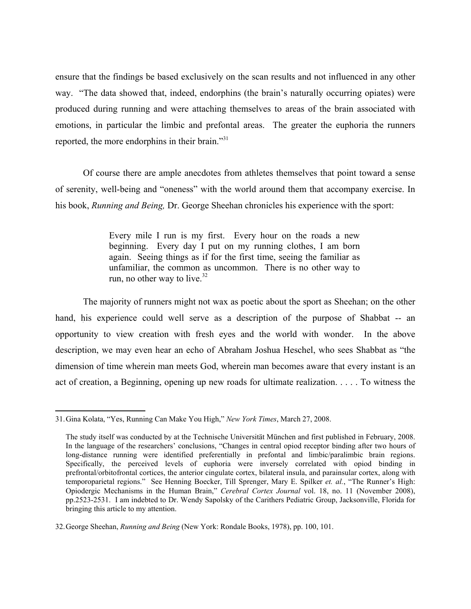ensure that the findings be based exclusively on the scan results and not influenced in any other way. "The data showed that, indeed, endorphins (the brain's naturally occurring opiates) were produced during running and were attaching themselves to areas of the brain associated with emotions, in particular the limbic and prefontal areas. The greater the euphoria the runners reported, the more endorphins in their brain."<sup>31</sup>

Of course there are ample anecdotes from athletes themselves that point toward a sense of serenity, well-being and "oneness" with the world around them that accompany exercise. In his book, *Running and Being,* Dr. George Sheehan chronicles his experience with the sport:

> Every mile I run is my first. Every hour on the roads a new beginning. Every day I put on my running clothes, I am born again. Seeing things as if for the first time, seeing the familiar as unfamiliar, the common as uncommon. There is no other way to run, no other way to live. $32$

The majority of runners might not wax as poetic about the sport as Sheehan; on the other hand, his experience could well serve as a description of the purpose of Shabbat -- an opportunity to view creation with fresh eyes and the world with wonder. In the above description, we may even hear an echo of Abraham Joshua Heschel, who sees Shabbat as "the dimension of time wherein man meets God, wherein man becomes aware that every instant is an act of creation, a Beginning, opening up new roads for ultimate realization. . . . . To witness the

<sup>31.</sup>Gina Kolata, "Yes, Running Can Make You High," *New York Times*, March 27, 2008.

The study itself was conducted by at the Technische Universität München and first published in February, 2008. In the language of the researchers' conclusions, "Changes in central opiod receptor binding after two hours of long-distance running were identified preferentially in prefontal and limbic/paralimbic brain regions. Specifically, the perceived levels of euphoria were inversely correlated with opiod binding in prefrontal/orbitofrontal cortices, the anterior cingulate cortex, bilateral insula, and parainsular cortex, along with temporoparietal regions." See Henning Boecker, Till Sprenger, Mary E. Spilker *et. al.*, "The Runner's High: Opiodergic Mechanisms in the Human Brain," *Cerebral Cortex Journal* vol. 18, no. 11 (November 2008), pp.2523-2531. I am indebted to Dr. Wendy Sapolsky of the Carithers Pediatric Group, Jacksonville, Florida for bringing this article to my attention.

<sup>32.</sup>George Sheehan, *Running and Being* (New York: Rondale Books, 1978), pp. 100, 101.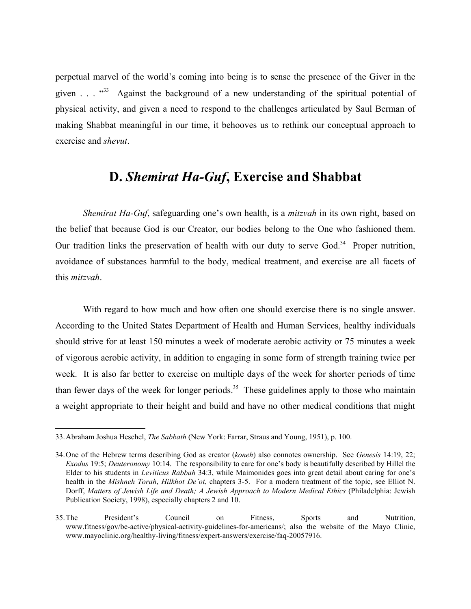perpetual marvel of the world's coming into being is to sense the presence of the Giver in the given . . .  $^{33}$  Against the background of a new understanding of the spiritual potential of physical activity, and given a need to respond to the challenges articulated by Saul Berman of making Shabbat meaningful in our time, it behooves us to rethink our conceptual approach to exercise and *shevut*.

## **D.** *Shemirat Ha-Guf***, Exercise and Shabbat**

*Shemirat Ha-Guf*, safeguarding one's own health, is a *mitzvah* in its own right, based on the belief that because God is our Creator, our bodies belong to the One who fashioned them. Our tradition links the preservation of health with our duty to serve God.<sup>34</sup> Proper nutrition, avoidance of substances harmful to the body, medical treatment, and exercise are all facets of this *mitzvah*.

With regard to how much and how often one should exercise there is no single answer. According to the United States Department of Health and Human Services, healthy individuals should strive for at least 150 minutes a week of moderate aerobic activity or 75 minutes a week of vigorous aerobic activity, in addition to engaging in some form of strength training twice per week. It is also far better to exercise on multiple days of the week for shorter periods of time than fewer days of the week for longer periods.<sup>35</sup> These guidelines apply to those who maintain a weight appropriate to their height and build and have no other medical conditions that might

<sup>33.</sup>Abraham Joshua Heschel, *The Sabbath* (New York: Farrar, Straus and Young, 1951), p. 100.

<sup>34.</sup>One of the Hebrew terms describing God as creator (*koneh*) also connotes ownership. See *Genesis* 14:19, 22; *Exodus* 19:5; *Deuteronomy* 10:14. The responsibility to care for one's body is beautifully described by Hillel the Elder to his students in *Leviticus Rabbah* 34:3, while Maimonides goes into great detail about caring for one's health in the *Mishneh Torah*, *Hilkhot De'ot*, chapters 3-5. For a modern treatment of the topic, see Elliot N. Dorff, *Matters of Jewish Life and Death; A Jewish Approach to Modern Medical Ethics* (Philadelphia: Jewish Publication Society, 1998), especially chapters 2 and 10.

<sup>35.</sup>The President's Council on Fitness, Sports and Nutrition, www.fitness/gov/be-active/physical-activity-guidelines-for-americans/; also the website of the Mayo Clinic, www.mayoclinic.org/healthy-living/fitness/expert-answers/exercise/faq-20057916.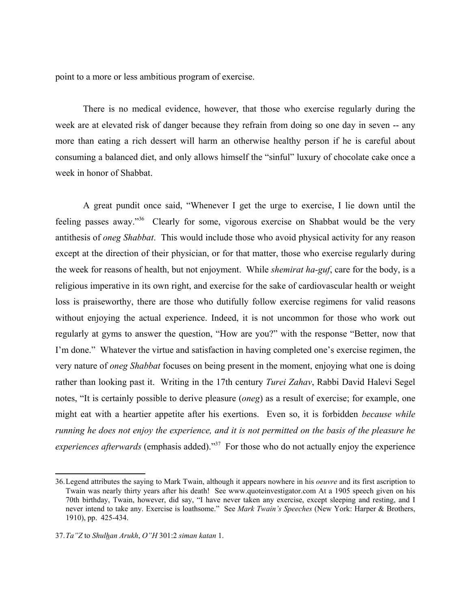point to a more or less ambitious program of exercise.

There is no medical evidence, however, that those who exercise regularly during the week are at elevated risk of danger because they refrain from doing so one day in seven -- any more than eating a rich dessert will harm an otherwise healthy person if he is careful about consuming a balanced diet, and only allows himself the "sinful" luxury of chocolate cake once a week in honor of Shabbat.

A great pundit once said, "Whenever I get the urge to exercise, I lie down until the feeling passes away."36 Clearly for some, vigorous exercise on Shabbat would be the very antithesis of *oneg Shabbat*. This would include those who avoid physical activity for any reason except at the direction of their physician, or for that matter, those who exercise regularly during the week for reasons of health, but not enjoyment. While *shemirat ha-guf*, care for the body, is a religious imperative in its own right, and exercise for the sake of cardiovascular health or weight loss is praiseworthy, there are those who dutifully follow exercise regimens for valid reasons without enjoying the actual experience. Indeed, it is not uncommon for those who work out regularly at gyms to answer the question, "How are you?" with the response "Better, now that I'm done." Whatever the virtue and satisfaction in having completed one's exercise regimen, the very nature of *oneg Shabbat* focuses on being present in the moment, enjoying what one is doing rather than looking past it. Writing in the 17th century *Turei Zahav*, Rabbi David Halevi Segel notes, "It is certainly possible to derive pleasure (*oneg*) as a result of exercise; for example, one might eat with a heartier appetite after his exertions. Even so, it is forbidden *because while running he does not enjoy the experience, and it is not permitted on the basis of the pleasure he experiences afterwards* (emphasis added)."<sup>37</sup> For those who do not actually enjoy the experience

<sup>36.</sup>Legend attributes the saying to Mark Twain, although it appears nowhere in his *oeuvre* and its first ascription to Twain was nearly thirty years after his death! See www.quoteinvestigator.com At a 1905 speech given on his 70th birthday, Twain, however, did say, "I have never taken any exercise, except sleeping and resting, and I never intend to take any. Exercise is loathsome." See *Mark Twain's Speeches* (New York: Harper & Brothers, 1910), pp. 425-434.

<sup>37.</sup>*Ta"Z* to *Shulhan Arukh*, *O"H* 301:2 *siman katan* 1.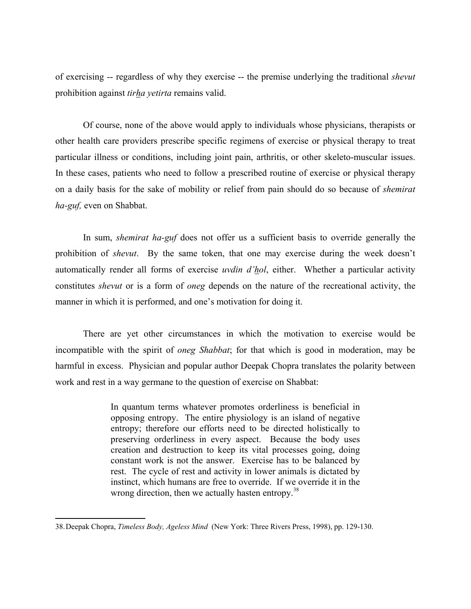of exercising -- regardless of why they exercise -- the premise underlying the traditional *shevut* prohibition against *tirha yetirta* remains valid.

Of course, none of the above would apply to individuals whose physicians, therapists or other health care providers prescribe specific regimens of exercise or physical therapy to treat particular illness or conditions, including joint pain, arthritis, or other skeleto-muscular issues. In these cases, patients who need to follow a prescribed routine of exercise or physical therapy on a daily basis for the sake of mobility or relief from pain should do so because of *shemirat ha-guf,* even on Shabbat.

In sum, *shemirat ha-guf* does not offer us a sufficient basis to override generally the prohibition of *shevut*. By the same token, that one may exercise during the week doesn't automatically render all forms of exercise *uvdin d'hol*, either. Whether a particular activity constitutes *shevut* or is a form of *oneg* depends on the nature of the recreational activity, the manner in which it is performed, and one's motivation for doing it.

There are yet other circumstances in which the motivation to exercise would be incompatible with the spirit of *oneg Shabbat*; for that which is good in moderation, may be harmful in excess. Physician and popular author Deepak Chopra translates the polarity between work and rest in a way germane to the question of exercise on Shabbat:

> In quantum terms whatever promotes orderliness is beneficial in opposing entropy. The entire physiology is an island of negative entropy; therefore our efforts need to be directed holistically to preserving orderliness in every aspect. Because the body uses creation and destruction to keep its vital processes going, doing constant work is not the answer. Exercise has to be balanced by rest. The cycle of rest and activity in lower animals is dictated by instinct, which humans are free to override. If we override it in the wrong direction, then we actually hasten entropy.<sup>38</sup>

<sup>38.</sup>Deepak Chopra, *Timeless Body, Ageless Mind* (New York: Three Rivers Press, 1998), pp. 129-130.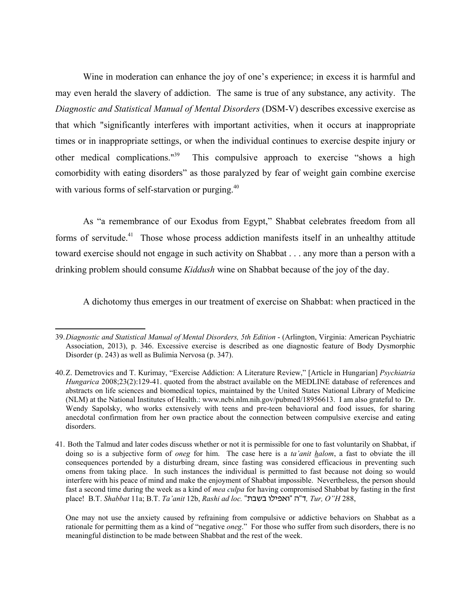Wine in moderation can enhance the joy of one's experience; in excess it is harmful and may even herald the slavery of addiction. The same is true of any substance, any activity. The *Diagnostic and Statistical Manual of Mental Disorders* (DSM-V) describes excessive exercise as that which "significantly interferes with important activities, when it occurs at inappropriate times or in inappropriate settings, or when the individual continues to exercise despite injury or other medical complications."39 This compulsive approach to exercise "shows a high comorbidity with eating disorders" as those paralyzed by fear of weight gain combine exercise with various forms of self-starvation or purging.<sup>40</sup>

As "a remembrance of our Exodus from Egypt," Shabbat celebrates freedom from all forms of servitude.<sup>41</sup> Those whose process addiction manifests itself in an unhealthy attitude toward exercise should not engage in such activity on Shabbat . . . any more than a person with a drinking problem should consume *Kiddush* wine on Shabbat because of the joy of the day.

A dichotomy thus emerges in our treatment of exercise on Shabbat: when practiced in the

<sup>39.</sup>*Diagnostic and Statistical Manual of Mental Disorders, 5th Edition* - (Arlington, Virginia: American Psychiatric Association, 2013), p. 346. Excessive exercise is described as one diagnostic feature of Body Dysmorphic Disorder (p. 243) as well as Bulimia Nervosa (p. 347).

<sup>40.</sup>Z. Demetrovics and T. Kurimay, "Exercise Addiction: A Literature Review," [Article in Hungarian] *Psychiatria Hungarica* 2008;23(2):129-41, quoted from the abstract available on the MEDLINE database of references and abstracts on life sciences and biomedical topics, maintained by the United States National Library of Medicine (NLM) at the National Institutes of Health.: www.ncbi.nlm.nih.gov/pubmed/18956613. I am also grateful to Dr. Wendy Sapolsky, who works extensively with teens and pre-teen behavioral and food issues, for sharing anecdotal confirmation from her own practice about the connection between compulsive exercise and eating disorders.

<sup>41.</sup> Both the Talmud and later codes discuss whether or not it is permissible for one to fast voluntarily on Shabbat, if doing so is a subjective form of *oneg* for him. The case here is a *ta'anit halom*, a fast to obviate the ill consequences portended by a disturbing dream, since fasting was considered efficacious in preventing such omens from taking place. In such instances the individual is permitted to fast because not doing so would interfere with his peace of mind and make the enjoyment of Shabbat impossible. Nevertheless, the person should fast a second time during the week as a kind of *mea culpa* for having compromised Shabbat by fasting in the first place! B.T. *Shabbat* 11a; B.T. *Ta'anit* 12b, *Rashi ad loc.* ",cac ukhptu" v"s*, Tur, O"H* 288,

One may not use the anxiety caused by refraining from compulsive or addictive behaviors on Shabbat as a rationale for permitting them as a kind of "negative *oneg*." For those who suffer from such disorders, there is no meaningful distinction to be made between Shabbat and the rest of the week.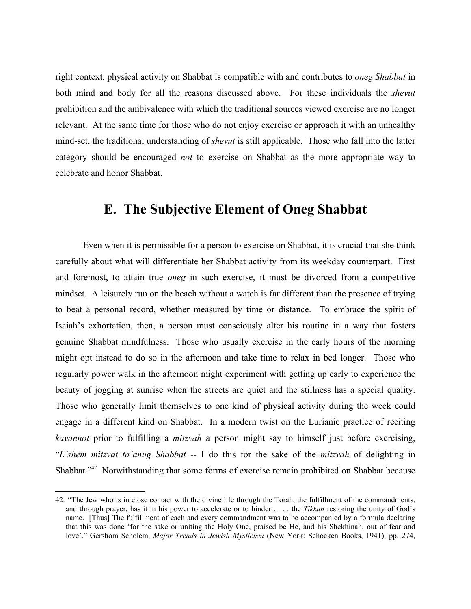right context, physical activity on Shabbat is compatible with and contributes to *oneg Shabbat* in both mind and body for all the reasons discussed above. For these individuals the *shevut* prohibition and the ambivalence with which the traditional sources viewed exercise are no longer relevant. At the same time for those who do not enjoy exercise or approach it with an unhealthy mind-set, the traditional understanding of *shevut* is still applicable. Those who fall into the latter category should be encouraged *not* to exercise on Shabbat as the more appropriate way to celebrate and honor Shabbat.

### **E. The Subjective Element of Oneg Shabbat**

Even when it is permissible for a person to exercise on Shabbat, it is crucial that she think carefully about what will differentiate her Shabbat activity from its weekday counterpart. First and foremost, to attain true *oneg* in such exercise, it must be divorced from a competitive mindset. A leisurely run on the beach without a watch is far different than the presence of trying to beat a personal record, whether measured by time or distance. To embrace the spirit of Isaiah's exhortation, then, a person must consciously alter his routine in a way that fosters genuine Shabbat mindfulness. Those who usually exercise in the early hours of the morning might opt instead to do so in the afternoon and take time to relax in bed longer. Those who regularly power walk in the afternoon might experiment with getting up early to experience the beauty of jogging at sunrise when the streets are quiet and the stillness has a special quality. Those who generally limit themselves to one kind of physical activity during the week could engage in a different kind on Shabbat. In a modern twist on the Lurianic practice of reciting *kavannot* prior to fulfilling a *mitzvah* a person might say to himself just before exercising, "*L'shem mitzvat ta'anug Shabbat* -- I do this for the sake of the *mitzvah* of delighting in Shabbat."<sup>42</sup> Notwithstanding that some forms of exercise remain prohibited on Shabbat because

<sup>42. &</sup>quot;The Jew who is in close contact with the divine life through the Torah, the fulfillment of the commandments, and through prayer, has it in his power to accelerate or to hinder . . . . the *Tikkun* restoring the unity of God's name. [Thus] The fulfillment of each and every commandment was to be accompanied by a formula declaring that this was done 'for the sake or uniting the Holy One, praised be He, and his Shekhinah, out of fear and love'." Gershom Scholem, *Major Trends in Jewish Mysticism* (New York: Schocken Books, 1941), pp. 274,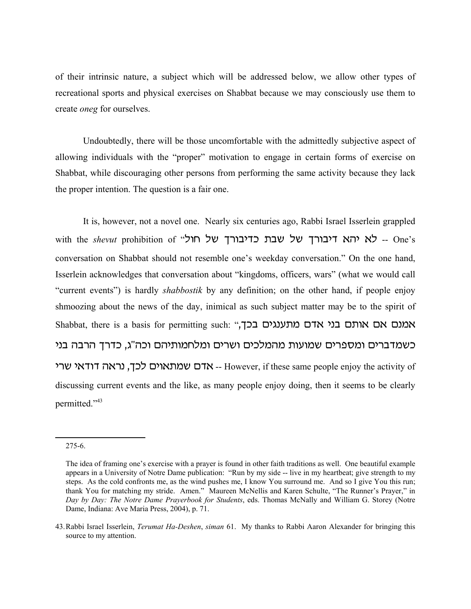of their intrinsic nature, a subject which will be addressed below, we allow other types of recreational sports and physical exercises on Shabbat because we may consciously use them to create *oneg* for ourselves.

Undoubtedly, there will be those uncomfortable with the admittedly subjective aspect of allowing individuals with the "proper" motivation to engage in certain forms of exercise on Shabbat, while discouraging other persons from performing the same activity because they lack the proper intention. The question is a fair one.

It is, however, not a novel one. Nearly six centuries ago, Rabbi Israel Isserlein grappled with the *shevut* prohibition of "א יהא דיבורך של שבת כדיבורך של חול -- One's conversation on Shabbat should not resemble one's weekday conversation." On the one hand, Isserlein acknowledges that conversation about "kingdoms, officers, wars" (what we would call "current events") is hardly *shabbostik* by any definition; on the other hand, if people enjoy shmoozing about the news of the day, inimical as such subject matter may be to the spirit of Shabbat, there is a basis for permitting such: "המנס אם אותם בני אדם מתענגים בכך, ' כשמדברים ומספרים שמועות מהמלכים ושרים ומלחמותיהם וכה"ג, כדרך הרבה בני אדם שמתאוים לכך, נראה דודאי שרי -- However, if these same people enjoy the activity of discussing current events and the like, as many people enjoy doing, then it seems to be clearly permitted."<sup>43</sup>

<sup>275-6.</sup>

The idea of framing one's exercise with a prayer is found in other faith traditions as well. One beautiful example appears in a University of Notre Dame publication: "Run by my side -- live in my heartbeat; give strength to my steps. As the cold confronts me, as the wind pushes me, I know You surround me. And so I give You this run; thank You for matching my stride. Amen." Maureen McNellis and Karen Schulte, "The Runner's Prayer," in *Day by Day: The Notre Dame Prayerbook for Students*, eds. Thomas McNally and William G. Storey (Notre Dame, Indiana: Ave Maria Press, 2004), p. 71.

<sup>43.</sup>Rabbi Israel Isserlein, *Terumat Ha-Deshen*, *siman* 61. My thanks to Rabbi Aaron Alexander for bringing this source to my attention.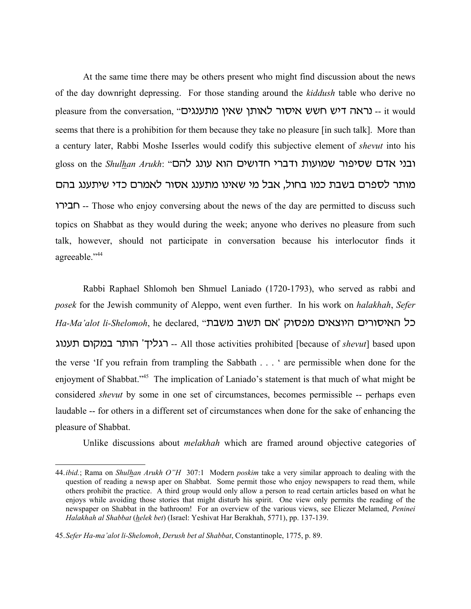At the same time there may be others present who might find discussion about the news of the day downright depressing. For those standing around the *kiddush* table who derive no pleasure from the conversation, "מעוגים ואין מתענגים -- it would seems that there is a prohibition for them because they take no pleasure [in such talk]. More than a century later, Rabbi Moshe Isserles would codify this subjective element of *shevut* into his gloss on the *Shulhan Arukh*: "ובני אדם שסיפור שמועות ודברי חדושים הוא עונג להם מותר לספרם בשבת כמו בחול, אבל מי שאינו מתענג אסור לאמרם כדי שיתענג בהם urhcj -- Those who enjoy conversing about the news of the day are permitted to discuss such topics on Shabbat as they would during the week; anyone who derives no pleasure from such talk, however, should not participate in conversation because his interlocutor finds it agreeable."44

Rabbi Raphael Shlomoh ben Shmuel Laniado (1720-1793), who served as rabbi and *posek* for the Jewish community of Aleppo, went even further. In his work on *halakhah*, *Sefer*  $Ha$ -Ma'alot li-Shelomoh, he declared, "אם תשוב משבת רגליך' הותר במקום תענוג All those activities prohibited [because of *shevut*] based upon the verse 'If you refrain from trampling the Sabbath . . . ' are permissible when done for the enjoyment of Shabbat."<sup>45</sup> The implication of Laniado's statement is that much of what might be considered *shevut* by some in one set of circumstances, becomes permissible -- perhaps even laudable -- for others in a different set of circumstances when done for the sake of enhancing the pleasure of Shabbat.

Unlike discussions about *melakhah* which are framed around objective categories of

<sup>44.</sup>*ibid.*; Rama on *Shulhan Arukh O"H* 307:1 Modern *poskim* take a very similar approach to dealing with the question of reading a newsp aper on Shabbat. Some permit those who enjoy newspapers to read them, while others prohibit the practice. A third group would only allow a person to read certain articles based on what he enjoys while avoiding those stories that might disturb his spirit. One view only permits the reading of the newspaper on Shabbat in the bathroom! For an overview of the various views, see Eliezer Melamed, *Peninei Halakhah al Shabbat* (*helek bet*) (Israel: Yeshivat Har Berakhah, 5771), pp. 137-139.

<sup>45.</sup>*Sefer Ha-ma'alot li-Shelomoh*, *Derush bet al Shabbat*, Constantinople, 1775, p. 89.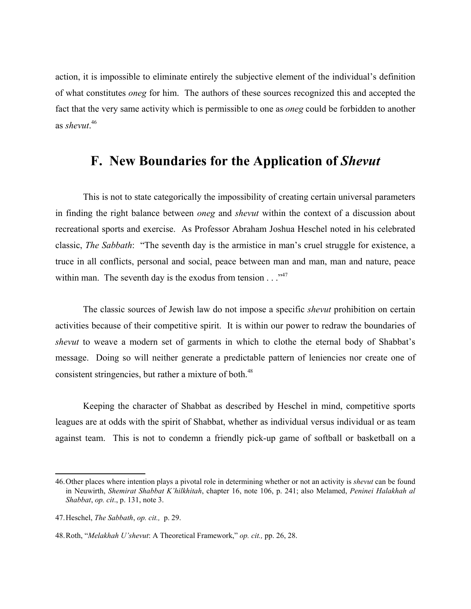action, it is impossible to eliminate entirely the subjective element of the individual's definition of what constitutes *oneg* for him. The authors of these sources recognized this and accepted the fact that the very same activity which is permissible to one as *oneg* could be forbidden to another as *shevut*. 46

# **F. New Boundaries for the Application of** *Shevut*

This is not to state categorically the impossibility of creating certain universal parameters in finding the right balance between *oneg* and *shevut* within the context of a discussion about recreational sports and exercise. As Professor Abraham Joshua Heschel noted in his celebrated classic, *The Sabbath*: "The seventh day is the armistice in man's cruel struggle for existence, a truce in all conflicts, personal and social, peace between man and man, man and nature, peace within man. The seventh day is the exodus from tension  $\ldots$ <sup>47</sup>

The classic sources of Jewish law do not impose a specific *shevut* prohibition on certain activities because of their competitive spirit. It is within our power to redraw the boundaries of *shevut* to weave a modern set of garments in which to clothe the eternal body of Shabbat's message. Doing so will neither generate a predictable pattern of leniencies nor create one of consistent stringencies, but rather a mixture of both.<sup>48</sup>

Keeping the character of Shabbat as described by Heschel in mind, competitive sports leagues are at odds with the spirit of Shabbat, whether as individual versus individual or as team against team. This is not to condemn a friendly pick-up game of softball or basketball on a

<sup>46.</sup>Other places where intention plays a pivotal role in determining whether or not an activity is *shevut* can be found in Neuwirth, *Shemirat Shabbat K'hilkhitah*, chapter 16, note 106, p. 241; also Melamed, *Peninei Halakhah al Shabbat*, *op. cit*., p. 131, note 3.

<sup>47.</sup>Heschel, *The Sabbath*, *op. cit.,* p. 29.

<sup>48.</sup>Roth, "*Melakhah U'shevut*: A Theoretical Framework," *op. cit.,* pp. 26, 28.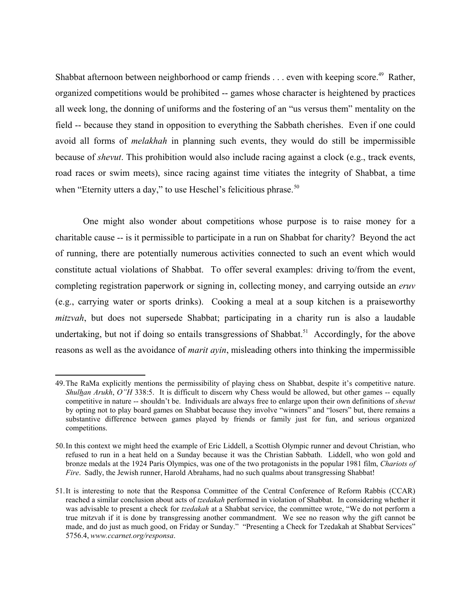Shabbat afternoon between neighborhood or camp friends  $\ldots$  even with keeping score.<sup>49</sup> Rather, organized competitions would be prohibited -- games whose character is heightened by practices all week long, the donning of uniforms and the fostering of an "us versus them" mentality on the field -- because they stand in opposition to everything the Sabbath cherishes. Even if one could avoid all forms of *melakhah* in planning such events, they would do still be impermissible because of *shevut*. This prohibition would also include racing against a clock (e.g., track events, road races or swim meets), since racing against time vitiates the integrity of Shabbat, a time when "Eternity utters a day," to use Heschel's felicitious phrase.<sup>50</sup>

One might also wonder about competitions whose purpose is to raise money for a charitable cause -- is it permissible to participate in a run on Shabbat for charity? Beyond the act of running, there are potentially numerous activities connected to such an event which would constitute actual violations of Shabbat. To offer several examples: driving to/from the event, completing registration paperwork or signing in, collecting money, and carrying outside an *eruv* (e.g., carrying water or sports drinks). Cooking a meal at a soup kitchen is a praiseworthy *mitzvah*, but does not supersede Shabbat; participating in a charity run is also a laudable undertaking, but not if doing so entails transgressions of Shabbat.<sup>51</sup> Accordingly, for the above reasons as well as the avoidance of *marit ayin*, misleading others into thinking the impermissible

<sup>49.</sup>The RaMa explicitly mentions the permissibility of playing chess on Shabbat, despite it's competitive nature. *Shulhan Arukh*, *O"H* 338:5. It is difficult to discern why Chess would be allowed, but other games -- equally competitive in nature -- shouldn't be. Individuals are always free to enlarge upon their own definitions of *shevut* by opting not to play board games on Shabbat because they involve "winners" and "losers" but, there remains a substantive difference between games played by friends or family just for fun, and serious organized competitions.

<sup>50.</sup>In this context we might heed the example of Eric Liddell, a Scottish Olympic runner and devout Christian, who refused to run in a heat held on a Sunday because it was the Christian Sabbath. Liddell, who won gold and bronze medals at the 1924 Paris Olympics, was one of the two protagonists in the popular 1981 film, *Chariots of Fire.* Sadly, the Jewish runner, Harold Abrahams, had no such qualms about transgressing Shabbat!

<sup>51.</sup>It is interesting to note that the Responsa Committee of the Central Conference of Reform Rabbis (CCAR) reached a similar conclusion about acts of *tzedakah* performed in violation of Shabbat. In considering whether it was advisable to present a check for *tzedakah* at a Shabbat service, the committee wrote, "We do not perform a true mitzvah if it is done by transgressing another commandment. We see no reason why the gift cannot be made, and do just as much good, on Friday or Sunday." "Presenting a Check for Tzedakah at Shabbat Services" 5756.4, *www.ccarnet.org/responsa*.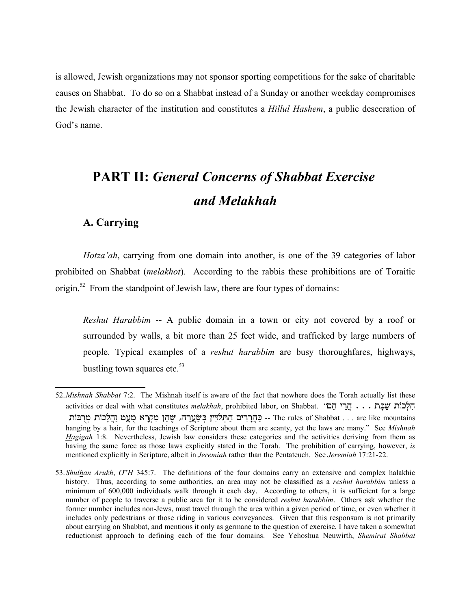is allowed, Jewish organizations may not sponsor sporting competitions for the sake of charitable causes on Shabbat. To do so on a Shabbat instead of a Sunday or another weekday compromises the Jewish character of the institution and constitutes a *Hillul Hashem*, a public desecration of God's name.

# **PART II:** *General Concerns of Shabbat Exercise and Melakhah*

### **A. Carrying**

*Hotza'ah*, carrying from one domain into another, is one of the 39 categories of labor prohibited on Shabbat (*melakhot*). According to the rabbis these prohibitions are of Toraitic origin.<sup>52</sup> From the standpoint of Jewish law, there are four types of domains:

*Reshut Harabbim* -- A public domain in a town or city not covered by a roof or surrounded by walls, a bit more than 25 feet wide, and trafficked by large numbers of people. Typical examples of a *reshut harabbim* are busy thoroughfares, highways, bustling town squares etc. $53$ 

<sup>52.</sup>*Mishnah Shabbat* 7:2. The Mishnah itself is aware of the fact that nowhere does the Torah actually list these activities or deal with what constitutes *melakhah*, prohibited labor, on Shabbat. "הֲרֵי הָם  $\ldots$ , הֵעֲכוֹת  $\ddot{\mathbf{w}}$ בָּת יִחֲלָיִין בְּשָׂעֲרָה, שֶׁהֵן מִקְרָא מָעָט וַהֲלָכוֹת מְרָבּוֹת -- The rules of Shabbat . . . are like mountains hanging by a hair, for the teachings of Scripture about them are scanty, yet the laws are many." See *Mishnah Hagigah* 1:8. Nevertheless, Jewish law considers these categories and the activities deriving from them as having the same force as those laws explicitly stated in the Torah. The prohibition of carrying, however, *is* mentioned explicitly in Scripture, albeit in *Jeremiah* rather than the Pentateuch. See *Jeremiah* 17:21-22.

<sup>53.</sup>*Shulhan Arukh*, *O*"*H* 345:7. The definitions of the four domains carry an extensive and complex halakhic history. Thus, according to some authorities, an area may not be classified as a *reshut harabbim* unless a minimum of 600,000 individuals walk through it each day. According to others, it is sufficient for a large number of people to traverse a public area for it to be considered *reshut harabbim*. Others ask whether the former number includes non-Jews, must travel through the area within a given period of time, or even whether it includes only pedestrians or those riding in various conveyances. Given that this responsum is not primarily about carrying on Shabbat, and mentions it only as germane to the question of exercise, I have taken a somewhat reductionist approach to defining each of the four domains. See Yehoshua Neuwirth, *Shemirat Shabbat*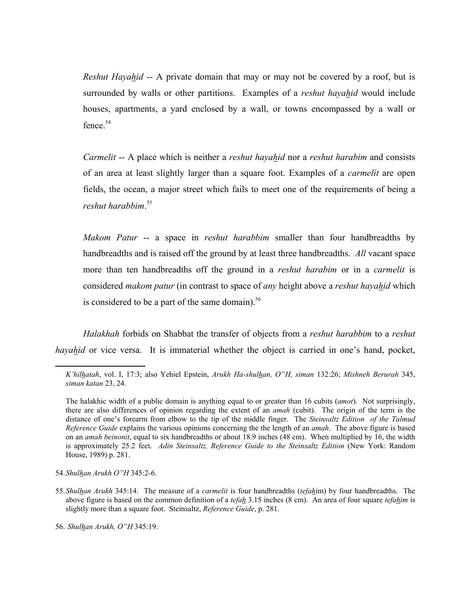*Reshut Hayahid* -- A private domain that may or may not be covered by a roof, but is surrounded by walls or other partitions. Examples of a *reshut hayahid* would include houses, apartments, a yard enclosed by a wall, or towns encompassed by a wall or fence.<sup>54</sup>

*Carmelit* -- A place which is neither a *reshut hayahid* nor a *reshut harabim* and consists of an area at least slightly larger than a square foot. Examples of a *carmelit* are open fields, the ocean, a major street which fails to meet one of the requirements of being a *reshut harabbim*. 55

*Makom Patur* -- a space in *reshut harabbim* smaller than four handbreadths by handbreadths and is raised off the ground by at least three handbreadths. *All* vacant space more than ten handbreadths off the ground in a *reshut harabim* or in a *carmelit* is considered *makom patur* (in contrast to space of *any* height above a *reshut hayahid* which is considered to be a part of the same domain). $56$ 

*Halakhah* forbids on Shabbat the transfer of objects from a *reshut harabbim* to a *reshut hayahid* or vice versa. It is immaterial whether the object is carried in one's hand, pocket,

56. *Shulhan Arukh, O"H* 345:19.

*K'hilhatah*, vol. I, 17:3; also Yehiel Epstein, *Arukh Ha-shulhan, O"H, siman* 132:26; *Mishneh Berurah* 345, *siman katan* 23, 24.

The halakhic width of a public domain is anything equal to or greater than 16 cubits (*amot*). Not surprisingly, there are also differences of opinion regarding the extent of an *amah* (cubit). The origin of the term is the distance of one's forearm from elbow to the tip of the middle finger. The *Steinsaltz Edition of the Talmud Reference Guide* explains the various opinions concerning the the length of an *amah*. The above figure is based on an *amah beinonit*, equal to six handbreadths or about 18.9 inches (48 cm). When multiplied by 16, the width is approximately 25.2 feet. *Adin Steinsaltz, Reference Guide to the Steinsaltz Edition* (New York: Random House, 1989) p. 281.

<sup>54.</sup>*Shulhan Arukh O"H* 345:2-6.

<sup>55.</sup>*Shulhan Arukh* 345:14. The measure of a *carmelit* is four handbreadths (*tefah*im) by four handbreadths. The above figure is based on the common definition of a *tefah* 3.15 inches (8 cm). An area of four square *tefahim* is slightly more than a square foot. Steinsaltz, *Reference Guide*, p. 281.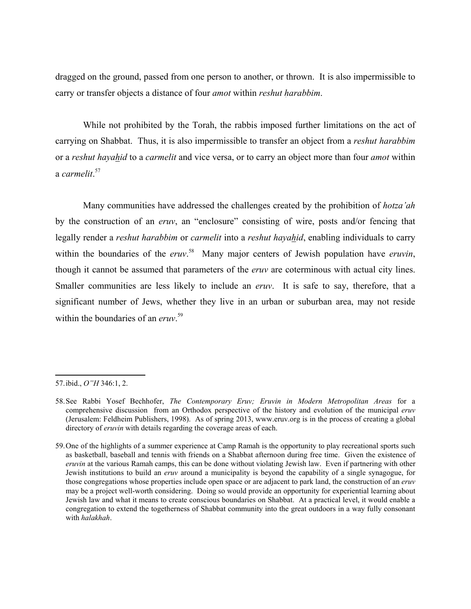dragged on the ground, passed from one person to another, or thrown. It is also impermissible to carry or transfer objects a distance of four *amot* within *reshut harabbim*.

While not prohibited by the Torah, the rabbis imposed further limitations on the act of carrying on Shabbat. Thus, it is also impermissible to transfer an object from a *reshut harabbim* or a *reshut hayahid* to a *carmelit* and vice versa, or to carry an object more than four *amot* within a *carmelit*. 57

Many communities have addressed the challenges created by the prohibition of *hotza'ah* by the construction of an *eruv*, an "enclosure" consisting of wire, posts and/or fencing that legally render a *reshut harabbim* or *carmelit* into a *reshut hayahid*, enabling individuals to carry within the boundaries of the *eruv*.<sup>58</sup> Many major centers of Jewish population have *eruvin*, though it cannot be assumed that parameters of the *eruv* are coterminous with actual city lines. Smaller communities are less likely to include an *eruv*. It is safe to say, therefore, that a significant number of Jews, whether they live in an urban or suburban area, may not reside within the boundaries of an *eruv*. 59

<sup>57.</sup>ibid., *O"H* 346:1, 2.

<sup>58.</sup>See Rabbi Yosef Bechhofer, *The Contemporary Eruv; Eruvin in Modern Metropolitan Areas* for a comprehensive discussion from an Orthodox perspective of the history and evolution of the municipal *eruv* (Jerusalem: Feldheim Publishers, 1998). As of spring 2013, www.eruv.org is in the process of creating a global directory of *eruvin* with details regarding the coverage areas of each.

<sup>59.</sup>One of the highlights of a summer experience at Camp Ramah is the opportunity to play recreational sports such as basketball, baseball and tennis with friends on a Shabbat afternoon during free time. Given the existence of *eruvin* at the various Ramah camps, this can be done without violating Jewish law. Even if partnering with other Jewish institutions to build an *eruv* around a municipality is beyond the capability of a single synagogue, for those congregations whose properties include open space or are adjacent to park land, the construction of an *eruv* may be a project well-worth considering. Doing so would provide an opportunity for experiential learning about Jewish law and what it means to create conscious boundaries on Shabbat. At a practical level, it would enable a congregation to extend the togetherness of Shabbat community into the great outdoors in a way fully consonant with *halakhah*.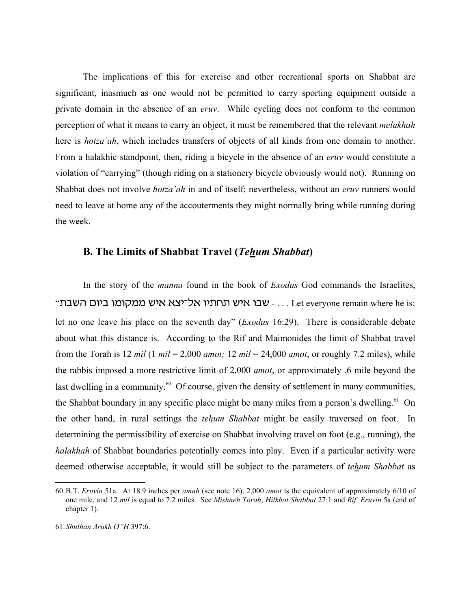The implications of this for exercise and other recreational sports on Shabbat are significant, inasmuch as one would not be permitted to carry sporting equipment outside a private domain in the absence of an *eruv*. While cycling does not conform to the common perception of what it means to carry an object, it must be remembered that the relevant *melakhah* here is *hotza'ah*, which includes transfers of objects of all kinds from one domain to another. From a halakhic standpoint, then, riding a bicycle in the absence of an *eruv* would constitute a violation of "carrying" (though riding on a stationery bicycle obviously would not). Running on Shabbat does not involve *hotza'ah* in and of itself; nevertheless, without an *eruv* runners would need to leave at home any of the accouterments they might normally bring while running during the week.

#### **B. The Limits of Shabbat Travel (***Tehum Shabbat***)**

In the story of the *manna* found in the book of *Exodus* God commands the Israelites, "... - שבו איש תחתיו אל־יצא איש ממקומו ביום השבת - ... Let everyone remain where he is: let no one leave his place on the seventh day" (*Exodus* 16:29). There is considerable debate about what this distance is. According to the Rif and Maimonides the limit of Shabbat travel from the Torah is 12 *mil*  $(1 \text{ mil} = 2,000 \text{ amot}$ ; 12 *mil*  $= 24,000 \text{ amot}$ , or roughly 7.2 miles), while the rabbis imposed a more restrictive limit of 2,000 *amot*, or approximately .6 mile beyond the last dwelling in a community. $^{60}$  Of course, given the density of settlement in many communities, the Shabbat boundary in any specific place might be many miles from a person's dwelling.<sup>61</sup> On the other hand, in rural settings the *tehum Shabbat* might be easily traversed on foot. In determining the permissibility of exercise on Shabbat involving travel on foot (e.g., running), the *halakhah* of Shabbat boundaries potentially comes into play. Even if a particular activity were deemed otherwise acceptable, it would still be subject to the parameters of *tehum Shabbat* as

<sup>60.</sup>B.T. *Eruvin* 51a. At 18.9 inches per *amah* (see note 16), 2,000 *amot* is the equivalent of approximately 6/10 of one mile, and 12 *mil* is equal to 7.2 miles. See *Mishneh Torah*, *Hilkhot Shabbat* 27:1 and *Rif Eruvin* 5a (end of chapter 1).

<sup>61.</sup>*Shulhan Arukh O"H* 397:6.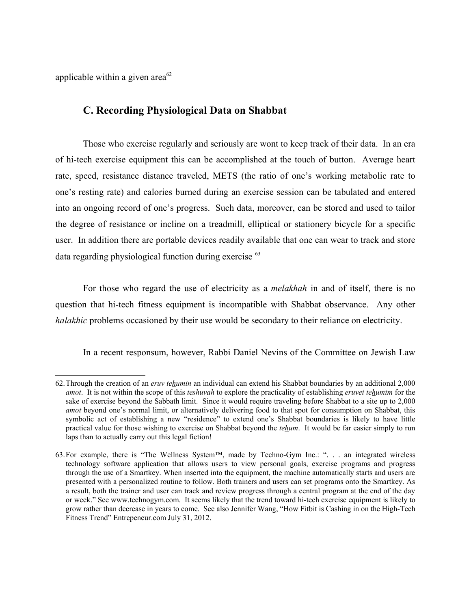applicable within a given area<sup>62</sup>

#### **C. Recording Physiological Data on Shabbat**

Those who exercise regularly and seriously are wont to keep track of their data. In an era of hi-tech exercise equipment this can be accomplished at the touch of button. Average heart rate, speed, resistance distance traveled, METS (the ratio of one's working metabolic rate to one's resting rate) and calories burned during an exercise session can be tabulated and entered into an ongoing record of one's progress. Such data, moreover, can be stored and used to tailor the degree of resistance or incline on a treadmill, elliptical or stationery bicycle for a specific user. In addition there are portable devices readily available that one can wear to track and store data regarding physiological function during exercise <sup>63</sup>

For those who regard the use of electricity as a *melakhah* in and of itself, there is no question that hi-tech fitness equipment is incompatible with Shabbat observance. Any other *halakhic* problems occasioned by their use would be secondary to their reliance on electricity.

In a recent responsum, however, Rabbi Daniel Nevins of the Committee on Jewish Law

<sup>62.</sup>Through the creation of an *eruv tehumin* an individual can extend his Shabbat boundaries by an additional 2,000 *amot*. It is not within the scope of this *teshuvah* to explore the practicality of establishing *eruvei tehumim* for the sake of exercise beyond the Sabbath limit. Since it would require traveling before Shabbat to a site up to 2,000 *amot* beyond one's normal limit, or alternatively delivering food to that spot for consumption on Shabbat, this symbolic act of establishing a new "residence" to extend one's Shabbat boundaries is likely to have little practical value for those wishing to exercise on Shabbat beyond the *tehum*. It would be far easier simply to run laps than to actually carry out this legal fiction!

<sup>63.</sup>For example, there is "The Wellness System™, made by Techno-Gym Inc.: ". . . an integrated wireless technology software application that allows users to view personal goals, exercise programs and progress through the use of a Smartkey. When inserted into the equipment, the machine automatically starts and users are presented with a personalized routine to follow. Both trainers and users can set programs onto the Smartkey. As a result, both the trainer and user can track and review progress through a central program at the end of the day or week." See www.technogym.com. It seems likely that the trend toward hi-tech exercise equipment is likely to grow rather than decrease in years to come. See also Jennifer Wang, "How Fitbit is Cashing in on the High-Tech Fitness Trend" Entrepeneur.com July 31, 2012.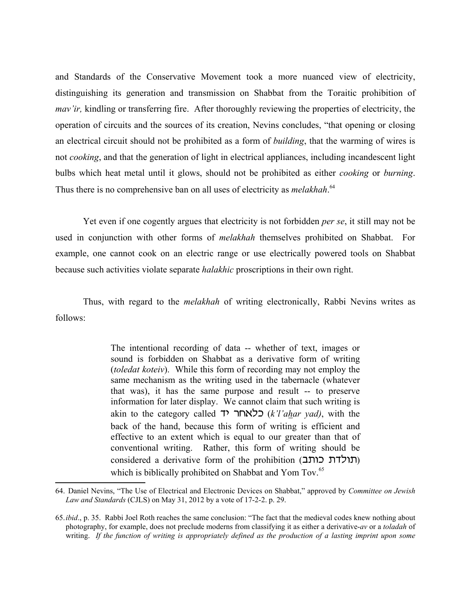and Standards of the Conservative Movement took a more nuanced view of electricity, distinguishing its generation and transmission on Shabbat from the Toraitic prohibition of *mav'ir*, kindling or transferring fire. After thoroughly reviewing the properties of electricity, the operation of circuits and the sources of its creation, Nevins concludes, "that opening or closing an electrical circuit should not be prohibited as a form of *building*, that the warming of wires is not *cooking*, and that the generation of light in electrical appliances, including incandescent light bulbs which heat metal until it glows, should not be prohibited as either *cooking* or *burning*. Thus there is no comprehensive ban on all uses of electricity as *melakhah*.<sup>64</sup>

Yet even if one cogently argues that electricity is not forbidden *per se*, it still may not be used in conjunction with other forms of *melakhah* themselves prohibited on Shabbat. For example, one cannot cook on an electric range or use electrically powered tools on Shabbat because such activities violate separate *halakhic* proscriptions in their own right.

Thus, with regard to the *melakhah* of writing electronically, Rabbi Nevins writes as follows:

> The intentional recording of data -- whether of text, images or sound is forbidden on Shabbat as a derivative form of writing (*toledat koteiv*). While this form of recording may not employ the same mechanism as the writing used in the tabernacle (whatever that was), it has the same purpose and result -- to preserve information for later display. We cannot claim that such writing is akin to the category called **ואחר (***k'l'ahar yad***)**, with the back of the hand, because this form of writing is efficient and effective to an extent which is equal to our greater than that of conventional writing. Rather, this form of writing should be considered a derivative form of the prohibition (תולדת כותב) which is biblically prohibited on Shabbat and Yom Tov.<sup>65</sup>

<sup>64.</sup> Daniel Nevins, "The Use of Electrical and Electronic Devices on Shabbat," approved by *Committee on Jewish Law and Standards* (CJLS) on May 31, 2012 by a vote of 17-2-2. p. 29.

<sup>65.</sup>*ibid*., p. 35. Rabbi Joel Roth reaches the same conclusion: "The fact that the medieval codes knew nothing about photography, for example, does not preclude moderns from classifying it as either a derivative-*av* or a *toladah* of writing. *If the function of writing is appropriately defined as the production of a lasting imprint upon some*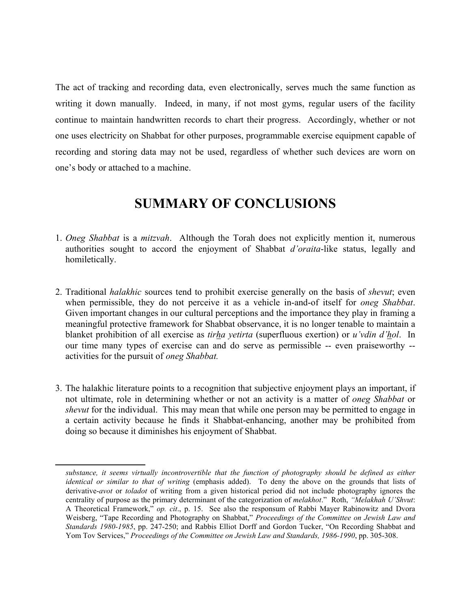The act of tracking and recording data, even electronically, serves much the same function as writing it down manually. Indeed, in many, if not most gyms, regular users of the facility continue to maintain handwritten records to chart their progress. Accordingly, whether or not one uses electricity on Shabbat for other purposes, programmable exercise equipment capable of recording and storing data may not be used, regardless of whether such devices are worn on one's body or attached to a machine.

# **SUMMARY OF CONCLUSIONS**

- *Oneg Shabbat* is a *mitzvah*. Although the Torah does not explicitly mention it, numerous 1. authorities sought to accord the enjoyment of Shabbat *d'oraita*-like status, legally and homiletically.
- 2. Traditional *halakhic* sources tend to prohibit exercise generally on the basis of *shevut*; even when permissible, they do not perceive it as a vehicle in-and-of itself for *oneg Shabbat*. Given important changes in our cultural perceptions and the importance they play in framing a meaningful protective framework for Shabbat observance, it is no longer tenable to maintain a blanket prohibition of all exercise as *tirha yetirta* (superfluous exertion) or *u'vdin d'hol*. In our time many types of exercise can and do serve as permissible -- even praiseworthy - activities for the pursuit of *oneg Shabbat.*
- 3. The halakhic literature points to a recognition that subjective enjoyment plays an important, if not ultimate, role in determining whether or not an activity is a matter of *oneg Shabbat* or *shevut* for the individual. This may mean that while one person may be permitted to engage in a certain activity because he finds it Shabbat-enhancing, another may be prohibited from doing so because it diminishes his enjoyment of Shabbat.

*substance, it seems virtually incontrovertible that the function of photography should be defined as either identical or similar to that of writing* (emphasis added). To deny the above on the grounds that lists of derivative-*avot* or *toladot* of writing from a given historical period did not include photography ignores the centrality of purpose as the primary determinant of the categorization of *melakhot*." Roth, *"Melakhah U'Shvut*: A Theoretical Framework," *op. cit*., p. 15. See also the responsum of Rabbi Mayer Rabinowitz and Dvora Weisberg, "Tape Recording and Photography on Shabbat," *Proceedings of the Committee on Jewish Law and Standards 1980-1985*, pp. 247-250; and Rabbis Elliot Dorff and Gordon Tucker, "On Recording Shabbat and Yom Tov Services," *Proceedings of the Committee on Jewish Law and Standards, 1986-1990*, pp. 305-308.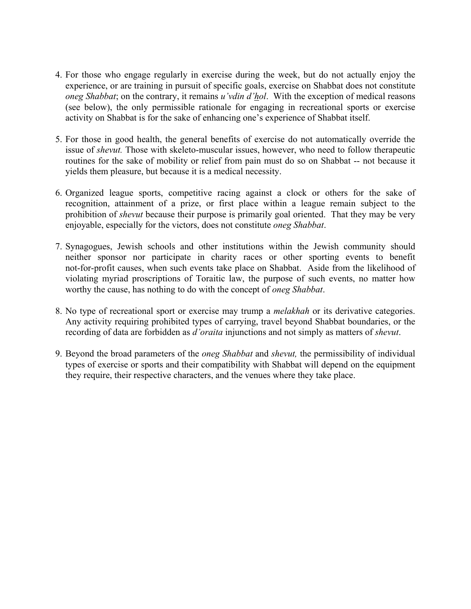- For those who engage regularly in exercise during the week, but do not actually enjoy the 4. experience, or are training in pursuit of specific goals, exercise on Shabbat does not constitute *oneg Shabbat*; on the contrary, it remains *u'vdin d'hol*. With the exception of medical reasons (see below), the only permissible rationale for engaging in recreational sports or exercise activity on Shabbat is for the sake of enhancing one's experience of Shabbat itself.
- 5. For those in good health, the general benefits of exercise do not automatically override the issue of *shevut.* Those with skeleto-muscular issues, however, who need to follow therapeutic routines for the sake of mobility or relief from pain must do so on Shabbat -- not because it yields them pleasure, but because it is a medical necessity.
- 6. Organized league sports, competitive racing against a clock or others for the sake of recognition, attainment of a prize, or first place within a league remain subject to the prohibition of *shevut* because their purpose is primarily goal oriented. That they may be very enjoyable, especially for the victors, does not constitute *oneg Shabbat*.
- 7. Synagogues, Jewish schools and other institutions within the Jewish community should neither sponsor nor participate in charity races or other sporting events to benefit not-for-profit causes, when such events take place on Shabbat. Aside from the likelihood of violating myriad proscriptions of Toraitic law, the purpose of such events, no matter how worthy the cause, has nothing to do with the concept of *oneg Shabbat*.
- 8. No type of recreational sport or exercise may trump a *melakhah* or its derivative categories. Any activity requiring prohibited types of carrying, travel beyond Shabbat boundaries, or the recording of data are forbidden as *d'oraita* injunctions and not simply as matters of *shevut*.
- Beyond the broad parameters of the *oneg Shabbat* and *shevut,* the permissibility of individual 9.types of exercise or sports and their compatibility with Shabbat will depend on the equipment they require, their respective characters, and the venues where they take place.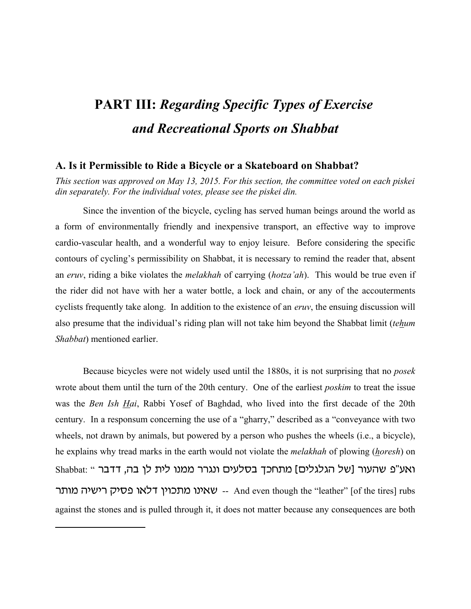# **PART III:** *Regarding Specific Types of Exercise and Recreational Sports on Shabbat*

#### **A. Is it Permissible to Ride a Bicycle or a Skateboard on Shabbat?**

*This section was approved on May 13, 2015. For this section, the committee voted on each piskei din separately. For the individual votes, please see the piskei din.*

Since the invention of the bicycle, cycling has served human beings around the world as a form of environmentally friendly and inexpensive transport, an effective way to improve cardio-vascular health, and a wonderful way to enjoy leisure. Before considering the specific contours of cycling's permissibility on Shabbat, it is necessary to remind the reader that, absent an *eruv*, riding a bike violates the *melakhah* of carrying (*hotza'ah*). This would be true even if the rider did not have with her a water bottle, a lock and chain, or any of the accouterments cyclists frequently take along. In addition to the existence of an *eruv*, the ensuing discussion will also presume that the individual's riding plan will not take him beyond the Shabbat limit (*tehum Shabbat*) mentioned earlier.

Because bicycles were not widely used until the 1880s, it is not surprising that no *posek* wrote about them until the turn of the 20th century. One of the earliest *poskim* to treat the issue was the *Ben Ish Hai*, Rabbi Yosef of Baghdad, who lived into the first decade of the 20th century. In a responsum concerning the use of a "gharry," described as a "conveyance with two wheels, not drawn by animals, but powered by a person who pushes the wheels (i.e., a bicycle), he explains why tread marks in the earth would not violate the *melakhah* of plowing (*horesh*) on Shabbat: " ואע"פ שהעור [של הגלגלים] מתחכך בסלעים ונגרר ממנו לית לן בה, דדבר - שאינו מתכוין דלאו פסיק רישיה מותר -- And even though the "leather" [of the tires] rubs against the stones and is pulled through it, it does not matter because any consequences are both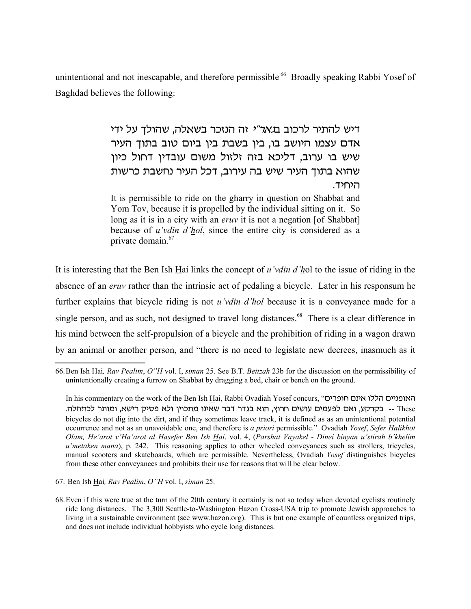unintentional and not inescapable, and therefore permissible <sup>66</sup> Broadly speaking Rabbi Yosef of Baghdad believes the following:

> דיש להתיר לרכוב ב*גאר"י* זה הנזכר בשאלה, שהולד על ידי אדם עצמו היושב בו, בין בשבת בין ביום טוב בתוך העיר שיש בו ערוב, דליכא בזה זלזול משום עובדין דחול כיון שהוא בתוך העיר שיש בה עירוב, דכל העיר נחשבת כרשות היחיד.

> It is permissible to ride on the gharry in question on Shabbat and Yom Tov, because it is propelled by the individual sitting on it. So long as it is in a city with an *eruv* it is not a negation [of Shabbat] because of *u'vdin d'hol*, since the entire city is considered as a private domain.<sup>67</sup>

It is interesting that the Ben Ish Hai links the concept of *u'vdin d'h*ol to the issue of riding in the absence of an *eruv* rather than the intrinsic act of pedaling a bicycle. Later in his responsum he further explains that bicycle riding is not *u'vdin d'hol* because it is a conveyance made for a single person, and as such, not designed to travel long distances.<sup>68</sup> There is a clear difference in his mind between the self-propulsion of a bicycle and the prohibition of riding in a wagon drawn by an animal or another person, and "there is no need to legislate new decrees, inasmuch as it

67. Ben Ish Hai*, Rav Pealim*, *O"H* vol. I, *siman* 25.

<sup>66.</sup>Ben Ish Hai*, Rav Pealim*, *O"H* vol. I, *siman* 25. See B.T. *Beitzah* 23b for the discussion on the permissibility of unintentionally creating a furrow on Shabbat by dragging a bed, chair or bench on the ground.

In his commentary on the work of the Ben Ish Hai, Rabbi Ovadiah Yosef concurs, "האופניים הללו אינם חופרים - בקרקע, ואם לפעמים עושים חרוץ, הוא בגדר דבר שאינו מתכוין ולא פסיק רישא, ומותר לכתחלה. bicycles do not dig into the dirt, and if they sometimes leave track, it is defined as as an unintentional potential occurrence and not as an unavoidable one, and therefore is *a priori* permissible." Ovadiah *Yosef*, *Sefer Halikhot Olam, He'arot v'Ha'arot al Hasefer Ben Ish Hai*. vol. 4, (*Parshat Vayakel - Dinei binyan u'stirah b'khelim u'metaken mana*), p. 242. This reasoning applies to other wheeled conveyances such as strollers, tricycles, manual scooters and skateboards, which are permissible. Nevertheless, Ovadiah *Yosef* distinguishes bicycles from these other conveyances and prohibits their use for reasons that will be clear below.

<sup>68.</sup>Even if this were true at the turn of the 20th century it certainly is not so today when devoted cyclists routinely ride long distances. The 3,300 Seattle-to-Washington Hazon Cross-USA trip to promote Jewish approaches to living in a sustainable environment (see www.hazon.org). This is but one example of countless organized trips, and does not include individual hobbyists who cycle long distances.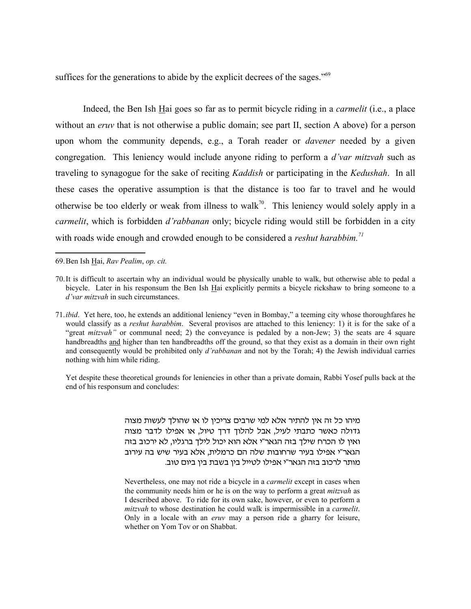suffices for the generations to abide by the explicit decrees of the sages."<sup>69</sup>

Indeed, the Ben Ish Hai goes so far as to permit bicycle riding in a *carmelit* (i.e., a place without an *eruv* that is not otherwise a public domain; see part II, section A above) for a person upon whom the community depends, e.g., a Torah reader or *davener* needed by a given congregation. This leniency would include anyone riding to perform a *d'var mitzvah* such as traveling to synagogue for the sake of reciting *Kaddish* or participating in the *Kedushah*. In all these cases the operative assumption is that the distance is too far to travel and he would otherwise be too elderly or weak from illness to walk<sup>70</sup>. This leniency would solely apply in a *carmelit*, which is forbidden *d'rabbanan* only; bicycle riding would still be forbidden in a city with roads wide enough and crowded enough to be considered a *reshut harabbim.<sup>71</sup>*

69.Ben Ish Hai, *Rav Pealim*, *op. cit.*

Yet despite these theoretical grounds for leniencies in other than a private domain, Rabbi Yosef pulls back at the end of his responsum and concludes:

> מיהו כל זה אין להתיר אלא למי שרבים צריכין לו או שהולך לעשות מצוה גדולה כאשר כתבתי לעיל, אבל להלוך דרך טיול, או אפילו לדבר מצוה ואין לו הכרח שילך בזה הגאר"י אלא הוא יכול לילך ברגליו, לא ירכוב בזה הגאר"י אפילו בעיר שרחובות שלה הם כרמלית, אלא בעיר שיש בה עירוב מותר לרכוב בזה הגאר"י אפילו לטייל בין בשבת בין ביום טוב.

> Nevertheless, one may not ride a bicycle in a *carmelit* except in cases when the community needs him or he is on the way to perform a great *mitzvah* as I described above. To ride for its own sake, however, or even to perform a *mitzvah* to whose destination he could walk is impermissible in a *carmelit*. Only in a locale with an *eruv* may a person ride a gharry for leisure, whether on Yom Tov or on Shabbat.

<sup>70.</sup>It is difficult to ascertain why an individual would be physically unable to walk, but otherwise able to pedal a bicycle. Later in his responsum the Ben Ish Hai explicitly permits a bicycle rickshaw to bring someone to a *d'var mitzvah* in such circumstances.

<sup>71.</sup>*ibid*. Yet here, too, he extends an additional leniency "even in Bombay," a teeming city whose thoroughfares he would classify as a *reshut harabbim*. Several provisos are attached to this leniency: 1) it is for the sake of a "great *mitzvah*" or communal need; 2) the conveyance is pedaled by a non-Jew; 3) the seats are 4 square handbreadths and higher than ten handbreadths off the ground, so that they exist as a domain in their own right and consequently would be prohibited only *d'rabbanan* and not by the Torah; 4) the Jewish individual carries nothing with him while riding.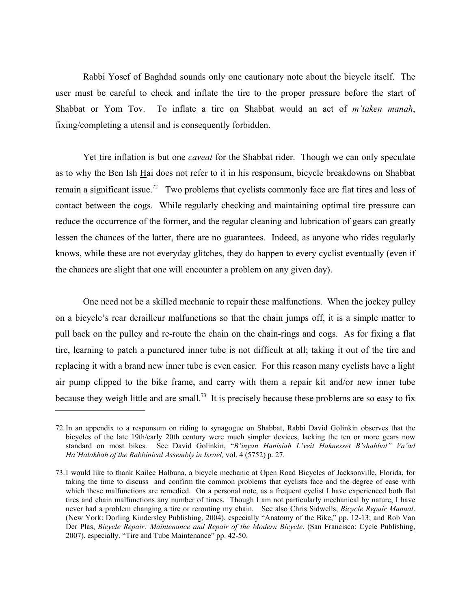Rabbi Yosef of Baghdad sounds only one cautionary note about the bicycle itself. The user must be careful to check and inflate the tire to the proper pressure before the start of Shabbat or Yom Tov. To inflate a tire on Shabbat would an act of *m'taken manah*, fixing/completing a utensil and is consequently forbidden.

Yet tire inflation is but one *caveat* for the Shabbat rider. Though we can only speculate as to why the Ben Ish Hai does not refer to it in his responsum, bicycle breakdowns on Shabbat remain a significant issue.<sup>72</sup> Two problems that cyclists commonly face are flat tires and loss of contact between the cogs. While regularly checking and maintaining optimal tire pressure can reduce the occurrence of the former, and the regular cleaning and lubrication of gears can greatly lessen the chances of the latter, there are no guarantees. Indeed, as anyone who rides regularly knows, while these are not everyday glitches, they do happen to every cyclist eventually (even if the chances are slight that one will encounter a problem on any given day).

One need not be a skilled mechanic to repair these malfunctions. When the jockey pulley on a bicycle's rear derailleur malfunctions so that the chain jumps off, it is a simple matter to pull back on the pulley and re-route the chain on the chain-rings and cogs. As for fixing a flat tire, learning to patch a punctured inner tube is not difficult at all; taking it out of the tire and replacing it with a brand new inner tube is even easier. For this reason many cyclists have a light air pump clipped to the bike frame, and carry with them a repair kit and/or new inner tube because they weigh little and are small.<sup>73</sup> It is precisely because these problems are so easy to fix

<sup>72.</sup>In an appendix to a responsum on riding to synagogue on Shabbat, Rabbi David Golinkin observes that the bicycles of the late 19th/early 20th century were much simpler devices, lacking the ten or more gears now standard on most bikes. See David Golinkin, "*B'inyan Hanisiah L'veit Haknesset B'shabbat" Va'ad Ha'Halakhah of the Rabbinical Assembly in Israel,* vol. 4 (5752) p. 27.

<sup>73.</sup>I would like to thank Kailee Halbuna, a bicycle mechanic at Open Road Bicycles of Jacksonville, Florida, for taking the time to discuss and confirm the common problems that cyclists face and the degree of ease with which these malfunctions are remedied. On a personal note, as a frequent cyclist I have experienced both flat tires and chain malfunctions any number of times. Though I am not particularly mechanical by nature, I have never had a problem changing a tire or rerouting my chain. See also Chris Sidwells, *Bicycle Repair Manual*. (New York: Dorling Kindersley Publishing, 2004), especially "Anatomy of the Bike," pp. 12-13; and Rob Van Der Plas, *Bicycle Repair: Maintenance and Repair of the Modern Bicycle*. (San Francisco: Cycle Publishing, 2007), especially. "Tire and Tube Maintenance" pp. 42-50.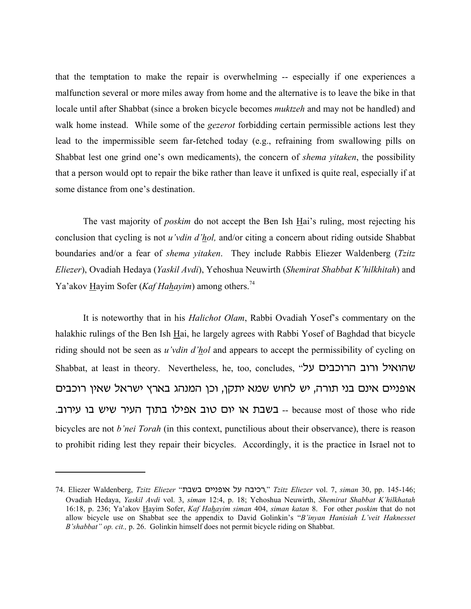that the temptation to make the repair is overwhelming -- especially if one experiences a malfunction several or more miles away from home and the alternative is to leave the bike in that locale until after Shabbat (since a broken bicycle becomes *muktzeh* and may not be handled) and walk home instead. While some of the *gezerot* forbidding certain permissible actions lest they lead to the impermissible seem far-fetched today (e.g., refraining from swallowing pills on Shabbat lest one grind one's own medicaments), the concern of *shema yitaken*, the possibility that a person would opt to repair the bike rather than leave it unfixed is quite real, especially if at some distance from one's destination.

The vast majority of *poskim* do not accept the Ben Ish Hai's ruling, most rejecting his conclusion that cycling is not *u'vdin d'hol,* and/or citing a concern about riding outside Shabbat boundaries and/or a fear of *shema yitaken*. They include Rabbis Eliezer Waldenberg (*Tzitz Eliezer*), Ovadiah Hedaya (*Yaskil Avdi*), Yehoshua Neuwirth (*Shemirat Shabbat K'hilkhitah*) and Ya'akov Hayim Sofer (*Kaf Hahayim*) among others.<sup>74</sup>

It is noteworthy that in his *Halichot Olam*, Rabbi Ovadiah Yosef's commentary on the halakhic rulings of the Ben Ish Hai, he largely agrees with Rabbi Yosef of Baghdad that bicycle riding should not be seen as *u'vdin d'hol* and appears to accept the permissibility of cycling on Shabbat, at least in theory. Nevertheless, he, too, concludes, "עהואיל ורוב הרוכבים על אופניים אינם בני תורה, יש לחוש שמא יתקן, וכן המנהג בארץ ישראל שאין רוכבים - בשבת או יום טוב אפילו בתוך העיר שיש בו עירוב. because most of those who ride bicycles are not *b'nei Torah* (in this context, punctilious about their observance), there is reason to prohibit riding lest they repair their bicycles. Accordingly, it is the practice in Israel not to

<sup>74.</sup> Eliezer Waldenberg, *Tzitz Eliezer* ",cac ohhbput kg vchfr," *Tzitz Eliezer* vol. 7, *siman* 30, pp. 145-146; Ovadiah Hedaya, *Yaskil Avdi* vol. 3, *siman* 12:4, p. 18; Yehoshua Neuwirth, *Shemirat Shabbat K'hilkhatah* 16:18, p. 236; Ya'akov Hayim Sofer, *Kaf Hahayim siman* 404, *siman katan* 8. For other *poskim* that do not allow bicycle use on Shabbat see the appendix to David Golinkin's "*B'inyan Hanisiah L'veit Haknesset B'shabbat" op. cit.,* p. 26. Golinkin himself does not permit bicycle riding on Shabbat.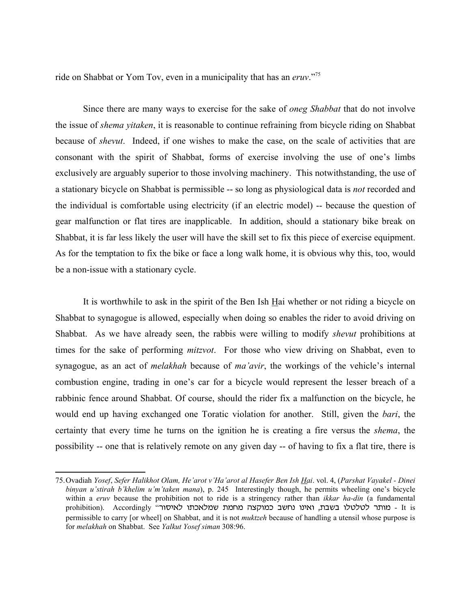ride on Shabbat or Yom Tov, even in a municipality that has an *eruv*."<sup>75</sup>

Since there are many ways to exercise for the sake of *oneg Shabbat* that do not involve the issue of *shema yitaken*, it is reasonable to continue refraining from bicycle riding on Shabbat because of *shevut*. Indeed, if one wishes to make the case, on the scale of activities that are consonant with the spirit of Shabbat, forms of exercise involving the use of one's limbs exclusively are arguably superior to those involving machinery. This notwithstanding, the use of a stationary bicycle on Shabbat is permissible -- so long as physiological data is *not* recorded and the individual is comfortable using electricity (if an electric model) -- because the question of gear malfunction or flat tires are inapplicable. In addition, should a stationary bike break on Shabbat, it is far less likely the user will have the skill set to fix this piece of exercise equipment. As for the temptation to fix the bike or face a long walk home, it is obvious why this, too, would be a non-issue with a stationary cycle.

It is worthwhile to ask in the spirit of the Ben Ish Hai whether or not riding a bicycle on Shabbat to synagogue is allowed, especially when doing so enables the rider to avoid driving on Shabbat. As we have already seen, the rabbis were willing to modify *shevut* prohibitions at times for the sake of performing *mitzvot*. For those who view driving on Shabbat, even to synagogue, as an act of *melakhah* because of *ma'avir*, the workings of the vehicle's internal combustion engine, trading in one's car for a bicycle would represent the lesser breach of a rabbinic fence around Shabbat. Of course, should the rider fix a malfunction on the bicycle, he would end up having exchanged one Toratic violation for another. Still, given the *bari*, the certainty that every time he turns on the ignition he is creating a fire versus the *shema*, the possibility -- one that is relatively remote on any given day -- of having to fix a flat tire, there is

<sup>75.</sup>Ovadiah *Yosef*, *Sefer Halikhot Olam, He'arot v'Ha'arot al Hasefer Ben Ish Hai*. vol. 4, (*Parshat Vayakel - Dinei binyan u'stirah b'khelim u'm'taken mana*), p. 245 Interestingly though, he permits wheeling one's bicycle within a *eruv* because the prohibition not to ride is a stringency rather than *ikkar ha-din* (a fundamental prohibition). Accordingly - מותר לטלטלו בשבת, ואינו נחשב כמוקצה מחמת שמלאכתו לאיסור ', accordingly permissible to carry [or wheel] on Shabbat, and it is not *muktzeh* because of handling a utensil whose purpose is for *melakhah* on Shabbat. See *Yalkut Yosef siman* 308:96.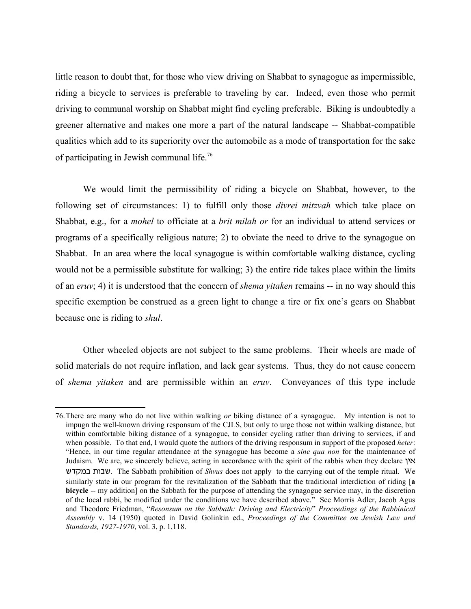little reason to doubt that, for those who view driving on Shabbat to synagogue as impermissible, riding a bicycle to services is preferable to traveling by car. Indeed, even those who permit driving to communal worship on Shabbat might find cycling preferable. Biking is undoubtedly a greener alternative and makes one more a part of the natural landscape -- Shabbat-compatible qualities which add to its superiority over the automobile as a mode of transportation for the sake of participating in Jewish communal life.<sup>76</sup>

We would limit the permissibility of riding a bicycle on Shabbat, however, to the following set of circumstances: 1) to fulfill only those *divrei mitzvah* which take place on Shabbat, e.g., for a *mohel* to officiate at a *brit milah or* for an individual to attend services or programs of a specifically religious nature; 2) to obviate the need to drive to the synagogue on Shabbat. In an area where the local synagogue is within comfortable walking distance, cycling would not be a permissible substitute for walking; 3) the entire ride takes place within the limits of an *eruv*; 4) it is understood that the concern of *shema yitaken* remains -- in no way should this specific exemption be construed as a green light to change a tire or fix one's gears on Shabbat because one is riding to *shul*.

Other wheeled objects are not subject to the same problems. Their wheels are made of solid materials do not require inflation, and lack gear systems. Thus, they do not cause concern of *shema yitaken* and are permissible within an *eruv*. Conveyances of this type include

<sup>76.</sup>There are many who do not live within walking *or* biking distance of a synagogue. My intention is not to impugn the well-known driving responsum of the CJLS, but only to urge those not within walking distance, but within comfortable biking distance of a synagogue, to consider cycling rather than driving to services, if and when possible. To that end, I would quote the authors of the driving responsum in support of the proposed *heter*: "Hence, in our time regular attendance at the synagogue has become a *sine qua non* for the maintenance of Judaism. We are, we sincerely believe, acting in accordance with the spirit of the rabbis when they declare  $\gamma$ asenc ,uca. The Sabbath prohibition of *Shvus* does not apply to the carrying out of the temple ritual. We similarly state in our program for the revitalization of the Sabbath that the traditional interdiction of riding [**a bicycle** -- my addition] on the Sabbath for the purpose of attending the synagogue service may, in the discretion of the local rabbi, be modified under the conditions we have described above." See Morris Adler, Jacob Agus and Theodore Friedman, "*Resonsum on the Sabbath: Driving and Electricity*" *Proceedings of the Rabbinical Assembly* v. 14 (1950) quoted in David Golinkin ed., *Proceedings of the Committee on Jewish Law and Standards, 1927-1970*, vol. 3, p. 1,118.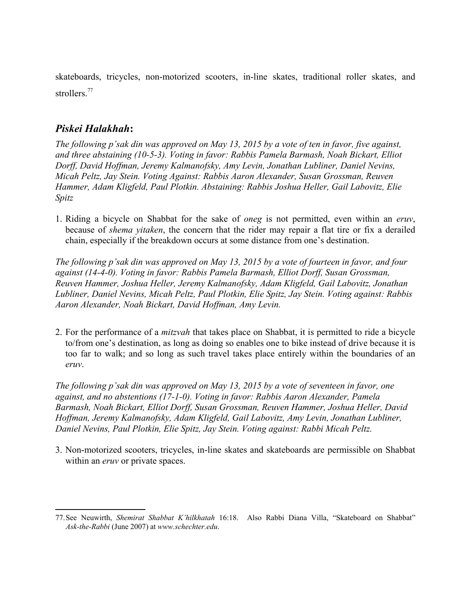skateboards, tricycles, non-motorized scooters, in-line skates, traditional roller skates, and strollers.<sup>77</sup>

# *Piskei Halakhah***:**

*The following p'sak din was approved on May 13, 2015 by a vote of ten in favor, five against, and three abstaining (10-5-3). Voting in favor: Rabbis Pamela Barmash, Noah Bickart, Elliot Dorff, David Hoffman, Jeremy Kalmanofsky, Amy Levin, Jonathan Lubliner, Daniel Nevins, Micah Peltz, Jay Stein. Voting Against: Rabbis Aaron Alexander, Susan Grossman, Reuven Hammer, Adam Kligfeld, Paul Plotkin. Abstaining: Rabbis Joshua Heller, Gail Labovitz, Elie Spitz*

1. Riding a bicycle on Shabbat for the sake of *oneg* is not permitted, even within an *eruv*, because of *shema yitaken*, the concern that the rider may repair a flat tire or fix a derailed chain, especially if the breakdown occurs at some distance from one's destination.

*The following p'sak din was approved on May 13, 2015 by a vote of fourteen in favor, and four against (14-4-0). Voting in favor: Rabbis Pamela Barmash, Elliot Dorff, Susan Grossman, Reuven Hammer, Joshua Heller, Jeremy Kalmanofsky, Adam Kligfeld, Gail Labovitz, Jonathan Lubliner, Daniel Nevins, Micah Peltz, Paul Plotkin, Elie Spitz, Jay Stein. Voting against: Rabbis Aaron Alexander, Noah Bickart, David Hoffman, Amy Levin.*

2. For the performance of a *mitzvah* that takes place on Shabbat, it is permitted to ride a bicycle to/from one's destination, as long as doing so enables one to bike instead of drive because it is too far to walk; and so long as such travel takes place entirely within the boundaries of an *eruv*.

*The following p'sak din was approved on May 13, 2015 by a vote of seventeen in favor, one against, and no abstentions (17-1-0). Voting in favor: Rabbis Aaron Alexander, Pamela Barmash, Noah Bickart, Elliot Dorff, Susan Grossman, Reuven Hammer, Joshua Heller, David Hoffman, Jeremy Kalmanofsky, Adam Kligfeld, Gail Labovitz, Amy Levin, Jonathan Lubliner, Daniel Nevins, Paul Plotkin, Elie Spitz, Jay Stein. Voting against: Rabbi Micah Peltz.*

3. Non-motorized scooters, tricycles, in-line skates and skateboards are permissible on Shabbat within an *eruv* or private spaces.

<sup>77.</sup>See Neuwirth, *Shemirat Shabbat K'hilkhatah* 16:18. Also Rabbi Diana Villa, "Skateboard on Shabbat" *Ask-the-Rabbi* (June 2007) at *www.schechter.edu*.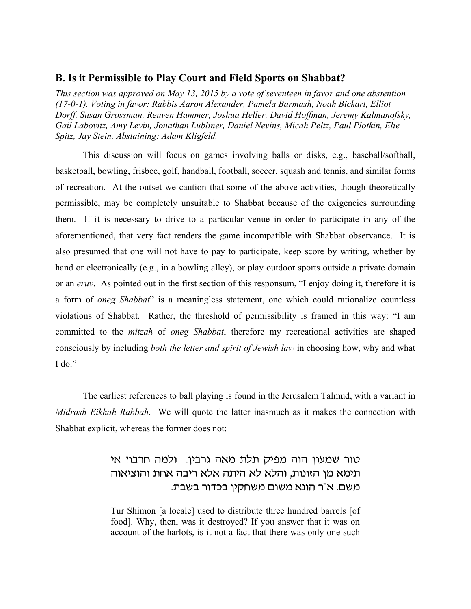#### **B. Is it Permissible to Play Court and Field Sports on Shabbat?**

*This section was approved on May 13, 2015 by a vote of seventeen in favor and one abstention (17-0-1). Voting in favor: Rabbis Aaron Alexander, Pamela Barmash, Noah Bickart, Elliot Dorff, Susan Grossman, Reuven Hammer, Joshua Heller, David Hoffman, Jeremy Kalmanofsky, Gail Labovitz, Amy Levin, Jonathan Lubliner, Daniel Nevins, Micah Peltz, Paul Plotkin, Elie Spitz, Jay Stein. Abstaining: Adam Kligfeld.*

This discussion will focus on games involving balls or disks, e.g., baseball/softball, basketball, bowling, frisbee, golf, handball, football, soccer, squash and tennis, and similar forms of recreation. At the outset we caution that some of the above activities, though theoretically permissible, may be completely unsuitable to Shabbat because of the exigencies surrounding them. If it is necessary to drive to a particular venue in order to participate in any of the aforementioned, that very fact renders the game incompatible with Shabbat observance. It is also presumed that one will not have to pay to participate, keep score by writing, whether by hand or electronically (e.g., in a bowling alley), or play outdoor sports outside a private domain or an *eruv*. As pointed out in the first section of this responsum, "I enjoy doing it, therefore it is a form of *oneg Shabbat*" is a meaningless statement, one which could rationalize countless violations of Shabbat. Rather, the threshold of permissibility is framed in this way: "I am committed to the *mitzah* of *oneg Shabbat*, therefore my recreational activities are shaped consciously by including *both the letter and spirit of Jewish law* in choosing how, why and what I do."

The earliest references to ball playing is found in the Jerusalem Talmud, with a variant in *Midrash Eikhah Rabbah*. We will quote the latter inasmuch as it makes the connection with Shabbat explicit, whereas the former does not:

# טור שמעון הוה מפיק תלת מאה גרבין. ולמה חרבוי אי תימא מן הזונות, והלא לא היתה אלא ריבה אחת והוציאוה משם. א"ר הונא משום משחקין בכדור בשבת.

Tur Shimon [a locale] used to distribute three hundred barrels [of food]. Why, then, was it destroyed? If you answer that it was on account of the harlots, is it not a fact that there was only one such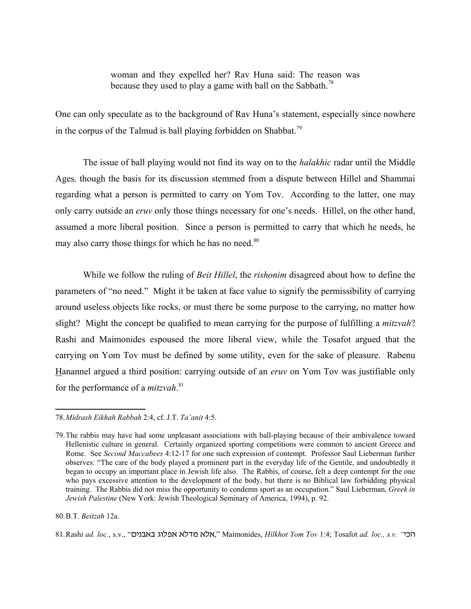woman and they expelled her? Rav Huna said: The reason was because they used to play a game with ball on the Sabbath.<sup>78</sup>

One can only speculate as to the background of Rav Huna's statement, especially since nowhere in the corpus of the Talmud is ball playing forbidden on Shabbat.<sup>79</sup>

The issue of ball playing would not find its way on to the *halakhic* radar until the Middle Ages*,* though the basis for its discussion stemmed from a dispute between Hillel and Shammai regarding what a person is permitted to carry on Yom Tov. According to the latter, one may only carry outside an *eruv* only those things necessary for one's needs. Hillel, on the other hand, assumed a more liberal position. Since a person is permitted to carry that which he needs, he may also carry those things for which he has no need.<sup>80</sup>

While we follow the ruling of *Beit Hillel*, the *rishonim* disagreed about how to define the parameters of "no need." Might it be taken at face value to signify the permissibility of carrying around useless objects like rocks, or must there be some purpose to the carrying, no matter how slight? Might the concept be qualified to mean carrying for the purpose of fulfilling a *mitzvah*? Rashi and Maimonides espoused the more liberal view, while the Tosafot argued that the carrying on Yom Tov must be defined by some utility, even for the sake of pleasure. Rabenu Hanannel argued a third position: carrying outside of an *eruv* on Yom Tov was justifiable only for the performance of a *mitzvah*. 81

80.B.T. *Beitzah* 12a.

81.Rashi *ad. loc.*, s.v., "הכל" Maimonides, *Hilkhot Yom Tov* 1:4; Tosafot *ad. loc., s.v.* הכל

<sup>78.</sup>*Midrash Eikhah Rabbah* 2:4, cf. J.T. *Ta'anit* 4:5.

<sup>79.</sup>The rabbis may have had some unpleasant associations with ball-playing because of their ambivalence toward Hellenistic culture in general. Certainly organized sporting competitions were common to ancient Greece and Rome. See *Second Maccabees* 4:12-17 for one such expression of contempt. Professor Saul Lieberman further observes: "The care of the body played a prominent part in the everyday life of the Gentile, and undoubtedly it began to occupy an important place in Jewish life also. The Rabbis, of course, felt a deep contempt for the one who pays excessive attention to the development of the body, but there is no Biblical law forbidding physical training. The Rabbis did not miss the opportunity to condemn sport as an occupation." Saul Lieberman, *Greek in Jewish Palestine* (New York: Jewish Theological Seminary of America, 1994), p. 92.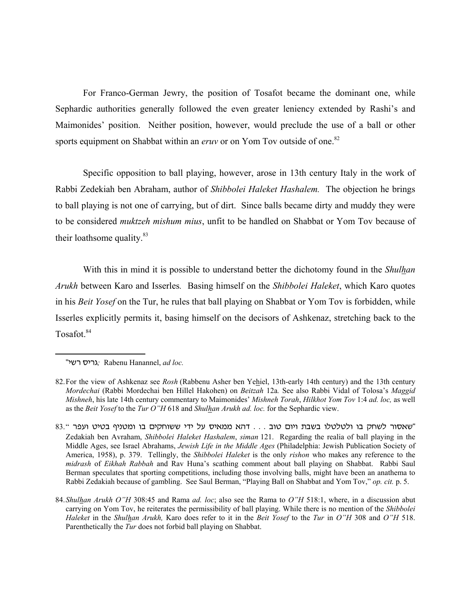For Franco-German Jewry, the position of Tosafot became the dominant one, while Sephardic authorities generally followed the even greater leniency extended by Rashi's and Maimonides' position. Neither position, however, would preclude the use of a ball or other sports equipment on Shabbat within an *eruv* or on Yom Tov outside of one.<sup>82</sup>

Specific opposition to ball playing, however, arose in 13th century Italy in the work of Rabbi Zedekiah ben Abraham, author of *Shibbolei Haleket Hashalem.* The objection he brings to ball playing is not one of carrying, but of dirt. Since balls became dirty and muddy they were to be considered *muktzeh mishum mius*, unfit to be handled on Shabbat or Yom Tov because of their loathsome quality. $83$ 

With this in mind it is possible to understand better the dichotomy found in the *Shulhan Arukh* between Karo and Isserles*.* Basing himself on the *Shibbolei Haleket*, which Karo quotes in his *Beit Yosef* on the Tur, he rules that ball playing on Shabbat or Yom Tov is forbidden, while Isserles explicitly permits it, basing himself on the decisors of Ashkenaz, stretching back to the Tosafot.<sup>84</sup>

83." שאסור לשחק בו ולטלטלו בשבת ויום טוב ... דהא ממאיס על ידי ששוחקים בו ומטניף בטיט ועפר" Zedakiah ben Avraham, *Shibbolei Haleket Hashalem*, *siman* 121. Regarding the realia of ball playing in the Middle Ages, see Israel Abrahams, *Jewish Life in the Middle Ages* (Philadelphia: Jewish Publication Society of America, 1958), p. 379. Tellingly, the *Shibbolei Haleket* is the only *rishon* who makes any reference to the *midrash* of *Eikhah Rabbah* and Rav Huna's scathing comment about ball playing on Shabbat. Rabbi Saul Berman speculates that sporting competitions, including those involving balls, might have been an anathema to Rabbi Zedakiah because of gambling. See Saul Berman, "Playing Ball on Shabbat and Yom Tov," *op. cit.* p. 5.

<sup>&</sup>quot;גריס רשי $;$  Rabenu Hanannel, *ad loc*.

<sup>82.</sup>For the view of Ashkenaz see *Rosh* (Rabbenu Asher ben Yehiel, 13th-early 14th century) and the 13th century *Mordechai* (Rabbi Mordechai ben Hillel Hakohen) on *Beitzah* 12a*.* See also Rabbi Vidal of Tolosa's *Maggid Mishneh*, his late 14th century commentary to Maimonides' *Mishneh Torah*, *Hilkhot Yom Tov* 1:4 *ad. loc,* as well as the *Beit Yosef* to the *Tur O"H* 618 and *Shulhan Arukh ad. loc.* for the Sephardic view.

<sup>84.</sup>*Shulhan Arukh O"H* 308:45 and Rama *ad. loc*; also see the Rama to *O"H* 518:1, where, in a discussion abut carrying on Yom Tov, he reiterates the permissibility of ball playing. While there is no mention of the *Shibbolei Haleket* in the *Shulhan Arukh,* Karo does refer to it in the *Beit Yosef* to the *Tur* in *O"H* 308 and *O"H* 518. Parenthetically the *Tur* does not forbid ball playing on Shabbat.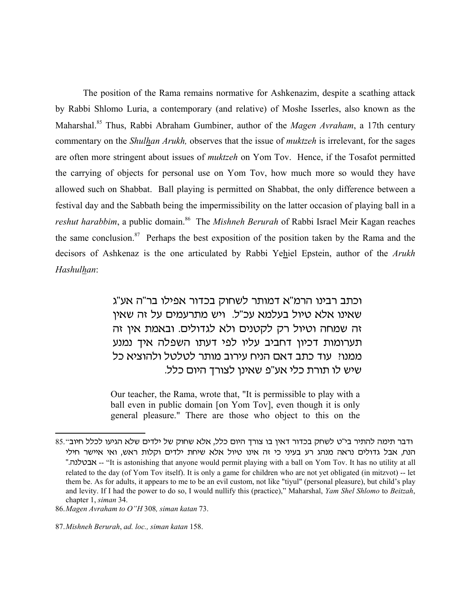The position of the Rama remains normative for Ashkenazim, despite a scathing attack by Rabbi Shlomo Luria, a contemporary (and relative) of Moshe Isserles, also known as the Maharshal.85 Thus, Rabbi Abraham Gumbiner, author of the *Magen Avraham*, a 17th century commentary on the *Shulhan Arukh,* observes that the issue of *muktzeh* is irrelevant, for the sages are often more stringent about issues of *muktzeh* on Yom Tov. Hence, if the Tosafot permitted the carrying of objects for personal use on Yom Tov, how much more so would they have allowed such on Shabbat. Ball playing is permitted on Shabbat, the only difference between a festival day and the Sabbath being the impermissibility on the latter occasion of playing ball in a *reshut harabbim*, a public domain.<sup>86</sup> The *Mishneh Berurah* of Rabbi Israel Meir Kagan reaches the same conclusion. $87$  Perhaps the best exposition of the position taken by the Rama and the decisors of Ashkenaz is the one articulated by Rabbi Yehiel Epstein, author of the *Arukh Hashulhan*:

> וכתב רבינו הרמ"א דמותר לשחוק בכדור אפילו בר"ה אע"ג שאינו אלא טיול בעלמא עכ"ל. ויש מתרעמים על זה שאין זה שמחה וטיול רק לקטנים ולא לגדולים. ובאמת אין זה תערומות דכיון דחביב עליו לפי דעתו השפלה איך נמנע ממנוי. עוד כתב דאם הניח עירוב מותר לטלטל ולהוציא כל שיש לו תורת כלי אע"פ שאינן לצורך היום כלל.

Our teacher, the Rama, wrote that, "It is permissible to play with a ball even in public domain [on Yom Tov], even though it is only general pleasure." There are those who object to this on the

ודבר תימה להתיר בי"ט לשחק בכדור דאין בו צורך היום כלל, אלא שחוק של ילדים שלא הגיעו לכלל חיוב".85 הנח, אבל גדולים נראה מנהג רע בעיני כי זה אינו טיול אלא שיחת ילדים וקלות ראש, ואי איישר חילי "אבטלנה." -- "It is astonishing that anyone would permit playing with a ball on Yom Tov. It has no utility at all related to the day (of Yom Tov itself). It is only a game for children who are not yet obligated (in mitzvot) -- let them be. As for adults, it appears to me to be an evil custom, not like "tiyul" (personal pleasure), but child's play and levity. If I had the power to do so, I would nullify this (practice)," Maharshal, *Yam Shel Shlomo* to *Beitzah*, chapter 1, *siman* 34.

<sup>86.</sup>*Magen Avraham to O"H* 308*, siman katan* 73.

<sup>87.</sup>*Mishneh Berurah*, *ad. loc., siman katan* 158.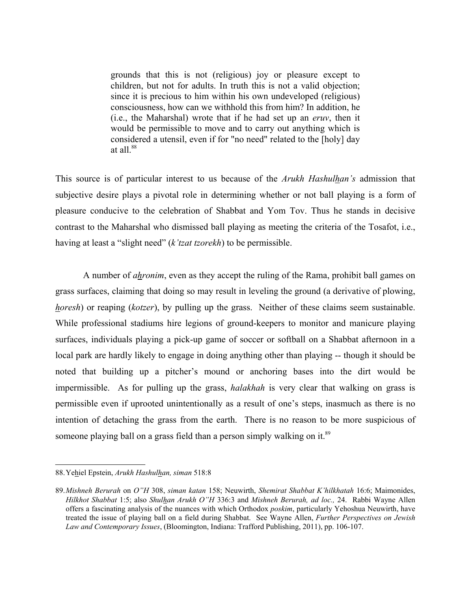grounds that this is not (religious) joy or pleasure except to children, but not for adults. In truth this is not a valid objection; since it is precious to him within his own undeveloped (religious) consciousness, how can we withhold this from him? In addition, he (i.e., the Maharshal) wrote that if he had set up an *eruv*, then it would be permissible to move and to carry out anything which is considered a utensil, even if for "no need" related to the [holy] day at all $^{88}$ 

This source is of particular interest to us because of the *Arukh Hashulhan's* admission that subjective desire plays a pivotal role in determining whether or not ball playing is a form of pleasure conducive to the celebration of Shabbat and Yom Tov. Thus he stands in decisive contrast to the Maharshal who dismissed ball playing as meeting the criteria of the Tosafot, i.e., having at least a "slight need" (*k'tzat tzorekh*) to be permissible.

A number of *ahronim*, even as they accept the ruling of the Rama, prohibit ball games on grass surfaces, claiming that doing so may result in leveling the ground (a derivative of plowing, *horesh*) or reaping (*kotzer*), by pulling up the grass. Neither of these claims seem sustainable. While professional stadiums hire legions of ground-keepers to monitor and manicure playing surfaces, individuals playing a pick-up game of soccer or softball on a Shabbat afternoon in a local park are hardly likely to engage in doing anything other than playing -- though it should be noted that building up a pitcher's mound or anchoring bases into the dirt would be impermissible. As for pulling up the grass, *halakhah* is very clear that walking on grass is permissible even if uprooted unintentionally as a result of one's steps, inasmuch as there is no intention of detaching the grass from the earth. There is no reason to be more suspicious of someone playing ball on a grass field than a person simply walking on it.<sup>89</sup>

<sup>88.</sup>Yehiel Epstein, *Arukh Hashulhan, siman* 518:8

<sup>89.</sup>*Mishneh Berurah* on *O"H* 308, *siman katan* 158; Neuwirth, *Shemirat Shabbat K'hilkhatah* 16:6; Maimonides, *Hilkhot Shabbat* 1:5; also *Shulhan Arukh O"H* 336:3 and *Mishneh Berurah, ad loc.,* 24. Rabbi Wayne Allen offers a fascinating analysis of the nuances with which Orthodox *poskim*, particularly Yehoshua Neuwirth, have treated the issue of playing ball on a field during Shabbat. See Wayne Allen, *Further Perspectives on Jewish Law and Contemporary Issues*, (Bloomington, Indiana: Trafford Publishing, 2011), pp. 106-107.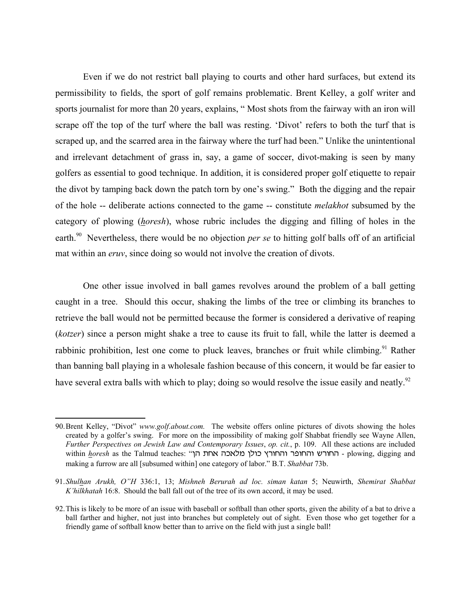Even if we do not restrict ball playing to courts and other hard surfaces, but extend its permissibility to fields, the sport of golf remains problematic. Brent Kelley, a golf writer and sports journalist for more than 20 years, explains, " Most shots from the fairway with an iron will scrape off the top of the turf where the ball was resting. 'Divot' refers to both the turf that is scraped up, and the scarred area in the fairway where the turf had been." Unlike the unintentional and irrelevant detachment of grass in, say, a game of soccer, divot-making is seen by many golfers as essential to good technique. In addition, it is considered proper golf etiquette to repair the divot by tamping back down the patch torn by one's swing." Both the digging and the repair of the hole -- deliberate actions connected to the game -- constitute *melakhot* subsumed by the category of plowing (*horesh*), whose rubric includes the digging and filling of holes in the earth.<sup>90</sup> Nevertheless, there would be no objection *per se* to hitting golf balls off of an artificial mat within an *eruv*, since doing so would not involve the creation of divots.

One other issue involved in ball games revolves around the problem of a ball getting caught in a tree. Should this occur, shaking the limbs of the tree or climbing its branches to retrieve the ball would not be permitted because the former is considered a derivative of reaping (*kotzer*) since a person might shake a tree to cause its fruit to fall, while the latter is deemed a rabbinic prohibition, lest one come to pluck leaves, branches or fruit while climbing.<sup>91</sup> Rather than banning ball playing in a wholesale fashion because of this concern, it would be far easier to have several extra balls with which to play; doing so would resolve the issue easily and neatly.<sup>92</sup>

<sup>90.</sup>Brent Kelley, "Divot" *www.golf.about.com.* The website offers online pictures of divots showing the holes created by a golfer's swing. For more on the impossibility of making golf Shabbat friendly see Wayne Allen, *Further Perspectives on Jewish Law and Contemporary Issues*, *op. cit.*, p. 109. All these actions are included within *horesh* as the Talmud teaches: "החורש והחופר והחורץ כולן מלאכה אחת הי making a furrow are all [subsumed within] one category of labor." B.T. *Shabbat* 73b.

<sup>91.</sup>*Shulhan Arukh, O"H* 336:1, 13; *Mishneh Berurah ad loc. siman katan* 5; Neuwirth, *Shemirat Shabbat K'hilkhatah* 16:8. Should the ball fall out of the tree of its own accord, it may be used.

<sup>92.</sup>This is likely to be more of an issue with baseball or softball than other sports, given the ability of a bat to drive a ball farther and higher, not just into branches but completely out of sight. Even those who get together for a friendly game of softball know better than to arrive on the field with just a single ball!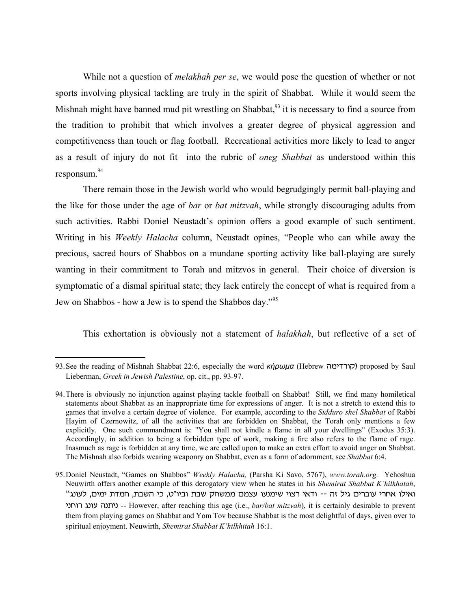While not a question of *melakhah per se*, we would pose the question of whether or not sports involving physical tackling are truly in the spirit of Shabbat. While it would seem the Mishnah might have banned mud pit wrestling on Shabbat,  $93$  it is necessary to find a source from the tradition to prohibit that which involves a greater degree of physical aggression and competitiveness than touch or flag football. Recreational activities more likely to lead to anger as a result of injury do not fit into the rubric of *oneg Shabbat* as understood within this responsum.<sup>94</sup>

There remain those in the Jewish world who would begrudgingly permit ball-playing and the like for those under the age of *bar* or *bat mitzvah*, while strongly discouraging adults from such activities. Rabbi Doniel Neustadt's opinion offers a good example of such sentiment. Writing in his *Weekly Halacha* column, Neustadt opines, "People who can while away the precious, sacred hours of Shabbos on a mundane sporting activity like ball-playing are surely wanting in their commitment to Torah and mitzvos in general. Their choice of diversion is symptomatic of a dismal spiritual state; they lack entirely the concept of what is required from a Jew on Shabbos - how a Jew is to spend the Shabbos day."95

This exhortation is obviously not a statement of *halakhah*, but reflective of a set of

<sup>93.</sup> See the reading of Mishnah Shabbat 22:6, especially the word *κήρωμα* (Hebrew קורדימה) proposed by Saul Lieberman, *Greek in Jewish Palestine*, op. cit., pp. 93-97.

<sup>94.</sup>There is obviously no injunction against playing tackle football on Shabbat! Still, we find many homiletical statements about Shabbat as an inappropriate time for expressions of anger. It is not a stretch to extend this to games that involve a certain degree of violence. For example, according to the *Sidduro shel Shabbat* of Rabbi Hayim of Czernowitz, of all the activities that are forbidden on Shabbat, the Torah only mentions a few explicitly. One such commandment is: "You shall not kindle a flame in all your dwellings" (Exodus 35:3). Accordingly, in addition to being a forbidden type of work, making a fire also refers to the flame of rage. Inasmuch as rage is forbidden at any time, we are called upon to make an extra effort to avoid anger on Shabbat. The Mishnah also forbids wearing weaponry on Shabbat, even as a form of adornment, see *Shabbat* 6:4.

<sup>95.</sup>Doniel Neustadt, "Games on Shabbos" *Weekly Halacha,* (Parsha Ki Savo, 5767), *www.torah.org.* Yehoshua Neuwirth offers another example of this derogatory view when he states in his *Shemirat Shabbat K'hilkhatah*, ואילו אחרי עוברים גיל זה -- ודאי רצוי שימנעו עצמם ממשחק שבת וביו"ט, כי השבת, חמדת ימים, לעונג<sup>יי</sup> hbjur dbug vb,hb -- However, after reaching this age (i.e., *bar/bat mitzvah*), it is certainly desirable to prevent them from playing games on Shabbat and Yom Tov because Shabbat is the most delightful of days, given over to spiritual enjoyment. Neuwirth, *Shemirat Shabbat K'hilkhitah* 16:1.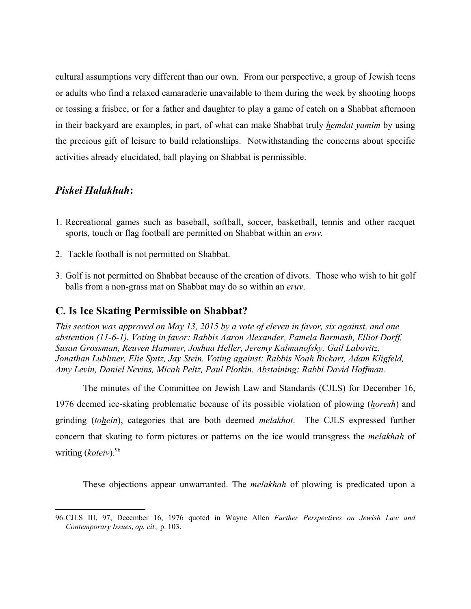cultural assumptions very different than our own. From our perspective, a group of Jewish teens or adults who find a relaxed camaraderie unavailable to them during the week by shooting hoops or tossing a frisbee, or for a father and daughter to play a game of catch on a Shabbat afternoon in their backyard are examples, in part, of what can make Shabbat truly *hemdat yamim* by using the precious gift of leisure to build relationships. Notwithstanding the concerns about specific activities already elucidated, ball playing on Shabbat is permissible.

### *Piskei Halakhah***:**

- 1. Recreational games such as baseball, softball, soccer, basketball, tennis and other racquet sports, touch or flag football are permitted on Shabbat within an *eruv.*
- 2. Tackle football is not permitted on Shabbat.
- 3. Golf is not permitted on Shabbat because of the creation of divots. Those who wish to hit golf balls from a non-grass mat on Shabbat may do so within an *eruv*.

## **C. Is Ice Skating Permissible on Shabbat?**

*This section was approved on May 13, 2015 by a vote of eleven in favor, six against, and one abstention (11-6-1). Voting in favor: Rabbis Aaron Alexander, Pamela Barmash, Elliot Dorff, Susan Grossman, Reuven Hammer, Joshua Heller, Jeremy Kalmanofsky, Gail Labovitz, Jonathan Lubliner, Elie Spitz, Jay Stein. Voting against: Rabbis Noah Bickart, Adam Kligfeld, Amy Levin, Daniel Nevins, Micah Peltz, Paul Plotkin. Abstaining: Rabbi David Hoffman.*

The minutes of the Committee on Jewish Law and Standards (CJLS) for December 16, 1976 deemed ice-skating problematic because of its possible violation of plowing (*horesh*) and grinding (*tohein*), categories that are both deemed *melakhot*. The CJLS expressed further concern that skating to form pictures or patterns on the ice would transgress the *melakhah* of writing (*koteiv*).96

These objections appear unwarranted. The *melakhah* of plowing is predicated upon a

<sup>96.</sup>CJLS III, 97, December 16, 1976 quoted in Wayne Allen *Further Perspectives on Jewish Law and Contemporary Issues*, *op. cit.,* p. 103.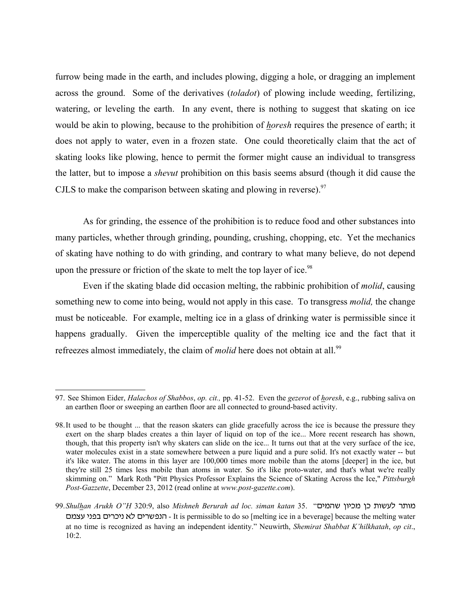furrow being made in the earth, and includes plowing, digging a hole, or dragging an implement across the ground. Some of the derivatives (*toladot*) of plowing include weeding, fertilizing, watering, or leveling the earth. In any event, there is nothing to suggest that skating on ice would be akin to plowing, because to the prohibition of *horesh* requires the presence of earth; it does not apply to water, even in a frozen state. One could theoretically claim that the act of skating looks like plowing, hence to permit the former might cause an individual to transgress the latter, but to impose a *shevut* prohibition on this basis seems absurd (though it did cause the CJLS to make the comparison between skating and plowing in reverse). $\frac{97}{ }$ 

As for grinding, the essence of the prohibition is to reduce food and other substances into many particles, whether through grinding, pounding, crushing, chopping, etc. Yet the mechanics of skating have nothing to do with grinding, and contrary to what many believe, do not depend upon the pressure or friction of the skate to melt the top layer of ice.<sup>98</sup>

Even if the skating blade did occasion melting, the rabbinic prohibition of *molid*, causing something new to come into being, would not apply in this case. To transgress *molid,* the change must be noticeable. For example, melting ice in a glass of drinking water is permissible since it happens gradually. Given the imperceptible quality of the melting ice and the fact that it refreezes almost immediately, the claim of *molid* here does not obtain at all.<sup>99</sup>

<sup>97.</sup> See Shimon Eider, *Halachos of Shabbos*, *op. cit.,* pp. 41-52. Even the *gezerot* of *horesh*, e.g., rubbing saliva on an earthen floor or sweeping an earthen floor are all connected to ground-based activity.

<sup>98.</sup>It used to be thought ... that the reason skaters can glide gracefully across the ice is because the pressure they exert on the sharp blades creates a thin layer of liquid on top of the ice... More recent research has shown, though, that this property isn't why skaters can slide on the ice... It turns out that at the very surface of the ice, water molecules exist in a state somewhere between a pure liquid and a pure solid. It's not exactly water -- but it's like water. The atoms in this layer are 100,000 times more mobile than the atoms [deeper] in the ice, but they're still 25 times less mobile than atoms in water. So it's like proto-water, and that's what we're really skimming on." Mark Roth "Pitt Physics Professor Explains the Science of Skating Across the Ice," *Pittsburgh Post-Gazzette*, December 23, 2012 (read online at *www.post-gazette.com*).

<sup>99.</sup>*Shulhan Arukh O"H* 320:9, also *Mishneh Berurah ad loc. siman katan* 35. "מותר לעשות כן מכיון שהמים רונפשרים לא ניכרים בפני עצמם - It is permissible to do so [melting ice in a beverage] because the melting water at no time is recognized as having an independent identity." Neuwirth, *Shemirat Shabbat K'hilkhatah*, *op cit*., 10:2.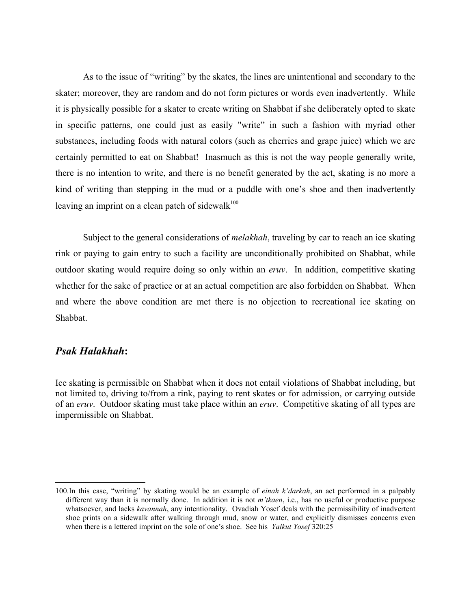As to the issue of "writing" by the skates, the lines are unintentional and secondary to the skater; moreover, they are random and do not form pictures or words even inadvertently. While it is physically possible for a skater to create writing on Shabbat if she deliberately opted to skate in specific patterns, one could just as easily "write" in such a fashion with myriad other substances, including foods with natural colors (such as cherries and grape juice) which we are certainly permitted to eat on Shabbat! Inasmuch as this is not the way people generally write, there is no intention to write, and there is no benefit generated by the act, skating is no more a kind of writing than stepping in the mud or a puddle with one's shoe and then inadvertently leaving an imprint on a clean patch of sidewalk<sup>100</sup>

Subject to the general considerations of *melakhah*, traveling by car to reach an ice skating rink or paying to gain entry to such a facility are unconditionally prohibited on Shabbat, while outdoor skating would require doing so only within an *eruv*. In addition, competitive skating whether for the sake of practice or at an actual competition are also forbidden on Shabbat. When and where the above condition are met there is no objection to recreational ice skating on Shabbat.

### *Psak Halakhah***:**

Ice skating is permissible on Shabbat when it does not entail violations of Shabbat including, but not limited to, driving to/from a rink, paying to rent skates or for admission, or carrying outside of an *eruv*. Outdoor skating must take place within an *eruv*. Competitive skating of all types are impermissible on Shabbat.

<sup>100.</sup>In this case, "writing" by skating would be an example of *einah k'darkah*, an act performed in a palpably different way than it is normally done. In addition it is not *m'tkaen*, i.e., has no useful or productive purpose whatsoever, and lacks *kavannah*, any intentionality. Ovadiah Yosef deals with the permissibility of inadvertent shoe prints on a sidewalk after walking through mud, snow or water, and explicitly dismisses concerns even when there is a lettered imprint on the sole of one's shoe. See his *Yalkut Yosef* 320:25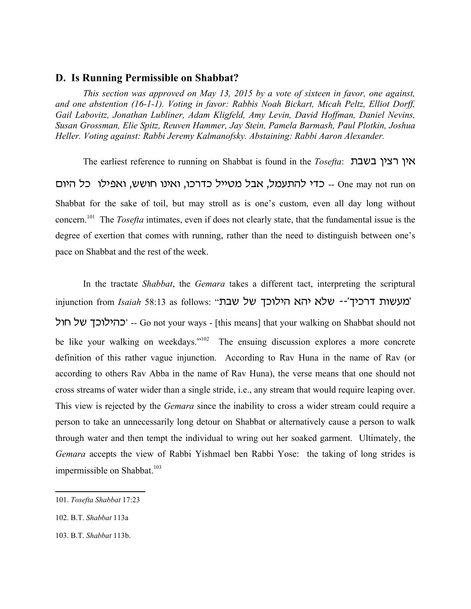#### **D. Is Running Permissible on Shabbat?**

*This section was approved on May 13, 2015 by a vote of sixteen in favor, one against, and one abstention (16-1-1). Voting in favor: Rabbis Noah Bickart, Micah Peltz, Elliot Dorff, Gail Labovitz, Jonathan Lubliner, Adam Kligfeld, Amy Levin, David Hoffman, Daniel Nevins, Susan Grossman, Elie Spitz, Reuven Hammer, Jay Stein, Pamela Barmash, Paul Plotkin, Joshua Heller. Voting against: Rabbi Jeremy Kalmanofsky. Abstaining: Rabbi Aaron Alexander.* 

The earliest reference to running on Shabbat is found in the *Tosefta*: **אין רצין בשבת** one may not run on -- כדי להתעמל, אבל מטייל כדרכו, ואינו חושש, ואפילו כל היום Shabbat for the sake of toil, but may stroll as is one's custom, even all day long without concern.101 The *Tosefta* intimates, even if does not clearly state, that the fundamental issue is the degree of exertion that comes with running, rather than the need to distinguish between one's pace on Shabbat and the rest of the week.

In the tractate *Shabbat*, the *Gemara* takes a different tact, interpreting the scriptural injunction from *Isaiah* 58:13 as follows: "מעשות דרכיך<sup>'</sup>-- שלא יהא הילוכך של שבת' כהילוכך של חול -- Go not your ways - [this means] that your walking on Shabbat should not be like your walking on weekdays."<sup>102</sup> The ensuing discussion explores a more concrete definition of this rather vague injunction. According to Rav Huna in the name of Rav (or according to others Rav Abba in the name of Rav Huna), the verse means that one should not cross streams of water wider than a single stride, i.e., any stream that would require leaping over. This view is rejected by the *Gemara* since the inability to cross a wider stream could require a person to take an unnecessarily long detour on Shabbat or alternatively cause a person to walk through water and then tempt the individual to wring out her soaked garment. Ultimately, the *Gemara* accepts the view of Rabbi Yishmael ben Rabbi Yose: the taking of long strides is impermissible on Shabbat.<sup>103</sup>

<sup>101.</sup> *Tosefta Shabbat* 17:23

<sup>102.</sup> B.T. *Shabbat* 113a

<sup>103.</sup> B.T. *Shabbat* 113b.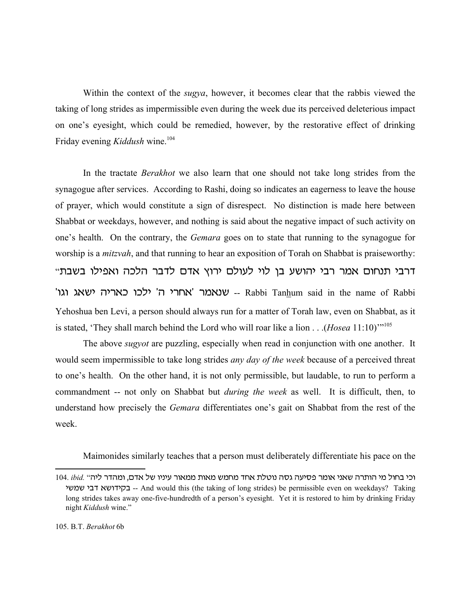Within the context of the *sugya*, however, it becomes clear that the rabbis viewed the taking of long strides as impermissible even during the week due its perceived deleterious impact on one's eyesight, which could be remedied, however, by the restorative effect of drinking Friday evening *Kiddush* wine.<sup>104</sup>

In the tractate *Berakhot* we also learn that one should not take long strides from the synagogue after services. According to Rashi, doing so indicates an eagerness to leave the house of prayer, which would constitute a sign of disrespect. No distinction is made here between Shabbat or weekdays, however, and nothing is said about the negative impact of such activity on one's health. On the contrary, the *Gemara* goes on to state that running to the synagogue for worship is a *mitzvah*, and that running to hear an exposition of Torah on Shabbat is praiseworthy: "דרבי תנחום אמר רבי יהושע בן לוי לעולם ירוץ אדם לדבר הלכה ואפילו בשבת 'אחרי ה' ילכו כאריה ישאג וגו - Rabbi Tanhum said in the name of Rabbi Yehoshua ben Levi, a person should always run for a matter of Torah law, even on Shabbat, as it is stated, 'They shall march behind the Lord who will roar like a lion . . .(*Hosea* 11:10)'"<sup>105</sup>

The above *sugyot* are puzzling, especially when read in conjunction with one another. It would seem impermissible to take long strides *any day of the week* because of a perceived threat to one's health. On the other hand, it is not only permissible, but laudable, to run to perform a commandment -- not only on Shabbat but *during the week* as well. It is difficult, then, to understand how precisely the *Gemara* differentiates one's gait on Shabbat from the rest of the week.

Maimonides similarly teaches that a person must deliberately differentiate his pace on the

<sup>104.</sup> *ibid.* וכי בחול מי הותרה שאני אומר פסיעה גסה נוטלת אחד מחמש מאות ממאור עיניו של אדם, ומהדר ליה" hana hcs taushec -- And would this (the taking of long strides) be permissible even on weekdays? Taking long strides takes away one-five-hundredth of a person's eyesight. Yet it is restored to him by drinking Friday night *Kiddush* wine."

<sup>105.</sup> B.T. *Berakhot* 6b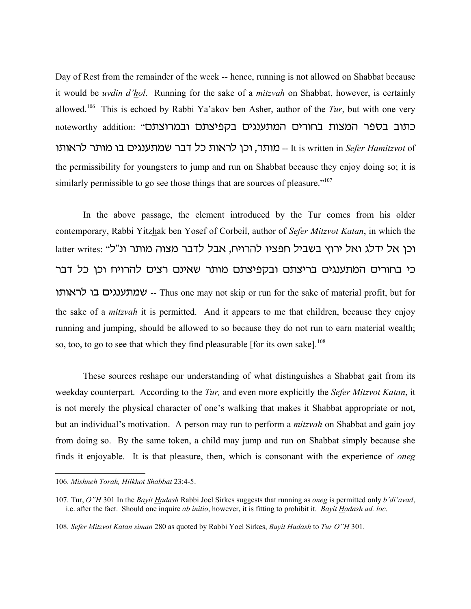Day of Rest from the remainder of the week -- hence, running is not allowed on Shabbat because it would be *uvdin d'hol*. Running for the sake of a *mitzvah* on Shabbat, however, is certainly allowed.106 This is echoed by Rabbi Ya'akov ben Asher, author of the *Tur*, but with one very noteworthy addition: "כתוב בספר המצות בחורים המתענגים בקפיצתם ובמרוצתם u,un -- מותר, וכן לראות כל דבר שמתענגים בו מותר לראותו -- It is written in *Sefer Hamitzvot* of the permissibility for youngsters to jump and run on Shabbat because they enjoy doing so; it is similarly permissible to go see those things that are sources of pleasure.<sup>"107</sup>

In the above passage, the element introduced by the Tur comes from his older contemporary, Rabbi Yitzhak ben Yosef of Corbeil, author of *Sefer Mitzvot Katan*, in which the latter writes: "וכן אל ידלג ואל ירוץ בשביל חפציו להרויח, אבל לדבר מצוה מותר ונ"ל כי בחורים המתענגים בריצתם ובקפיצתם מותר שאינם רצים להרויח וכן כל דבר שמתענגים בו לראותו -- Thus one may not skip or run for the sake of material profit, but for the sake of a *mitzvah* it is permitted. And it appears to me that children, because they enjoy running and jumping, should be allowed to so because they do not run to earn material wealth; so, too, to go to see that which they find pleasurable [for its own sake].<sup>108</sup>

These sources reshape our understanding of what distinguishes a Shabbat gait from its weekday counterpart. According to the *Tur,* and even more explicitly the *Sefer Mitzvot Katan*, it is not merely the physical character of one's walking that makes it Shabbat appropriate or not, but an individual's motivation. A person may run to perform a *mitzvah* on Shabbat and gain joy from doing so. By the same token, a child may jump and run on Shabbat simply because she finds it enjoyable. It is that pleasure, then, which is consonant with the experience of *oneg*

<sup>106.</sup> *Mishneh Torah, Hilkhot Shabbat* 23:4-5.

<sup>107.</sup> Tur, *O"H* 301 In the *Bayit Hadash* Rabbi Joel Sirkes suggests that running as *oneg* is permitted only *b'di'avad*, i.e. after the fact. Should one inquire *ab initio*, however, it is fitting to prohibit it. *Bayit Hadash ad. loc.*

<sup>108.</sup> *Sefer Mitzvot Katan siman* 280 as quoted by Rabbi Yoel Sirkes, *Bayit Hadash* to *Tur O"H* 301.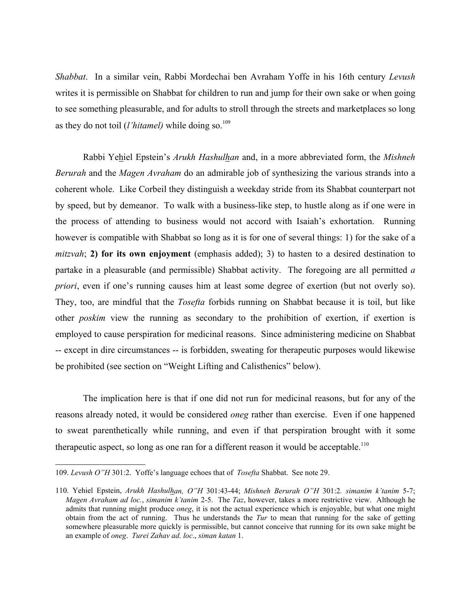*Shabbat*. In a similar vein, Rabbi Mordechai ben Avraham Yoffe in his 16th century *Levush* writes it is permissible on Shabbat for children to run and jump for their own sake or when going to see something pleasurable, and for adults to stroll through the streets and marketplaces so long as they do not toil *(l'hitamel)* while doing so.<sup>109</sup>

Rabbi Yehiel Epstein's *Arukh Hashulhan* and, in a more abbreviated form, the *Mishneh Berurah* and the *Magen Avraham* do an admirable job of synthesizing the various strands into a coherent whole. Like Corbeil they distinguish a weekday stride from its Shabbat counterpart not by speed, but by demeanor. To walk with a business-like step, to hustle along as if one were in the process of attending to business would not accord with Isaiah's exhortation. Running however is compatible with Shabbat so long as it is for one of several things: 1) for the sake of a *mitzvah*; **2) for its own enjoyment** (emphasis added); 3) to hasten to a desired destination to partake in a pleasurable (and permissible) Shabbat activity. The foregoing are all permitted *a priori*, even if one's running causes him at least some degree of exertion (but not overly so). They, too, are mindful that the *Tosefta* forbids running on Shabbat because it is toil, but like other *poskim* view the running as secondary to the prohibition of exertion, if exertion is employed to cause perspiration for medicinal reasons. Since administering medicine on Shabbat -- except in dire circumstances -- is forbidden, sweating for therapeutic purposes would likewise be prohibited (see section on "Weight Lifting and Calisthenics" below).

The implication here is that if one did not run for medicinal reasons, but for any of the reasons already noted, it would be considered *oneg* rather than exercise. Even if one happened to sweat parenthetically while running, and even if that perspiration brought with it some therapeutic aspect, so long as one ran for a different reason it would be acceptable.<sup>110</sup>

<sup>109.</sup> *Levush O"H* 301:2. Yoffe's language echoes that of *Tosefta* Shabbat. See note 29.

<sup>110.</sup> Yehiel Epstein, *Arukh Hashulhan, O"H* 301:43-44; *Mishneh Berurah O"H* 301:2*. simanim k'tanim* 5-7; *Magen Avraham ad loc.*, *simanim k'tanim* 2-5. The *Taz*, however, takes a more restrictive view. Although he admits that running might produce *oneg*, it is not the actual experience which is enjoyable, but what one might obtain from the act of running. Thus he understands the *Tur* to mean that running for the sake of getting somewhere pleasurable more quickly is permissible, but cannot conceive that running for its own sake might be an example of *oneg*. *Turei Zahav ad. loc*., *siman katan* 1.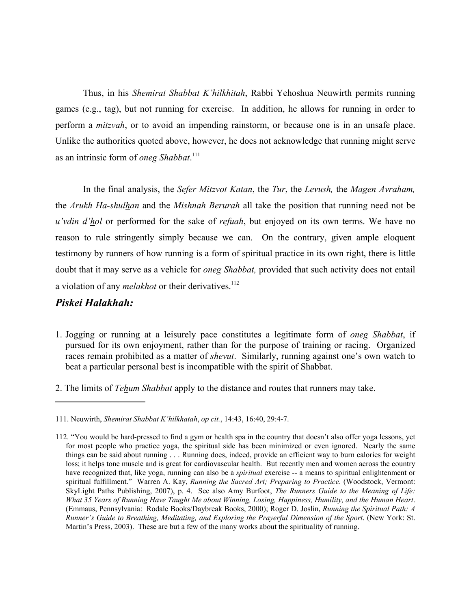Thus, in his *Shemirat Shabbat K'hilkhitah*, Rabbi Yehoshua Neuwirth permits running games (e.g., tag), but not running for exercise. In addition, he allows for running in order to perform a *mitzvah*, or to avoid an impending rainstorm, or because one is in an unsafe place. Unlike the authorities quoted above, however, he does not acknowledge that running might serve as an intrinsic form of *oneg Shabbat*. 111

In the final analysis, the *Sefer Mitzvot Katan*, the *Tur*, the *Levush,* the *Magen Avraham,* the *Arukh Ha-shulhan* and the *Mishnah Berurah* all take the position that running need not be *u'vdin d'hol* or performed for the sake of *refuah*, but enjoyed on its own terms. We have no reason to rule stringently simply because we can. On the contrary, given ample eloquent testimony by runners of how running is a form of spiritual practice in its own right, there is little doubt that it may serve as a vehicle for *oneg Shabbat,* provided that such activity does not entail a violation of any *melakhot* or their derivatives.<sup>112</sup>

#### *Piskei Halakhah:*

- 1. Jogging or running at a leisurely pace constitutes a legitimate form of *oneg Shabbat*, if pursued for its own enjoyment, rather than for the purpose of training or racing. Organized races remain prohibited as a matter of *shevut*. Similarly, running against one's own watch to beat a particular personal best is incompatible with the spirit of Shabbat.
- 2. The limits of *Tehum Shabbat* apply to the distance and routes that runners may take.

<sup>111.</sup> Neuwirth, *Shemirat Shabbat K'hilkhatah*, *op cit.*, 14:43, 16:40, 29:4-7.

<sup>112. &</sup>quot;You would be hard-pressed to find a gym or health spa in the country that doesn't also offer yoga lessons, yet for most people who practice yoga, the spiritual side has been minimized or even ignored. Nearly the same things can be said about running . . . Running does, indeed, provide an efficient way to burn calories for weight loss; it helps tone muscle and is great for cardiovascular health. But recently men and women across the country have recognized that, like yoga, running can also be a *spiritual* exercise -- a means to spiritual enlightenment or spiritual fulfillment." Warren A. Kay, *Running the Sacred Art; Preparing to Practice*. (Woodstock, Vermont: SkyLight Paths Publishing, 2007), p. 4. See also Amy Burfoot, *The Runners Guide to the Meaning of Life: What 35 Years of Running Have Taught Me about Winning, Losing, Happiness, Humility, and the Human Heart*. (Emmaus, Pennsylvania: Rodale Books/Daybreak Books, 2000); Roger D. Joslin, *Running the Spiritual Path: A Runner's Guide to Breathing, Meditating, and Exploring the Prayerful Dimension of the Sport*. (New York: St. Martin's Press, 2003). These are but a few of the many works about the spirituality of running.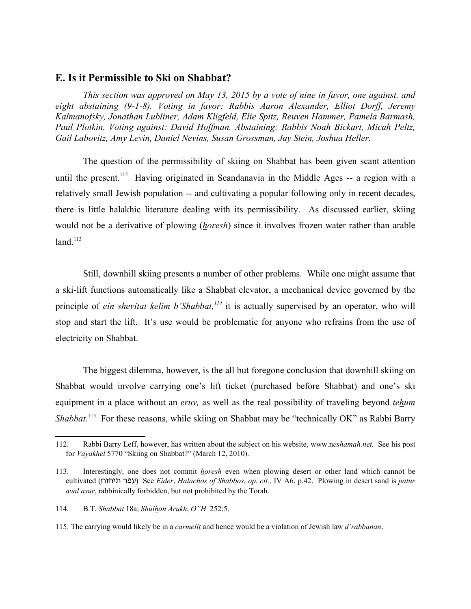#### **E. Is it Permissible to Ski on Shabbat?**

*This section was approved on May 13, 2015 by a vote of nine in favor, one against, and eight abstaining (9-1-8). Voting in favor: Rabbis Aaron Alexander, Elliot Dorff, Jeremy Kalmanofsky, Jonathan Lubliner, Adam Kligfeld, Elie Spitz, Reuven Hammer, Pamela Barmash, Paul Plotkin. Voting against: David Hoffman. Abstaining: Rabbis Noah Bickart, Micah Peltz, Gail Labovitz, Amy Levin, Daniel Nevins, Susan Grossman, Jay Stein, Joshua Heller.* 

The question of the permissibility of skiing on Shabbat has been given scant attention until the present.<sup>112</sup> Having originated in Scandanavia in the Middle Ages -- a region with a relatively small Jewish population -- and cultivating a popular following only in recent decades, there is little halakhic literature dealing with its permissibility. As discussed earlier, skiing would not be a derivative of plowing (*horesh*) since it involves frozen water rather than arable  $land.<sup>113</sup>$ 

Still, downhill skiing presents a number of other problems. While one might assume that a ski-lift functions automatically like a Shabbat elevator, a mechanical device governed by the principle of *ein shevitat kelim b'Shabbat,<sup>114</sup>* it is actually supervised by an operator, who will stop and start the lift. It's use would be problematic for anyone who refrains from the use of electricity on Shabbat.

The biggest dilemma, however, is the all but foregone conclusion that downhill skiing on Shabbat would involve carrying one's lift ticket (purchased before Shabbat) and one's ski equipment in a place without an *eruv,* as well as the real possibility of traveling beyond *tehum* Shabbat.<sup>115</sup> For these reasons, while skiing on Shabbat may be "technically OK" as Rabbi Barry

<sup>112.</sup> Rabbi Barry Leff, however, has written about the subject on his website, www.n*eshamah.net.* See his post for *Vayakhel* 5770 "Skiing on Shabbat?" (March 12, 2010).

<sup>113.</sup> Interestingly, one does not commit *horesh* even when plowing desert or other land which cannot be cultivated (jujh, rpg) See *Eider*, *Halachos of Shabbos*, *op. cit.,* IV A6, p.42. Plowing in desert sand is *patur aval asur*, rabbinically forbidden, but not prohibited by the Torah.

<sup>114.</sup> B.T. *Shabbat* 18a; *Shulhan Arukh*, *O"H* 252:5.

<sup>115.</sup> The carrying would likely be in a *carmelit* and hence would be a violation of Jewish law *d'rabbanan*.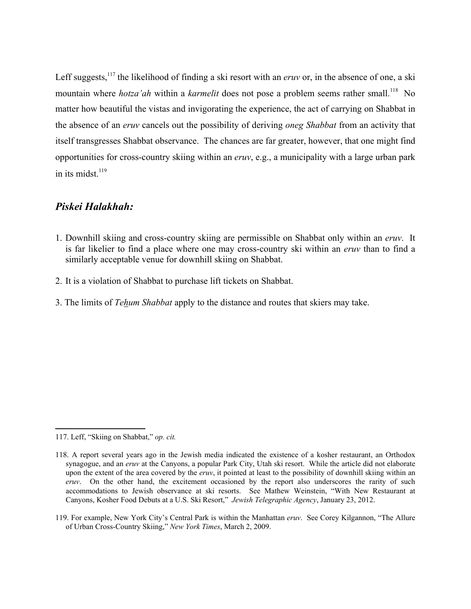Leff suggests,<sup>117</sup> the likelihood of finding a ski resort with an *eruv* or, in the absence of one, a ski mountain where *hotza'ah* within a *karmelit* does not pose a problem seems rather small.<sup>118</sup> No matter how beautiful the vistas and invigorating the experience, the act of carrying on Shabbat in the absence of an *eruv* cancels out the possibility of deriving *oneg Shabbat* from an activity that itself transgresses Shabbat observance. The chances are far greater, however, that one might find opportunities for cross-country skiing within an *eruv*, e.g., a municipality with a large urban park in its midst $^{119}$ 

# *Piskei Halakhah:*

- 1. Downhill skiing and cross-country skiing are permissible on Shabbat only within an *eruv*. It is far likelier to find a place where one may cross-country ski within an *eruv* than to find a similarly acceptable venue for downhill skiing on Shabbat.
- 2. It is a violation of Shabbat to purchase lift tickets on Shabbat.
- 3. The limits of *Tehum Shabbat* apply to the distance and routes that skiers may take.

<sup>117.</sup> Leff, "Skiing on Shabbat," *op. cit.*

<sup>118.</sup> A report several years ago in the Jewish media indicated the existence of a kosher restaurant, an Orthodox synagogue, and an *eruv* at the Canyons, a popular Park City, Utah ski resort. While the article did not elaborate upon the extent of the area covered by the *eruv*, it pointed at least to the possibility of downhill skiing within an *eruv*. On the other hand, the excitement occasioned by the report also underscores the rarity of such accommodations to Jewish observance at ski resorts. See Mathew Weinstein, "With New Restaurant at Canyons, Kosher Food Debuts at a U.S. Ski Resort," *Jewish Telegraphic Agency*, January 23, 2012.

<sup>119.</sup> For example, New York City's Central Park is within the Manhattan *eruv*. See Corey Kilgannon, "The Allure of Urban Cross-Country Skiing," *New York Times*, March 2, 2009.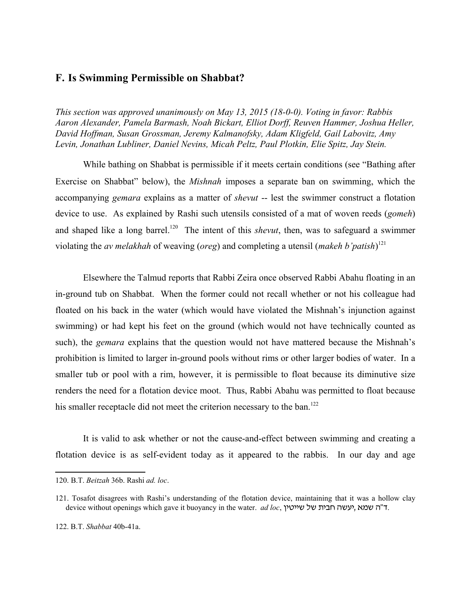### **Is Swimming Permissible on Shabbat? F.**

*This section was approved unanimously on May 13, 2015 (18-0-0). Voting in favor: Rabbis Aaron Alexander, Pamela Barmash, Noah Bickart, Elliot Dorff, Reuven Hammer, Joshua Heller, David Hoffman, Susan Grossman, Jeremy Kalmanofsky, Adam Kligfeld, Gail Labovitz, Amy Levin, Jonathan Lubliner, Daniel Nevins, Micah Peltz, Paul Plotkin, Elie Spitz, Jay Stein.*

While bathing on Shabbat is permissible if it meets certain conditions (see "Bathing after Exercise on Shabbat" below), the *Mishnah* imposes a separate ban on swimming, which the accompanying *gemara* explains as a matter of *shevut* -- lest the swimmer construct a flotation device to use. As explained by Rashi such utensils consisted of a mat of woven reeds (*gomeh*) and shaped like a long barrel.<sup>120</sup> The intent of this *shevut*, then, was to safeguard a swimmer violating the *av melakhah* of weaving (*oreg*) and completing a utensil (*makeh b'patish*) 121

Elsewhere the Talmud reports that Rabbi Zeira once observed Rabbi Abahu floating in an in-ground tub on Shabbat. When the former could not recall whether or not his colleague had floated on his back in the water (which would have violated the Mishnah's injunction against swimming) or had kept his feet on the ground (which would not have technically counted as such), the *gemara* explains that the question would not have mattered because the Mishnah's prohibition is limited to larger in-ground pools without rims or other larger bodies of water. In a smaller tub or pool with a rim, however, it is permissible to float because its diminutive size renders the need for a flotation device moot. Thus, Rabbi Abahu was permitted to float because his smaller receptacle did not meet the criterion necessary to the ban.<sup>122</sup>

It is valid to ask whether or not the cause-and-effect between swimming and creating a flotation device is as self-evident today as it appeared to the rabbis. In our day and age

<sup>120.</sup> B.T. *Beitzah* 36b. Rashi *ad. loc*.

<sup>121.</sup> Tosafot disagrees with Rashi's understanding of the flotation device, maintaining that it was a hollow clay device without openings which gave it buoyancy in the water. *ad loc*, יעשה חבית של שייטין.

<sup>122.</sup> B.T. *Shabbat* 40b-41a.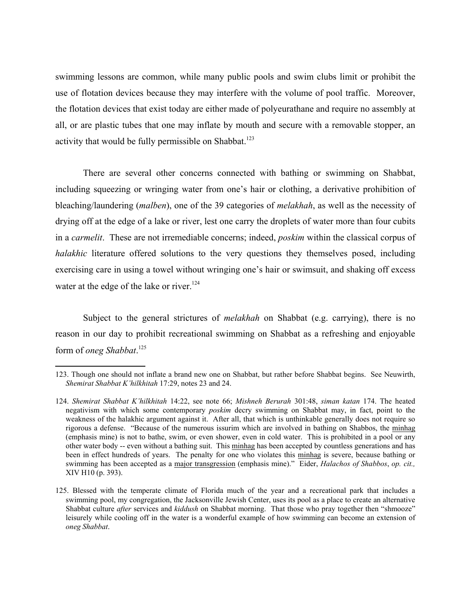swimming lessons are common, while many public pools and swim clubs limit or prohibit the use of flotation devices because they may interfere with the volume of pool traffic. Moreover, the flotation devices that exist today are either made of polyeurathane and require no assembly at all, or are plastic tubes that one may inflate by mouth and secure with a removable stopper, an activity that would be fully permissible on Shabbat.<sup>123</sup>

There are several other concerns connected with bathing or swimming on Shabbat, including squeezing or wringing water from one's hair or clothing, a derivative prohibition of bleaching/laundering (*malben*), one of the 39 categories of *melakhah*, as well as the necessity of drying off at the edge of a lake or river, lest one carry the droplets of water more than four cubits in a *carmelit*. These are not irremediable concerns; indeed, *poskim* within the classical corpus of *halakhic* literature offered solutions to the very questions they themselves posed, including exercising care in using a towel without wringing one's hair or swimsuit, and shaking off excess water at the edge of the lake or river.<sup>124</sup>

Subject to the general strictures of *melakhah* on Shabbat (e.g. carrying), there is no reason in our day to prohibit recreational swimming on Shabbat as a refreshing and enjoyable form of *oneg Shabbat*. 125

<sup>123.</sup> Though one should not inflate a brand new one on Shabbat, but rather before Shabbat begins. See Neuwirth, *Shemirat Shabbat K'hilkhitah* 17:29, notes 23 and 24.

<sup>124.</sup> *Shemirat Shabbat K'hilkhitah* 14:22, see note 66; *Mishneh Berurah* 301:48, *siman katan* 174. The heated negativism with which some contemporary *poskim* decry swimming on Shabbat may, in fact, point to the weakness of the halakhic argument against it. After all, that which is unthinkable generally does not require so rigorous a defense. "Because of the numerous issurim which are involved in bathing on Shabbos, the minhag (emphasis mine) is not to bathe, swim, or even shower, even in cold water. This is prohibited in a pool or any other water body -- even without a bathing suit. This minhag has been accepted by countless generations and has been in effect hundreds of years. The penalty for one who violates this minhag is severe, because bathing or swimming has been accepted as a major transgression (emphasis mine)." Eider, *Halachos of Shabbos*, *op. cit.,* XIV H10 (p. 393).

<sup>125.</sup> Blessed with the temperate climate of Florida much of the year and a recreational park that includes a swimming pool, my congregation, the Jacksonville Jewish Center, uses its pool as a place to create an alternative Shabbat culture *after* services and *kiddush* on Shabbat morning. That those who pray together then "shmooze" leisurely while cooling off in the water is a wonderful example of how swimming can become an extension of *oneg Shabbat*.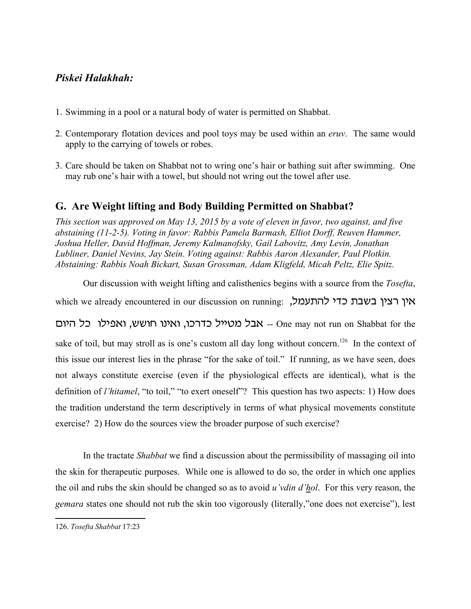# *Piskei Halakhah:*

- 1. Swimming in a pool or a natural body of water is permitted on Shabbat.
- 2. Contemporary flotation devices and pool toys may be used within an *eruv*. The same would apply to the carrying of towels or robes.
- Care should be taken on Shabbat not to wring one's hair or bathing suit after swimming. One 3. may rub one's hair with a towel, but should not wring out the towel after use.

## **G. Are Weight lifting and Body Building Permitted on Shabbat?**

*This section was approved on May 13, 2015 by a vote of eleven in favor, two against, and five abstaining (11-2-5). Voting in favor: Rabbis Pamela Barmash, Elliot Dorff, Reuven Hammer, Joshua Heller, David Hoffman, Jeremy Kalmanofsky, Gail Labovitz, Amy Levin, Jonathan Lubliner, Daniel Nevins, Jay Stein. Voting against: Rabbis Aaron Alexander, Paul Plotkin. Abstaining: Rabbis Noah Bickart, Susan Grossman, Adam Kligfeld, Micah Peltz, Elie Spitz.* 

Our discussion with weight lifting and calisthenics begins with a source from the *Tosefta*,

which we already encountered in our discussion on running: אין רצין בשבת כדי להתעמל,

אבל מטייל כדרכו, ואינו חושש, ואפילו כל היום-One may not run on Shabbat for the

sake of toil, but may stroll as is one's custom all day long without concern.<sup>126</sup> In the context of this issue our interest lies in the phrase "for the sake of toil." If running, as we have seen, does not always constitute exercise (even if the physiological effects are identical), what is the definition of *l'hitamel*, "to toil," "to exert oneself"? This question has two aspects: 1) How does the tradition understand the term descriptively in terms of what physical movements constitute exercise? 2) How do the sources view the broader purpose of such exercise?

In the tractate *Shabbat* we find a discussion about the permissibility of massaging oil into the skin for therapeutic purposes. While one is allowed to do so, the order in which one applies the oil and rubs the skin should be changed so as to avoid *u'vdin d'hol*. For this very reason, the *gemara* states one should not rub the skin too vigorously (literally,"one does not exercise"), lest

<sup>126.</sup> *Tosefta Shabbat* 17:23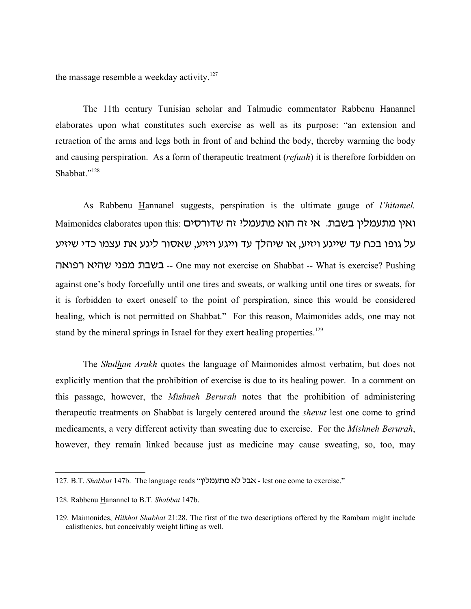the massage resemble a weekday activity.<sup>127</sup>

The 11th century Tunisian scholar and Talmudic commentator Rabbenu Hanannel elaborates upon what constitutes such exercise as well as its purpose: "an extension and retraction of the arms and legs both in front of and behind the body, thereby warming the body and causing perspiration. As a form of therapeutic treatment (*refuah*) it is therefore forbidden on Shabbat."<sup>128</sup>

As Rabbenu Hannanel suggests, perspiration is the ultimate gauge of *l'hitamel.* Maimonides elaborates upon this: ואין מתעמלין בשבת. אי זה הוא מתעמלין בשבת. על גופו בכח עד שייגע ויזיע, או שיהלד עד וייגע ויזיע, שאסור ליגע את עצמו כדי שיזיע vtupr thva hbpn ,cac -- One may not exercise on Shabbat -- What is exercise? Pushing against one's body forcefully until one tires and sweats, or walking until one tires or sweats, for it is forbidden to exert oneself to the point of perspiration, since this would be considered healing, which is not permitted on Shabbat." For this reason, Maimonides adds, one may not stand by the mineral springs in Israel for they exert healing properties.<sup>129</sup>

The *Shulhan Arukh* quotes the language of Maimonides almost verbatim, but does not explicitly mention that the prohibition of exercise is due to its healing power. In a comment on this passage, however, the *Mishneh Berurah* notes that the prohibition of administering therapeutic treatments on Shabbat is largely centered around the *shevut* lest one come to grind medicaments, a very different activity than sweating due to exercise. For the *Mishneh Berurah*, however, they remain linked because just as medicine may cause sweating, so, too, may

<sup>127.</sup> B.T. *Shabbat* 147b. The language reads "אבל לא מתעמליץ - lest one come to exercise."

<sup>128.</sup> Rabbenu Hanannel to B.T. *Shabbat* 147b.

<sup>129.</sup> Maimonides, *Hilkhot Shabbat* 21:28. The first of the two descriptions offered by the Rambam might include calisthenics, but conceivably weight lifting as well.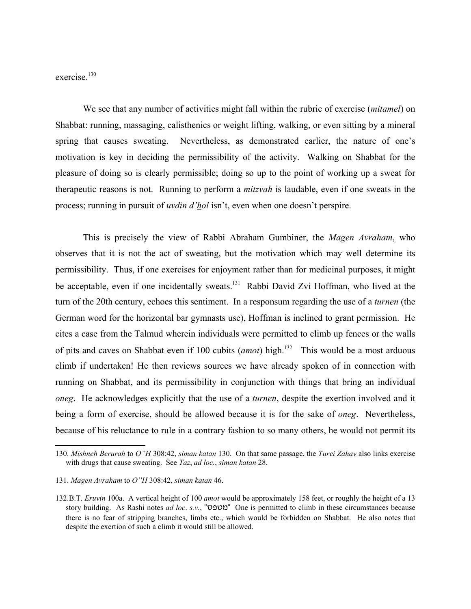exercise<sup>130</sup>

We see that any number of activities might fall within the rubric of exercise (*mitamel*) on Shabbat: running, massaging, calisthenics or weight lifting, walking, or even sitting by a mineral spring that causes sweating. Nevertheless, as demonstrated earlier, the nature of one's motivation is key in deciding the permissibility of the activity. Walking on Shabbat for the pleasure of doing so is clearly permissible; doing so up to the point of working up a sweat for therapeutic reasons is not. Running to perform a *mitzvah* is laudable, even if one sweats in the process; running in pursuit of *uvdin d'hol* isn't, even when one doesn't perspire.

This is precisely the view of Rabbi Abraham Gumbiner, the *Magen Avraham*, who observes that it is not the act of sweating, but the motivation which may well determine its permissibility. Thus, if one exercises for enjoyment rather than for medicinal purposes, it might be acceptable, even if one incidentally sweats.<sup>131</sup> Rabbi David Zvi Hoffman, who lived at the turn of the 20th century, echoes this sentiment. In a responsum regarding the use of a *turnen* (the German word for the horizontal bar gymnasts use), Hoffman is inclined to grant permission. He cites a case from the Talmud wherein individuals were permitted to climb up fences or the walls of pits and caves on Shabbat even if 100 cubits (*amot*) high.<sup>132</sup> This would be a most arduous climb if undertaken! He then reviews sources we have already spoken of in connection with running on Shabbat, and its permissibility in conjunction with things that bring an individual *oneg*. He acknowledges explicitly that the use of a *turnen*, despite the exertion involved and it being a form of exercise, should be allowed because it is for the sake of *oneg*. Nevertheless, because of his reluctance to rule in a contrary fashion to so many others, he would not permit its

<sup>130.</sup> *Mishneh Berurah* to *O"H* 308:42, *siman katan* 130. On that same passage, the *Turei Zahav* also links exercise with drugs that cause sweating. See *Taz*, *ad loc.*, *siman katan* 28.

<sup>131.</sup> *Magen Avraham* to *O"H* 308:42, *siman katan* 46.

<sup>132.</sup>B.T. *Eruvin* 100a. A vertical height of 100 *amot* would be approximately 158 feet, or roughly the height of a 13 story building. As Rashi notes *ad loc. s.v.*, "מטפס" One is permitted to climb in these circumstances because there is no fear of stripping branches, limbs etc., which would be forbidden on Shabbat. He also notes that despite the exertion of such a climb it would still be allowed.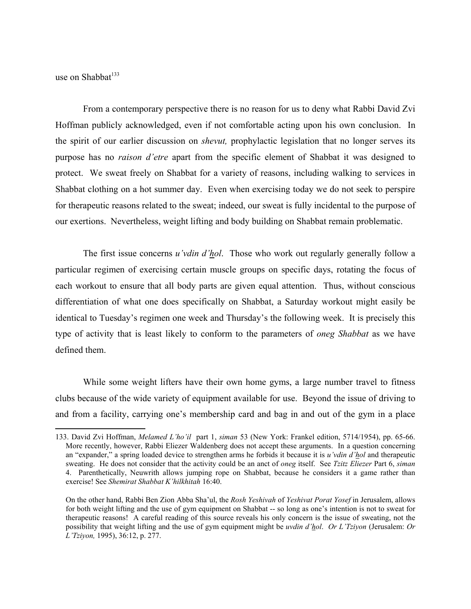use on Shabbat<sup>133</sup>

From a contemporary perspective there is no reason for us to deny what Rabbi David Zvi Hoffman publicly acknowledged, even if not comfortable acting upon his own conclusion. In the spirit of our earlier discussion on *shevut,* prophylactic legislation that no longer serves its purpose has no *raison d'etre* apart from the specific element of Shabbat it was designed to protect. We sweat freely on Shabbat for a variety of reasons, including walking to services in Shabbat clothing on a hot summer day. Even when exercising today we do not seek to perspire for therapeutic reasons related to the sweat; indeed, our sweat is fully incidental to the purpose of our exertions. Nevertheless, weight lifting and body building on Shabbat remain problematic.

The first issue concerns *u'vdin d'hol*. Those who work out regularly generally follow a particular regimen of exercising certain muscle groups on specific days, rotating the focus of each workout to ensure that all body parts are given equal attention. Thus, without conscious differentiation of what one does specifically on Shabbat, a Saturday workout might easily be identical to Tuesday's regimen one week and Thursday's the following week. It is precisely this type of activity that is least likely to conform to the parameters of *oneg Shabbat* as we have defined them.

While some weight lifters have their own home gyms, a large number travel to fitness clubs because of the wide variety of equipment available for use. Beyond the issue of driving to and from a facility, carrying one's membership card and bag in and out of the gym in a place

<sup>133.</sup> David Zvi Hoffman, *Melamed L'ho'il* part 1, *siman* 53 (New York: Frankel edition, 5714/1954), pp. 65-66. More recently, however, Rabbi Eliezer Waldenberg does not accept these arguments. In a question concerning an "expander," a spring loaded device to strengthen arms he forbids it because it is *u'vdin d'hol* and therapeutic sweating. He does not consider that the activity could be an anct of *oneg* itself. See *Tzitz Eliezer* Part 6, *siman* 4. Parenthetically, Neuwrith allows jumping rope on Shabbat, because he considers it a game rather than exercise! See *Shemirat Shabbat K'hilkhitah* 16:40.

On the other hand, Rabbi Ben Zion Abba Sha'ul, the *Rosh Yeshivah* of *Yeshivat Porat Yosef* in Jerusalem, allows for both weight lifting and the use of gym equipment on Shabbat -- so long as one's intention is not to sweat for therapeutic reasons! A careful reading of this source reveals his only concern is the issue of sweating, not the possibility that weight lifting and the use of gym equipment might be *uvdin d'hol*. *Or L'Tziyon* (Jerusalem: *Or L'Tziyon,* 1995), 36:12, p. 277.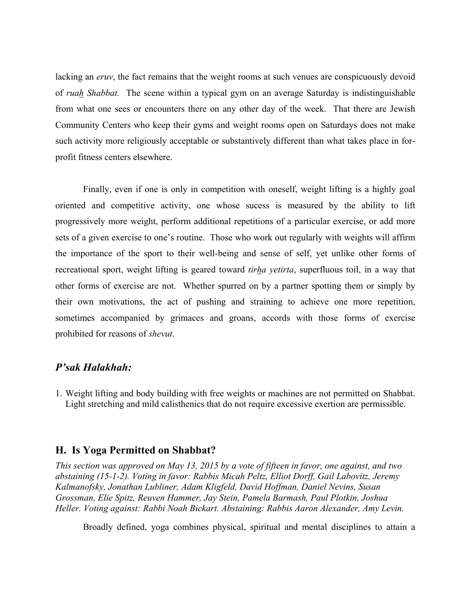lacking an *eruv*, the fact remains that the weight rooms at such venues are conspicuously devoid of *ruah Shabbat.* The scene within a typical gym on an average Saturday is indistinguishable from what one sees or encounters there on any other day of the week. That there are Jewish Community Centers who keep their gyms and weight rooms open on Saturdays does not make such activity more religiously acceptable or substantively different than what takes place in forprofit fitness centers elsewhere.

Finally, even if one is only in competition with oneself, weight lifting is a highly goal oriented and competitive activity, one whose sucess is measured by the ability to lift progressively more weight, perform additional repetitions of a particular exercise, or add more sets of a given exercise to one's routine. Those who work out regularly with weights will affirm the importance of the sport to their well-being and sense of self, yet unlike other forms of recreational sport, weight lifting is geared toward *tirha yetirta*, superfluous toil, in a way that other forms of exercise are not. Whether spurred on by a partner spotting them or simply by their own motivations, the act of pushing and straining to achieve one more repetition, sometimes accompanied by grimaces and groans, accords with those forms of exercise prohibited for reasons of *shevut*.

#### *P'sak Halakhah:*

Weight lifting and body building with free weights or machines are not permitted on Shabbat. 1.Light stretching and mild calisthenics that do not require excessive exertion are permissible.

#### **H. Is Yoga Permitted on Shabbat?**

*This section was approved on May 13, 2015 by a vote of fifteen in favor, one against, and two abstaining (15-1-2). Voting in favor: Rabbis Micah Peltz, Elliot Dorff, Gail Labovitz, Jeremy Kalmanofsky, Jonathan Lubliner, Adam Kligfeld, David Hoffman, Daniel Nevins, Susan Grossman, Elie Spitz, Reuven Hammer, Jay Stein, Pamela Barmash, Paul Plotkin, Joshua Heller. Voting against: Rabbi Noah Bickart. Abstaining: Rabbis Aaron Alexander, Amy Levin.*

Broadly defined, yoga combines physical, spiritual and mental disciplines to attain a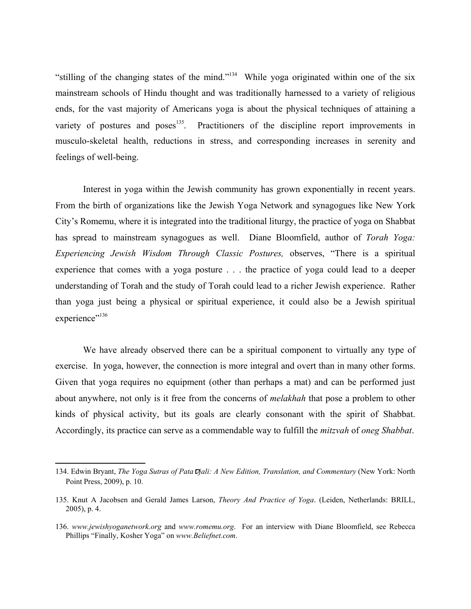"stilling of the changing states of the mind."134 While yoga originated within one of the six mainstream schools of Hindu thought and was traditionally harnessed to a variety of religious ends, for the vast majority of Americans yoga is about the physical techniques of attaining a variety of postures and poses<sup>135</sup>. Practitioners of the discipline report improvements in musculo-skeletal health, reductions in stress, and corresponding increases in serenity and feelings of well-being.

Interest in yoga within the Jewish community has grown exponentially in recent years. From the birth of organizations like the Jewish Yoga Network and synagogues like New York City's Romemu, where it is integrated into the traditional liturgy, the practice of yoga on Shabbat has spread to mainstream synagogues as well. Diane Bloomfield, author of *Torah Yoga: Experiencing Jewish Wisdom Through Classic Postures,* observes, "There is a spiritual experience that comes with a yoga posture . . . the practice of yoga could lead to a deeper understanding of Torah and the study of Torah could lead to a richer Jewish experience. Rather than yoga just being a physical or spiritual experience, it could also be a Jewish spiritual experience"<sup>136</sup>

We have already observed there can be a spiritual component to virtually any type of exercise. In yoga, however, the connection is more integral and overt than in many other forms. Given that yoga requires no equipment (other than perhaps a mat) and can be performed just about anywhere, not only is it free from the concerns of *melakhah* that pose a problem to other kinds of physical activity, but its goals are clearly consonant with the spirit of Shabbat. Accordingly, its practice can serve as a commendable way to fulfill the *mitzvah* of *oneg Shabbat*.

<sup>134.</sup> Edwin Bryant, *The Yoga Sutras of Pata <del>D</del>jali: A New Edition, Translation, and Commentary* (New York: North Point Press, 2009), p. 10.

<sup>135.</sup> Knut A Jacobsen and Gerald James Larson, *Theory And Practice of Yoga*. (Leiden, Netherlands: BRILL, 2005), p. 4.

<sup>136.</sup> *www.jewishyoganetwork.org* and *www.romemu.org*. For an interview with Diane Bloomfield, see Rebecca Phillips "Finally, Kosher Yoga" on *www.Beliefnet.com*.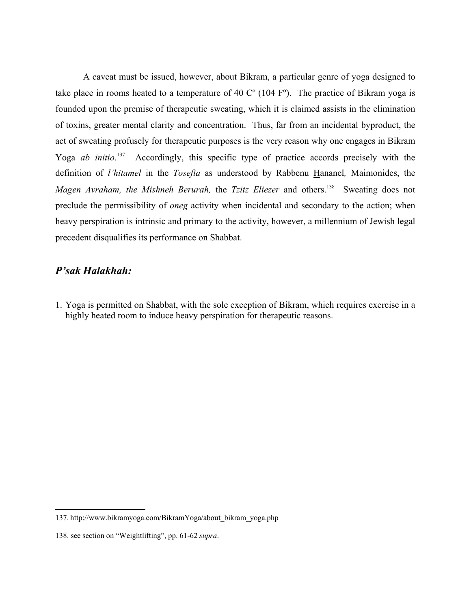A caveat must be issued, however, about Bikram, a particular genre of yoga designed to take place in rooms heated to a temperature of 40  $C^{\circ}$  (104  $F^{\circ}$ ). The practice of Bikram yoga is founded upon the premise of therapeutic sweating, which it is claimed assists in the elimination of toxins, greater mental clarity and concentration. Thus, far from an incidental byproduct, the act of sweating profusely for therapeutic purposes is the very reason why one engages in Bikram Yoga *ab initio*.<sup>137</sup> Accordingly, this specific type of practice accords precisely with the definition of *l'hitamel* in the *Tosefta* as understood by Rabbenu Hananel*,* Maimonides, the *Magen Avraham, the Mishneh Berurah, the <i>Tzitz Eliezer* and others.<sup>138</sup> Sweating does not preclude the permissibility of *oneg* activity when incidental and secondary to the action; when heavy perspiration is intrinsic and primary to the activity, however, a millennium of Jewish legal precedent disqualifies its performance on Shabbat.

### *P'sak Halakhah:*

Yoga is permitted on Shabbat, with the sole exception of Bikram, which requires exercise in a 1. highly heated room to induce heavy perspiration for therapeutic reasons.

<sup>137.</sup> http://www.bikramyoga.com/BikramYoga/about\_bikram\_yoga.php

<sup>138.</sup> see section on "Weightlifting", pp. 61-62 *supra*.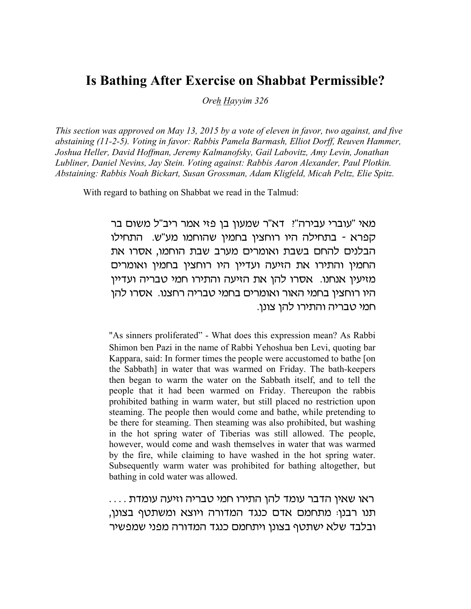# **Is Bathing After Exercise on Shabbat Permissible?**

*Oreh Hayyim 326*

*This section was approved on May 13, 2015 by a vote of eleven in favor, two against, and five abstaining (11-2-5). Voting in favor: Rabbis Pamela Barmash, Elliot Dorff, Reuven Hammer, Joshua Heller, David Hoffman, Jeremy Kalmanofsky, Gail Labovitz, Amy Levin, Jonathan Lubliner, Daniel Nevins, Jay Stein. Voting against: Rabbis Aaron Alexander, Paul Plotkin. Abstaining: Rabbis Noah Bickart, Susan Grossman, Adam Kligfeld, Micah Peltz, Elie Spitz.* 

With regard to bathing on Shabbat we read in the Talmud:

מאי "עוברי עבירה"? דא"ר שמעון בן פזי אמר ריב"ל משום בר קפרא - בתחילה היו רוחצין בחמין שהוחמו מע"ש. התחילו הבלנים להחם בשבת ואומרים מערב שבת הוחמו, אסרו את החמין והתירו את הזיעה ועדיין היו רוחצין בחמין ואומרים מזיעין אנחנו. אסרו להן את הזיעה והתירו חמי טבריה ועדיין היו רוחצין בחמי האור ואומרים בחמי טבריה רחצנו. אסרו להן חמי טבריה והתירו להן צונן.

"As sinners proliferated" - What does this expression mean? As Rabbi Shimon ben Pazi in the name of Rabbi Yehoshua ben Levi, quoting bar Kappara, said: In former times the people were accustomed to bathe [on the Sabbath] in water that was warmed on Friday. The bath-keepers then began to warm the water on the Sabbath itself, and to tell the people that it had been warmed on Friday. Thereupon the rabbis prohibited bathing in warm water, but still placed no restriction upon steaming. The people then would come and bathe, while pretending to be there for steaming. Then steaming was also prohibited, but washing in the hot spring water of Tiberias was still allowed. The people, however, would come and wash themselves in water that was warmed by the fire, while claiming to have washed in the hot spring water. Subsequently warm water was prohibited for bathing altogether, but bathing in cold water was allowed.

 $\,\ldots\,$  ראו שאין הדבר עומד להן התירו חמי טבריה וזיעה עומדת תנו רבנו: מתחמם אדם כנגד המדורה ויוצא ומשתטף בצונן, ובלבד שלא ישתטף בצונן ויתחמם כנגד המדורה מפני שמפשיר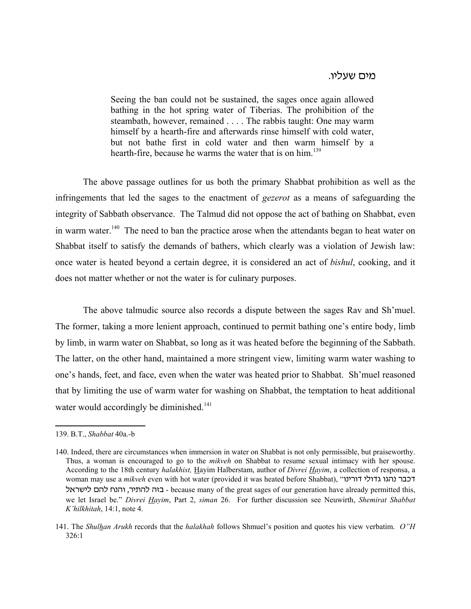#### מים שעליו.

Seeing the ban could not be sustained, the sages once again allowed bathing in the hot spring water of Tiberias. The prohibition of the steambath, however, remained . . . . The rabbis taught: One may warm himself by a hearth-fire and afterwards rinse himself with cold water, but not bathe first in cold water and then warm himself by a hearth-fire, because he warms the water that is on him.<sup>139</sup>

The above passage outlines for us both the primary Shabbat prohibition as well as the infringements that led the sages to the enactment of *gezerot* as a means of safeguarding the integrity of Sabbath observance. The Talmud did not oppose the act of bathing on Shabbat, even in warm water.<sup>140</sup> The need to ban the practice arose when the attendants began to heat water on Shabbat itself to satisfy the demands of bathers, which clearly was a violation of Jewish law: once water is heated beyond a certain degree, it is considered an act of *bishul*, cooking, and it does not matter whether or not the water is for culinary purposes.

The above talmudic source also records a dispute between the sages Rav and Sh'muel. The former, taking a more lenient approach, continued to permit bathing one's entire body, limb by limb, in warm water on Shabbat, so long as it was heated before the beginning of the Sabbath. The latter, on the other hand, maintained a more stringent view, limiting warm water washing to one's hands, feet, and face, even when the water was heated prior to Shabbat. Sh'muel reasoned that by limiting the use of warm water for washing on Shabbat, the temptation to heat additional water would accordingly be diminished. $141$ 

<sup>139.</sup> B.T., *Shabbat* 40a.-b

<sup>140.</sup> Indeed, there are circumstances when immersion in water on Shabbat is not only permissible, but praiseworthy. Thus, a woman is encouraged to go to the *mikveh* on Shabbat to resume sexual intimacy with her spouse. According to the 18th century *halakhist,* Hayim Halberstam, author of *Divrei Hayim*, a collection of responsa, a woman may use a *mikveh* even with hot water (provided it was heated before Shabbat), "דכבר נהגו גדולי דורינו ktrahk ovk jbvu 'rh,vk vzc - because many of the great sages of our generation have already permitted this, we let Israel be." *Divrei Hayim*, Part 2, *siman* 26. For further discussion see Neuwirth, *Shemirat Shabbat K'hilkhitah*, 14:1, note 4.

<sup>141.</sup> The *Shulhan Arukh* records that the *halakhah* follows Shmuel's position and quotes his view verbatim. *O"H* 326:1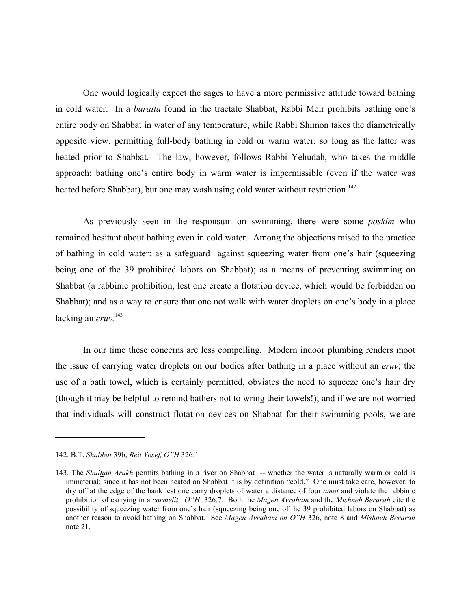One would logically expect the sages to have a more permissive attitude toward bathing in cold water. In a *baraita* found in the tractate Shabbat, Rabbi Meir prohibits bathing one's entire body on Shabbat in water of any temperature, while Rabbi Shimon takes the diametrically opposite view, permitting full-body bathing in cold or warm water, so long as the latter was heated prior to Shabbat. The law, however, follows Rabbi Yehudah, who takes the middle approach: bathing one's entire body in warm water is impermissible (even if the water was heated before Shabbat), but one may wash using cold water without restriction.<sup>142</sup>

As previously seen in the responsum on swimming, there were some *poskim* who remained hesitant about bathing even in cold water. Among the objections raised to the practice of bathing in cold water: as a safeguard against squeezing water from one's hair (squeezing being one of the 39 prohibited labors on Shabbat); as a means of preventing swimming on Shabbat (a rabbinic prohibition, lest one create a flotation device, which would be forbidden on Shabbat); and as a way to ensure that one not walk with water droplets on one's body in a place lacking an *eruv.* 143

In our time these concerns are less compelling. Modern indoor plumbing renders moot the issue of carrying water droplets on our bodies after bathing in a place without an *eruv*; the use of a bath towel, which is certainly permitted, obviates the need to squeeze one's hair dry (though it may be helpful to remind bathers not to wring their towels!); and if we are not worried that individuals will construct flotation devices on Shabbat for their swimming pools, we are

<sup>142.</sup> B.T. *Shabbat* 39b; *Beit Yosef, O"H* 326:1

<sup>143.</sup> The *Shulhan Arukh* permits bathing in a river on Shabbat -- whether the water is naturally warm or cold is immaterial; since it has not been heated on Shabbat it is by definition "cold." One must take care, however, to dry off at the edge of the bank lest one carry droplets of water a distance of four *amot* and violate the rabbinic prohibition of carrying in a *carmelit*. *O"H* 326:7. Both the *Magen Avraham* and the *Mishneh Berurah* cite the possibility of squeezing water from one's hair (squeezing being one of the 39 prohibited labors on Shabbat) as another reason to avoid bathing on Shabbat. See *Magen Avraham on O"H* 326, note 8 and *Mishneh Berurah* note 21.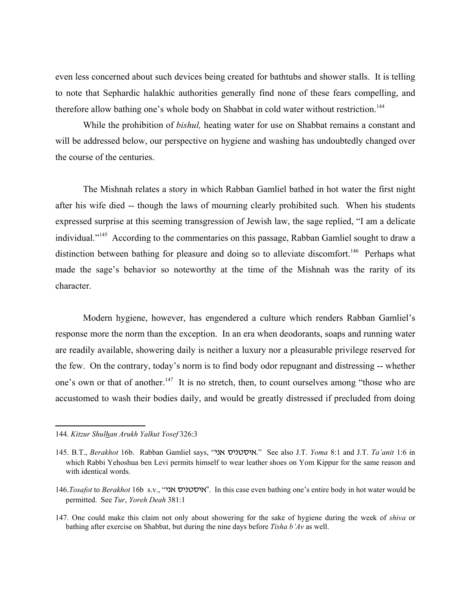even less concerned about such devices being created for bathtubs and shower stalls. It is telling to note that Sephardic halakhic authorities generally find none of these fears compelling, and therefore allow bathing one's whole body on Shabbat in cold water without restriction.<sup>144</sup>

While the prohibition of *bishul,* heating water for use on Shabbat remains a constant and will be addressed below, our perspective on hygiene and washing has undoubtedly changed over the course of the centuries.

The Mishnah relates a story in which Rabban Gamliel bathed in hot water the first night after his wife died -- though the laws of mourning clearly prohibited such. When his students expressed surprise at this seeming transgression of Jewish law, the sage replied, "I am a delicate individual."145 According to the commentaries on this passage, Rabban Gamliel sought to draw a distinction between bathing for pleasure and doing so to alleviate discomfort.<sup>146</sup> Perhaps what made the sage's behavior so noteworthy at the time of the Mishnah was the rarity of its character.

Modern hygiene, however, has engendered a culture which renders Rabban Gamliel's response more the norm than the exception. In an era when deodorants, soaps and running water are readily available, showering daily is neither a luxury nor a pleasurable privilege reserved for the few. On the contrary, today's norm is to find body odor repugnant and distressing -- whether one's own or that of another.<sup>147</sup> It is no stretch, then, to count ourselves among "those who are accustomed to wash their bodies daily, and would be greatly distressed if precluded from doing

<sup>144.</sup> *Kitzur Shulhan Arukh Yalkut Yosef* 326:3

<sup>145.</sup> B.T., *Berakhot* 16b. Rabban Gamliel says, "אסטניס אני" See also J.T. *Yoma* 8:1 and J.T. *Ta'anit* 1:6 in which Rabbi Yehoshua ben Levi permits himself to wear leather shoes on Yom Kippur for the same reason and with identical words.

<sup>146.</sup>*Tosafot* to *Berakhot* 16b s.v., "איסטניס אני". In this case even bathing one's entire body in hot water would be permitted. See *Tur*, *Yoreh Deah* 381:1

<sup>147.</sup> One could make this claim not only about showering for the sake of hygiene during the week of *shiva* or bathing after exercise on Shabbat, but during the nine days before *Tisha b'Av* as well.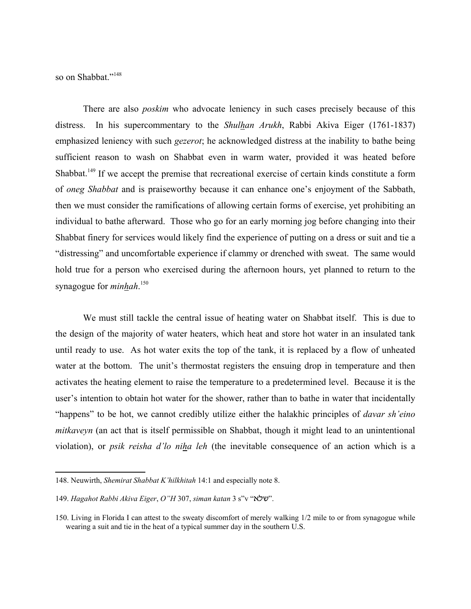so on Shabbat."<sup>148</sup>

There are also *poskim* who advocate leniency in such cases precisely because of this distress. In his supercommentary to the *Shulhan Arukh*, Rabbi Akiva Eiger (1761-1837) emphasized leniency with such *gezerot*; he acknowledged distress at the inability to bathe being sufficient reason to wash on Shabbat even in warm water, provided it was heated before Shabbat.<sup>149</sup> If we accept the premise that recreational exercise of certain kinds constitute a form of *oneg Shabbat* and is praiseworthy because it can enhance one's enjoyment of the Sabbath, then we must consider the ramifications of allowing certain forms of exercise, yet prohibiting an individual to bathe afterward. Those who go for an early morning jog before changing into their Shabbat finery for services would likely find the experience of putting on a dress or suit and tie a "distressing" and uncomfortable experience if clammy or drenched with sweat. The same would hold true for a person who exercised during the afternoon hours, yet planned to return to the synagogue for *minhah*. 150

We must still tackle the central issue of heating water on Shabbat itself. This is due to the design of the majority of water heaters, which heat and store hot water in an insulated tank until ready to use. As hot water exits the top of the tank, it is replaced by a flow of unheated water at the bottom. The unit's thermostat registers the ensuing drop in temperature and then activates the heating element to raise the temperature to a predetermined level. Because it is the user's intention to obtain hot water for the shower, rather than to bathe in water that incidentally "happens" to be hot, we cannot credibly utilize either the halakhic principles of *davar sh'eino mitkaveyn* (an act that is itself permissible on Shabbat, though it might lead to an unintentional violation), or *psik reisha d'lo niha leh* (the inevitable consequence of an action which is a

<sup>148.</sup> Neuwirth, *Shemirat Shabbat K'hilkhitah* 14:1 and especially note 8.

<sup>149.</sup> *Hagahot Rabbi Akiva Eiger, O"H* 307, *siman katan* 3 s"v " $W$ ".

<sup>150.</sup> Living in Florida I can attest to the sweaty discomfort of merely walking 1/2 mile to or from synagogue while wearing a suit and tie in the heat of a typical summer day in the southern U.S.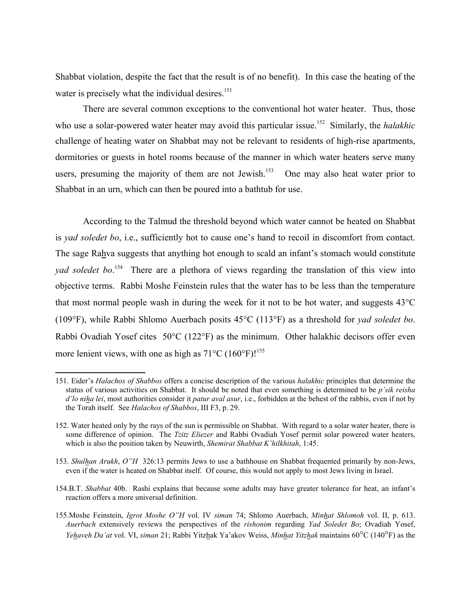Shabbat violation, despite the fact that the result is of no benefit). In this case the heating of the water is precisely what the individual desires. $151$ 

There are several common exceptions to the conventional hot water heater. Thus, those who use a solar-powered water heater may avoid this particular issue.<sup>152</sup> Similarly, the *halakhic* challenge of heating water on Shabbat may not be relevant to residents of high-rise apartments, dormitories or guests in hotel rooms because of the manner in which water heaters serve many users, presuming the majority of them are not Jewish.<sup>153</sup> One may also heat water prior to Shabbat in an urn, which can then be poured into a bathtub for use.

According to the Talmud the threshold beyond which water cannot be heated on Shabbat is *yad soledet bo*, i.e., sufficiently hot to cause one's hand to recoil in discomfort from contact. The sage Rahva suggests that anything hot enough to scald an infant's stomach would constitute *yad soledet bo*. 154 There are a plethora of views regarding the translation of this view into objective terms. Rabbi Moshe Feinstein rules that the water has to be less than the temperature that most normal people wash in during the week for it not to be hot water, and suggests 43°C (109°F), while Rabbi Shlomo Auerbach posits 45°C (113°F) as a threshold for *yad soledet bo*. Rabbi Ovadiah Yosef cites 50°C (122°F) as the minimum. Other halakhic decisors offer even more lenient views, with one as high as  $71^{\circ}$ C (160°F)!<sup>155</sup>

- 154.B.T. *Shabbat* 40b. Rashi explains that because some adults may have greater tolerance for heat, an infant's reaction offers a more universal definition.
- 155.Moshe Feinstein, *Igrot Moshe O"H* vol. IV *siman* 74; Shlomo Auerbach, *Minhat Shlomoh* vol. II, p. 613. *Auerbach* extensively reviews the perspectives of the *rishonim* regarding *Yad Soledet Bo*; Ovadiah Yosef, *Yehaveh Da'at* vol. VI, *siman* 21; Rabbi Yitzhak Ya'akov Weiss, *Minhat Yitzhak* maintains 60°C (140°F) as the

<sup>151.</sup> Eider's *Halachos of Shabbos* offers a concise description of the various *halakhic* principles that determine the status of various activities on Shabbat. It should be noted that even something is determined to be *p'sik reisha d'lo niha lei*, most authorities consider it *patur aval asur*, i.e., forbidden at the behest of the rabbis, even if not by the Torah itself. See *Halachos of Shabbos*, III F3, p. 29.

<sup>152.</sup> Water heated only by the rays of the sun is permissible on Shabbat. With regard to a solar water heater, there is some difference of opinion. The *Tzitz Eliezer* and Rabbi Ovadiah Yosef permit solar powered water heaters, which is also the position taken by Neuwirth, *Shemirat Shabbat K'hilkhitah*, 1:45.

<sup>153.</sup> *Shulhan Arukh*, *O"H* 326:13 permits Jews to use a bathhouse on Shabbat frequented primarily by non-Jews, even if the water is heated on Shabbat itself. Of course, this would not apply to most Jews living in Israel.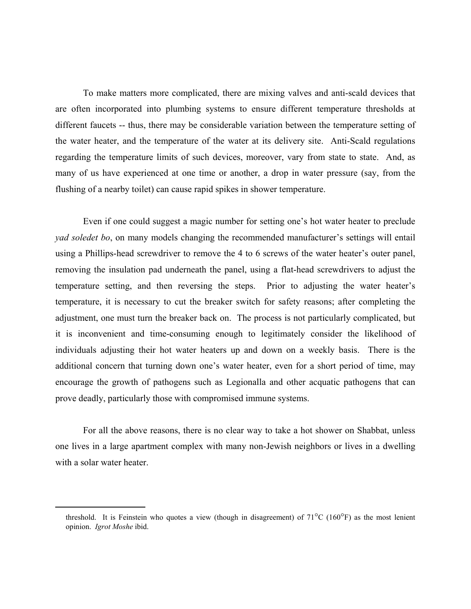To make matters more complicated, there are mixing valves and anti-scald devices that are often incorporated into plumbing systems to ensure different temperature thresholds at different faucets -- thus, there may be considerable variation between the temperature setting of the water heater, and the temperature of the water at its delivery site. Anti-Scald regulations regarding the temperature limits of such devices, moreover, vary from state to state. And, as many of us have experienced at one time or another, a drop in water pressure (say, from the flushing of a nearby toilet) can cause rapid spikes in shower temperature.

Even if one could suggest a magic number for setting one's hot water heater to preclude *yad soledet bo*, on many models changing the recommended manufacturer's settings will entail using a Phillips-head screwdriver to remove the 4 to 6 screws of the water heater's outer panel, removing the insulation pad underneath the panel, using a flat-head screwdrivers to adjust the temperature setting, and then reversing the steps. Prior to adjusting the water heater's temperature, it is necessary to cut the breaker switch for safety reasons; after completing the adjustment, one must turn the breaker back on. The process is not particularly complicated, but it is inconvenient and time-consuming enough to legitimately consider the likelihood of individuals adjusting their hot water heaters up and down on a weekly basis. There is the additional concern that turning down one's water heater, even for a short period of time, may encourage the growth of pathogens such as Legionalla and other acquatic pathogens that can prove deadly, particularly those with compromised immune systems.

For all the above reasons, there is no clear way to take a hot shower on Shabbat, unless one lives in a large apartment complex with many non-Jewish neighbors or lives in a dwelling with a solar water heater.

threshold. It is Feinstein who quotes a view (though in disagreement) of  $71^{\circ}$ C (160 $^{\circ}$ F) as the most lenient opinion. *Igrot Moshe* ibid.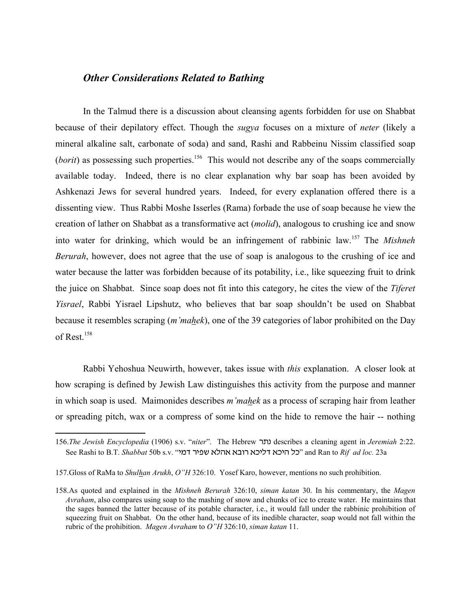## *Other Considerations Related to Bathing*

In the Talmud there is a discussion about cleansing agents forbidden for use on Shabbat because of their depilatory effect. Though the *sugya* focuses on a mixture of *neter* (likely a mineral alkaline salt, carbonate of soda) and sand, Rashi and Rabbeinu Nissim classified soap (*borit*) as possessing such properties.<sup>156</sup> This would not describe any of the soaps commercially available today. Indeed, there is no clear explanation why bar soap has been avoided by Ashkenazi Jews for several hundred years. Indeed, for every explanation offered there is a dissenting view. Thus Rabbi Moshe Isserles (Rama) forbade the use of soap because he view the creation of lather on Shabbat as a transformative act (*molid*), analogous to crushing ice and snow into water for drinking, which would be an infringement of rabbinic law.157 The *Mishneh Berurah*, however, does not agree that the use of soap is analogous to the crushing of ice and water because the latter was forbidden because of its potability, i.e., like squeezing fruit to drink the juice on Shabbat. Since soap does not fit into this category, he cites the view of the *Tiferet Yisrael*, Rabbi Yisrael Lipshutz, who believes that bar soap shouldn't be used on Shabbat because it resembles scraping (*m'mahek*), one of the 39 categories of labor prohibited on the Day of Rest.158

Rabbi Yehoshua Neuwirth, however, takes issue with *this* explanation. A closer look at how scraping is defined by Jewish Law distinguishes this activity from the purpose and manner in which soap is used. Maimonides describes *m'mahek* as a process of scraping hair from leather or spreading pitch, wax or a compress of some kind on the hide to remove the hair -- nothing

<sup>156.</sup>*The Jewish Encyclopedia* (1906) s.v. "*niter*". The Hebrew r,b describes a cleaning agent in *Jeremiah* 2:22. See Rashi to B.T. *Shabbat* 50b s.v. "hns rhpa tkvt tcur tfhks tfhv kf" and Ran to *Rif ad loc.* 23a

<sup>157.</sup>Gloss of RaMa to *Shulhan Arukh*, *O"H* 326:10. Yosef Karo, however, mentions no such prohibition.

<sup>158.</sup>As quoted and explained in the *Mishneh Berurah* 326:10, *siman katan* 30. In his commentary, the *Magen Avraham*, also compares using soap to the mashing of snow and chunks of ice to create water. He maintains that the sages banned the latter because of its potable character, i.e., it would fall under the rabbinic prohibition of squeezing fruit on Shabbat. On the other hand, because of its inedible character, soap would not fall within the rubric of the prohibition. *Magen Avraham* to *O"H* 326:10, *siman katan* 11.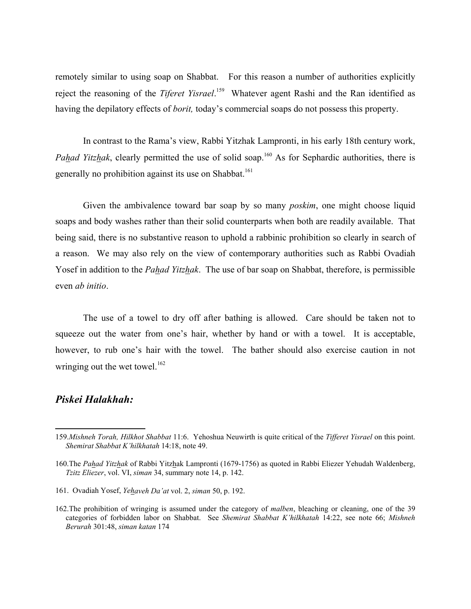remotely similar to using soap on Shabbat. For this reason a number of authorities explicitly reject the reasoning of the *Tiferet Yisrael*. 159 Whatever agent Rashi and the Ran identified as having the depilatory effects of *borit,* today's commercial soaps do not possess this property.

In contrast to the Rama's view, Rabbi Yitzhak Lampronti, in his early 18th century work, *Pahad Yitzhak*, clearly permitted the use of solid soap.<sup>160</sup> As for Sephardic authorities, there is generally no prohibition against its use on Shabbat.<sup>161</sup>

Given the ambivalence toward bar soap by so many *poskim*, one might choose liquid soaps and body washes rather than their solid counterparts when both are readily available. That being said, there is no substantive reason to uphold a rabbinic prohibition so clearly in search of a reason. We may also rely on the view of contemporary authorities such as Rabbi Ovadiah Yosef in addition to the *Pahad Yitzhak*. The use of bar soap on Shabbat, therefore, is permissible even *ab initio*.

The use of a towel to dry off after bathing is allowed. Care should be taken not to squeeze out the water from one's hair, whether by hand or with a towel. It is acceptable, however, to rub one's hair with the towel. The bather should also exercise caution in not wringing out the wet towel. $162$ 

## *Piskei Halakhah:*

<sup>159.</sup>*Mishneh Torah, Hilkhot Shabbat* 11:6. Yehoshua Neuwirth is quite critical of the *Tifferet Yisrael* on this point. *Shemirat Shabbat K'hilkhatah* 14:18, note 49.

<sup>160.</sup>The *Pahad Yitzhak* of Rabbi Yitzhak Lampronti (1679-1756) as quoted in Rabbi Eliezer Yehudah Waldenberg, *Tzitz Eliezer*, vol. VI, *siman* 34, summary note 14, p. 142.

<sup>161.</sup> Ovadiah Yosef, *Yehaveh Da'at* vol. 2, *siman* 50, p. 192.

<sup>162.</sup>The prohibition of wringing is assumed under the category of *malben*, bleaching or cleaning, one of the 39 categories of forbidden labor on Shabbat. See *Shemirat Shabbat K'hilkhatah* 14:22, see note 66; *Mishneh Berurah* 301:48, *siman katan* 174